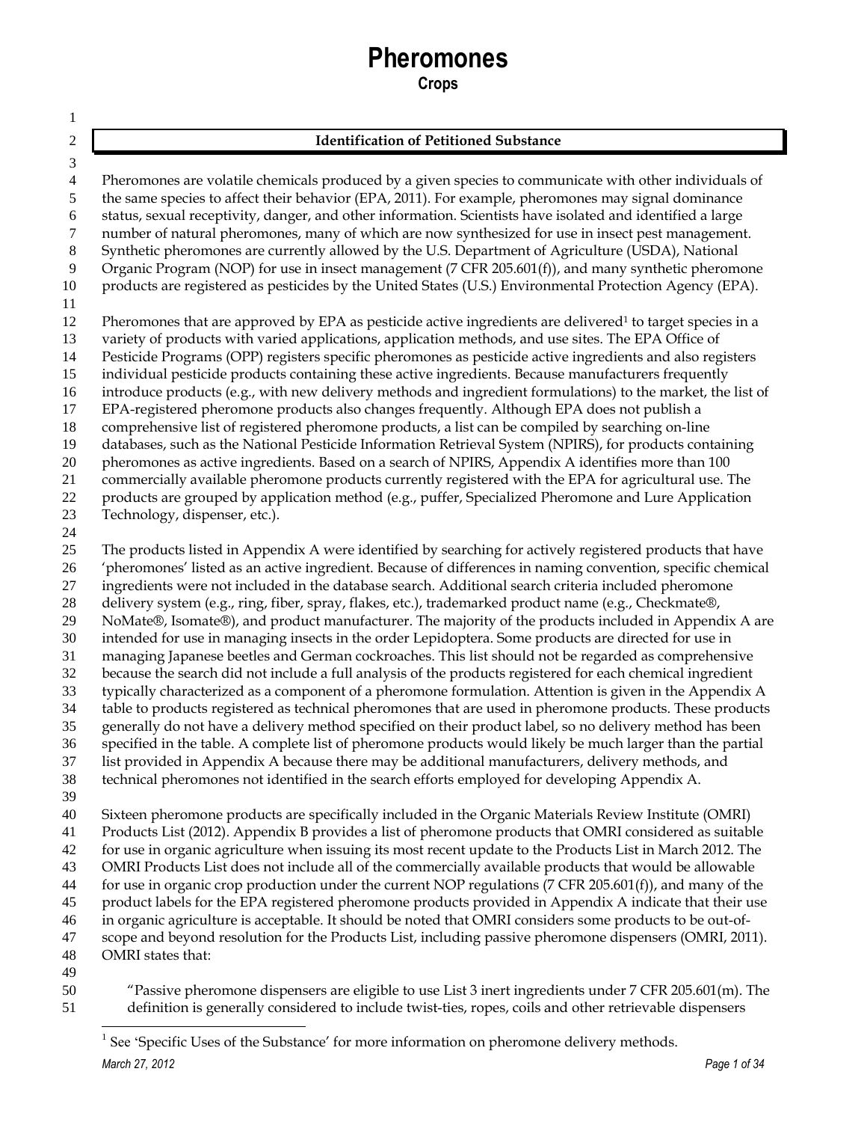# **Pheromones**

**Crops**

| 2                        | <b>Identification of Petitioned Substance</b>                                                                                                                                                                                |
|--------------------------|------------------------------------------------------------------------------------------------------------------------------------------------------------------------------------------------------------------------------|
| 3<br>$\overline{4}$<br>5 | Pheromones are volatile chemicals produced by a given species to communicate with other individuals of<br>the same species to affect their behavior (EPA, 2011). For example, pheromones may signal dominance                |
| 6                        | status, sexual receptivity, danger, and other information. Scientists have isolated and identified a large                                                                                                                   |
| 7<br>8                   | number of natural pheromones, many of which are now synthesized for use in insect pest management.<br>Synthetic pheromones are currently allowed by the U.S. Department of Agriculture (USDA), National                      |
| 9                        | Organic Program (NOP) for use in insect management (7 CFR 205.601(f)), and many synthetic pheromone                                                                                                                          |
| 10<br>11                 | products are registered as pesticides by the United States (U.S.) Environmental Protection Agency (EPA).                                                                                                                     |
| 12<br>13                 | Pheromones that are approved by EPA as pesticide active ingredients are delivered <sup>1</sup> to target species in a<br>variety of products with varied applications, application methods, and use sites. The EPA Office of |
| 14                       | Pesticide Programs (OPP) registers specific pheromones as pesticide active ingredients and also registers                                                                                                                    |
| 15                       | individual pesticide products containing these active ingredients. Because manufacturers frequently                                                                                                                          |
| 16<br>17                 | introduce products (e.g., with new delivery methods and ingredient formulations) to the market, the list of<br>EPA-registered pheromone products also changes frequently. Although EPA does not publish a                    |
| 18                       | comprehensive list of registered pheromone products, a list can be compiled by searching on-line                                                                                                                             |
| 19                       | databases, such as the National Pesticide Information Retrieval System (NPIRS), for products containing                                                                                                                      |
| 20                       | pheromones as active ingredients. Based on a search of NPIRS, Appendix A identifies more than 100                                                                                                                            |
| 21                       | commercially available pheromone products currently registered with the EPA for agricultural use. The                                                                                                                        |
| 22                       | products are grouped by application method (e.g., puffer, Specialized Pheromone and Lure Application                                                                                                                         |
| 23                       | Technology, dispenser, etc.).                                                                                                                                                                                                |
| 24                       |                                                                                                                                                                                                                              |
| 25                       | The products listed in Appendix A were identified by searching for actively registered products that have                                                                                                                    |
| 26<br>27                 | 'pheromones' listed as an active ingredient. Because of differences in naming convention, specific chemical<br>ingredients were not included in the database search. Additional search criteria included pheromone           |
| 28                       | delivery system (e.g., ring, fiber, spray, flakes, etc.), trademarked product name (e.g., Checkmate®,                                                                                                                        |
| 29                       | NoMate®, Isomate®), and product manufacturer. The majority of the products included in Appendix A are                                                                                                                        |
| 30                       | intended for use in managing insects in the order Lepidoptera. Some products are directed for use in                                                                                                                         |
| 31                       | managing Japanese beetles and German cockroaches. This list should not be regarded as comprehensive                                                                                                                          |
| 32                       | because the search did not include a full analysis of the products registered for each chemical ingredient                                                                                                                   |
| 33                       | typically characterized as a component of a pheromone formulation. Attention is given in the Appendix A                                                                                                                      |
| 34                       | table to products registered as technical pheromones that are used in pheromone products. These products                                                                                                                     |
| 35                       | generally do not have a delivery method specified on their product label, so no delivery method has been                                                                                                                     |
| 36                       | specified in the table. A complete list of pheromone products would likely be much larger than the partial                                                                                                                   |
| 37<br>38                 | list provided in Appendix A because there may be additional manufacturers, delivery methods, and<br>technical pheromones not identified in the search efforts employed for developing Appendix A.                            |
| 39                       |                                                                                                                                                                                                                              |
| 40                       | Sixteen pheromone products are specifically included in the Organic Materials Review Institute (OMRI)                                                                                                                        |
| 41                       | Products List (2012). Appendix B provides a list of pheromone products that OMRI considered as suitable                                                                                                                      |
| 42                       | for use in organic agriculture when issuing its most recent update to the Products List in March 2012. The                                                                                                                   |
| 43                       | OMRI Products List does not include all of the commercially available products that would be allowable                                                                                                                       |
| 44                       | for use in organic crop production under the current NOP regulations ( $7$ CFR 205.601(f)), and many of the                                                                                                                  |
| 45                       | product labels for the EPA registered pheromone products provided in Appendix A indicate that their use                                                                                                                      |
| 46                       | in organic agriculture is acceptable. It should be noted that OMRI considers some products to be out-of-                                                                                                                     |
| 47                       | scope and beyond resolution for the Products List, including passive pheromone dispensers (OMRI, 2011).<br>OMRI states that:                                                                                                 |
| 48<br>49                 |                                                                                                                                                                                                                              |
|                          |                                                                                                                                                                                                                              |

 "Passive pheromone dispensers are eligible to use List 3 inert ingredients under 7 CFR 205.601(m). The definition is generally considered to include twist-ties, ropes, coils and other retrievable dispensers

*March 27, 2012 Page 1 of 34* 1 See 'Specific Uses of the Substance' for more information on pheromone delivery methods.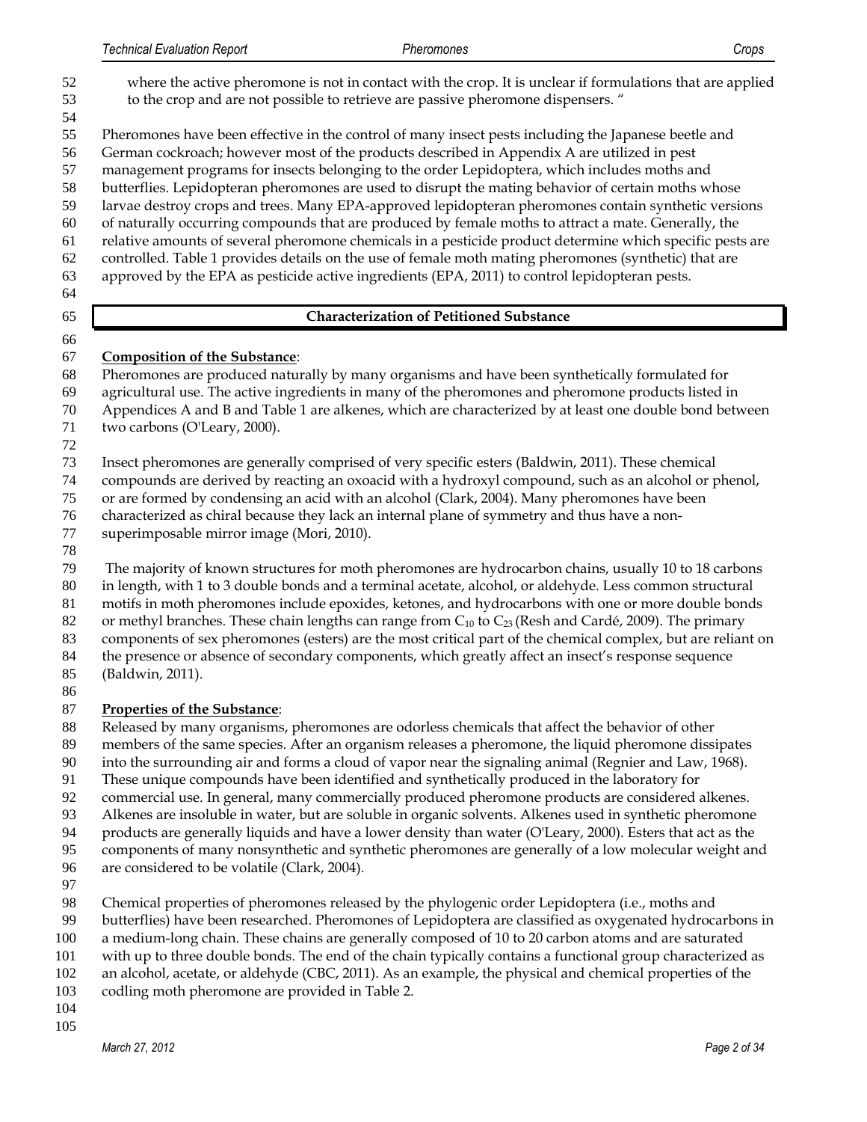where the active pheromone is not in contact with the crop. It is unclear if formulations that are applied to the crop and are not possible to retrieve are passive pheromone dispensers. " Pheromones have been effective in the control of many insect pests including the Japanese beetle and German cockroach; however most of the products described in Appendix A are utilized in pest management programs for insects belonging to the order Lepidoptera, which includes moths and butterflies. Lepidopteran pheromones are used to disrupt the mating behavior of certain moths whose larvae destroy crops and trees. Many EPA-approved lepidopteran pheromones contain synthetic versions of naturally occurring compounds that are produced by female moths to attract a mate. Generally, the relative amounts of several pheromone chemicals in a pesticide product determine which specific pests are controlled. Table 1 provides details on the use of female moth mating pheromones (synthetic) that are approved by the EPA as pesticide active ingredients (EPA, 2011) to control lepidopteran pests. **Characterization of Petitioned Substance** 

## **Composition of the Substance**:

- Pheromones are produced naturally by many organisms and have been synthetically formulated for
- agricultural use. The active ingredients in many of the pheromones and pheromone products listed in
- Appendices A and B and Table 1 are alkenes, which are characterized by at least one double bond between 71 two carbons (O'Leary, 2000).
- 
- Insect pheromones are generally comprised of very specific esters (Baldwin, 2011). These chemical
- compounds are derived by reacting an [oxoacid](http://en.wikipedia.org/wiki/Oxoacid) with [a hydroxyl](http://en.wikipedia.org/wiki/Hydroxyl) compound, such as a[n alcohol](http://en.wikipedia.org/wiki/Alcohol) or [phenol,](http://en.wikipedia.org/wiki/Phenols)
- or are formed b[y condensing](http://en.wikipedia.org/wiki/Condensation_reaction) an acid with an alcohol (Clark, 2004). Many pheromones have been
- characterized as chiral because they lack an internal plane of symmetry and thus have a non-
- superimposable mirror image (Mori, 2010).
- 

The majority of known structures for moth pheromones are hydrocarbon chains, usually 10 to 18 carbons

- in length, with 1 to 3 double bonds and a terminal acetate, alcohol, or aldehyde. Less common structural motifs in moth pheromones include epoxides, ketones, and hydrocarbons with one or more double bonds
- 82 or methyl branches. These chain lengths can range from  $C_{10}$  to  $C_{23}$  (Resh and Cardé, 2009). The primary
- components of sex pheromones (esters) are the most critical part of the chemical complex, but are reliant on
- the presence or absence of secondary components, which greatly affect an insect's response sequence
- (Baldwin, 2011).
- 

# **Properties of the Substance**:

- Released by many organisms, pheromones are odorless chemicals that affect the behavior of other
- members of the same species. After an organism releases a pheromone, the liquid pheromone dissipates
- into the surrounding air and forms a cloud of vapor near the signaling animal (Regnier and Law, 1968).
- These unique compounds have been identified and synthetically produced in the laboratory for
- commercial use. In general, many commercially produced pheromone products are considered alkenes.
- Alkenes are insoluble in water, but are soluble in organic solvents. Alkenes used in synthetic pheromone
- products are generally liquids and have a lower density than water (O'Leary, 2000). Esters that act as the
- components of many nonsynthetic and synthetic pheromones are generally of a low molecular weight and
- are considered to be volatile (Clark, 2004).
- 
- Chemical properties of pheromones released by the phylogenic order Lepidoptera (i.e., moths and
- butterflies) have been researched. Pheromones of Lepidoptera are classified as oxygenated hydrocarbons in
- a medium-long chain. These chains are generally composed of 10 to 20 carbon atoms and are saturated
- with up to three double bonds. The end of the chain typically contains a functional group characterized as
- an alcohol, acetate, or aldehyde (CBC, 2011). As an example, the physical and chemical properties of the
- codling moth pheromone are provided in Table 2.
-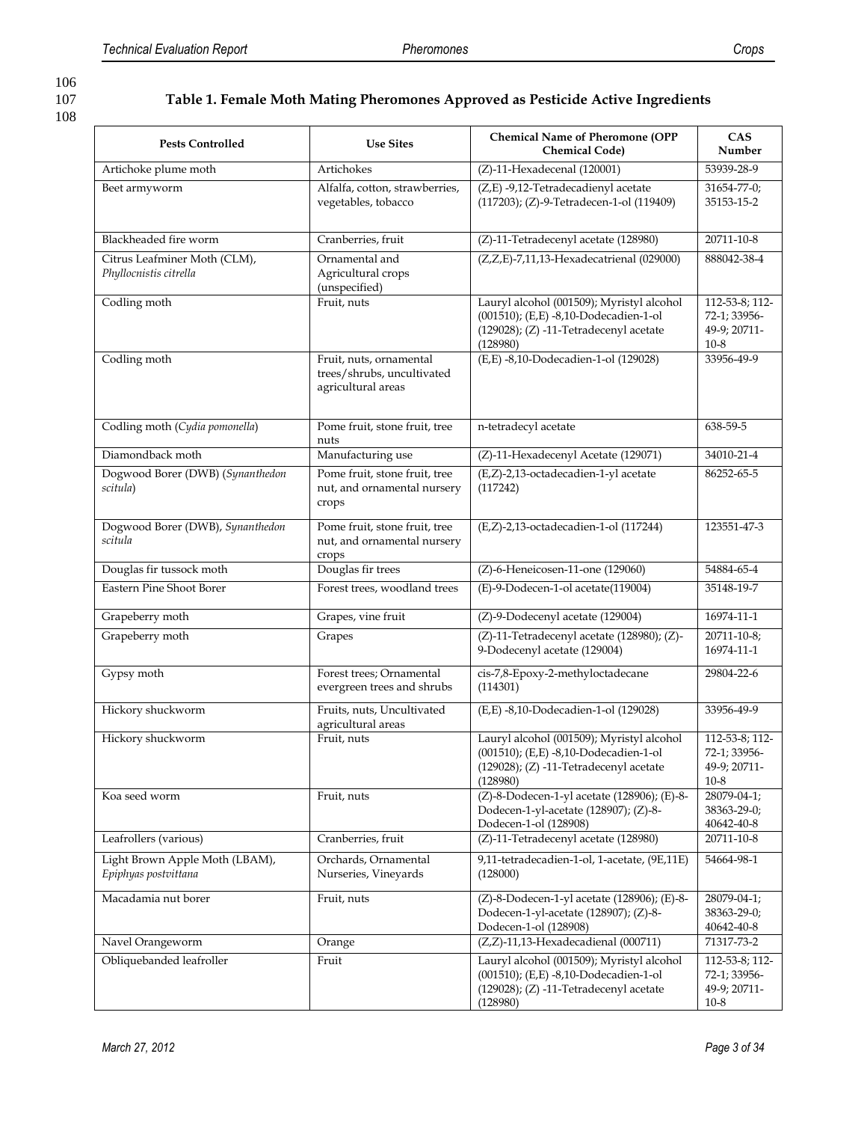# 108

107 **Table 1. Female Moth Mating Pheromones Approved as Pesticide Active Ingredients**

| <b>Pests Controlled</b>                                | <b>Use Sites</b>                                                                                                          | <b>Chemical Name of Pheromone (OPP</b><br><b>Chemical Code)</b>                                                                               | <b>CAS</b><br>Number                                       |
|--------------------------------------------------------|---------------------------------------------------------------------------------------------------------------------------|-----------------------------------------------------------------------------------------------------------------------------------------------|------------------------------------------------------------|
| Artichoke plume moth                                   | Artichokes                                                                                                                | $(Z)$ -11-Hexadecenal (120001)                                                                                                                | 53939-28-9                                                 |
| Beet armyworm                                          | Alfalfa, cotton, strawberries,<br>vegetables, tobacco                                                                     | (Z,E) -9,12-Tetradecadienyl acetate<br>(117203); (Z)-9-Tetradecen-1-ol (119409)                                                               | 31654-77-0;<br>35153-15-2                                  |
| Blackheaded fire worm                                  | Cranberries, fruit                                                                                                        | (Z)-11-Tetradecenyl acetate (128980)                                                                                                          | 20711-10-8                                                 |
| Citrus Leafminer Moth (CLM),<br>Phyllocnistis citrella | Ornamental and<br>Agricultural crops<br>(unspecified)                                                                     | (Z,Z,E)-7,11,13-Hexadecatrienal (029000)                                                                                                      | 888042-38-4                                                |
| Codling moth                                           | Fruit, nuts                                                                                                               | Lauryl alcohol (001509); Myristyl alcohol<br>(001510); (E,E) -8,10-Dodecadien-1-ol<br>$(129028)$ ; $(Z)$ -11-Tetradecenyl acetate<br>(128980) | 112-53-8; 112-<br>72-1; 33956-<br>49-9; 20711-<br>$10-8$   |
| Codling moth                                           | Fruit, nuts, ornamental<br>trees/shrubs, uncultivated<br>agricultural areas                                               | (E,E) -8,10-Dodecadien-1-ol (129028)                                                                                                          | 33956-49-9                                                 |
| Codling moth (Cydia pomonella)                         | Pome fruit, stone fruit, tree<br>nuts                                                                                     | n-tetradecyl acetate                                                                                                                          | 638-59-5                                                   |
| Diamondback moth                                       | Manufacturing use                                                                                                         | (Z)-11-Hexadecenyl Acetate (129071)                                                                                                           | 34010-21-4                                                 |
| Dogwood Borer (DWB) (Synanthedon<br>scitula)           | (E,Z)-2,13-octadecadien-1-yl acetate<br>Pome fruit, stone fruit, tree<br>nut, and ornamental nursery<br>(117242)<br>crops |                                                                                                                                               | 86252-65-5                                                 |
| Dogwood Borer (DWB), Synanthedon<br>scitula            | Pome fruit, stone fruit, tree<br>nut, and ornamental nursery<br>crops                                                     | (E,Z)-2,13-octadecadien-1-ol (117244)                                                                                                         | 123551-47-3                                                |
| Douglas fir tussock moth                               | Douglas fir trees                                                                                                         | (Z)-6-Heneicosen-11-one (129060)                                                                                                              | 54884-65-4                                                 |
| <b>Eastern Pine Shoot Borer</b>                        | Forest trees, woodland trees                                                                                              | (E)-9-Dodecen-1-ol acetate(119004)                                                                                                            | 35148-19-7                                                 |
| Grapeberry moth                                        | Grapes, vine fruit                                                                                                        | (Z)-9-Dodecenyl acetate (129004)                                                                                                              | 16974-11-1                                                 |
| Grapeberry moth                                        | Grapes                                                                                                                    | (Z)-11-Tetradecenyl acetate (128980); (Z)-<br>9-Dodecenyl acetate (129004)                                                                    | 20711-10-8;<br>16974-11-1                                  |
| Gypsy moth                                             | Forest trees; Ornamental<br>evergreen trees and shrubs                                                                    | cis-7,8-Epoxy-2-methyloctadecane<br>(114301)                                                                                                  | 29804-22-6                                                 |
| Hickory shuckworm                                      | Fruits, nuts, Uncultivated<br>agricultural areas                                                                          | (E,E) -8,10-Dodecadien-1-ol (129028)                                                                                                          | 33956-49-9                                                 |
| Hickory shuckworm                                      | Fruit, nuts                                                                                                               | Lauryl alcohol (001509); Myristyl alcohol<br>(001510); (E,E) -8,10-Dodecadien-1-ol<br>$(129028)$ ; $(Z)$ -11-Tetradecenyl acetate<br>(128980) | 112-53-8; 112-<br>72-1; 33956-<br>49-9; 20711-<br>$10 - 8$ |
| Koa seed worm                                          | Fruit, nuts                                                                                                               | (Z)-8-Dodecen-1-yl acetate (128906); (E)-8-<br>Dodecen-1-yl-acetate (128907); (Z)-8-<br>Dodecen-1-ol (128908)                                 | 28079-04-1;<br>38363-29-0;<br>40642-40-8                   |
| Leafrollers (various)                                  | Cranberries, fruit                                                                                                        | (Z)-11-Tetradecenyl acetate (128980)                                                                                                          | 20711-10-8                                                 |
| Light Brown Apple Moth (LBAM),<br>Epiphyas postvittana | Orchards, Ornamental<br>Nurseries, Vineyards                                                                              | 9,11-tetradecadien-1-ol, 1-acetate, (9E,11E)<br>(128000)                                                                                      | 54664-98-1                                                 |
| Macadamia nut borer                                    | Fruit, nuts                                                                                                               | (Z)-8-Dodecen-1-yl acetate (128906); (E)-8-<br>Dodecen-1-yl-acetate (128907); (Z)-8-<br>Dodecen-1-ol (128908)                                 | 28079-04-1;<br>38363-29-0;<br>40642-40-8                   |
| Navel Orangeworm                                       | Orange                                                                                                                    | $(Z,Z)$ -11,13-Hexadecadienal (000711)                                                                                                        | 71317-73-2                                                 |
| Obliquebanded leafroller                               | Fruit                                                                                                                     | Lauryl alcohol (001509); Myristyl alcohol<br>(001510); (E,E) -8,10-Dodecadien-1-ol<br>$(129028)$ ; $(Z)$ -11-Tetradecenyl acetate<br>(128980) | 112-53-8; 112-<br>72-1; 33956-<br>49-9; 20711-<br>$10-8$   |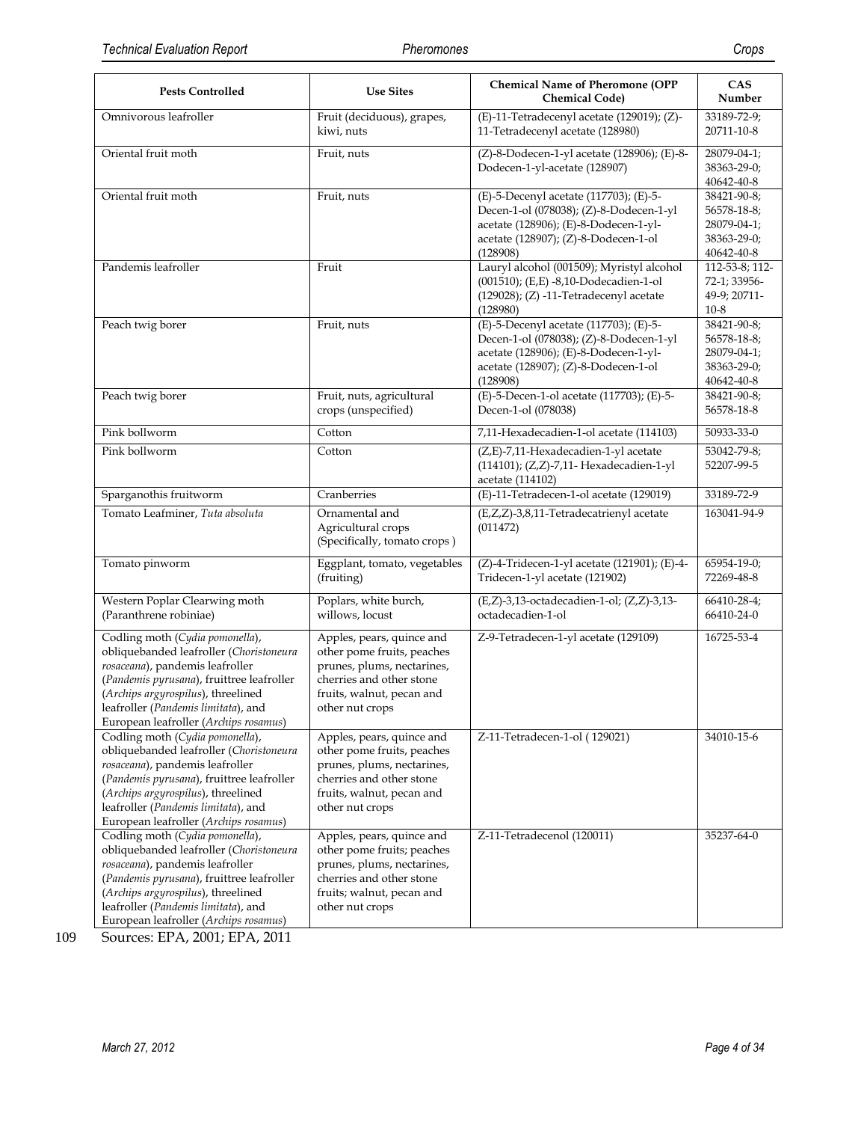| <b>Pests Controlled</b>                                                                                                                                                                                                                                                          | <b>Use Sites</b>                                                                                                                                                  | <b>Chemical Name of Pheromone (OPP</b><br><b>Chemical Code)</b>                                                                                                                | <b>CAS</b><br>Number                                                   |
|----------------------------------------------------------------------------------------------------------------------------------------------------------------------------------------------------------------------------------------------------------------------------------|-------------------------------------------------------------------------------------------------------------------------------------------------------------------|--------------------------------------------------------------------------------------------------------------------------------------------------------------------------------|------------------------------------------------------------------------|
| Omnivorous leafroller                                                                                                                                                                                                                                                            | Fruit (deciduous), grapes,<br>(E)-11-Tetradecenyl acetate (129019); (Z)-<br>kiwi, nuts<br>11-Tetradecenyl acetate (128980)                                        |                                                                                                                                                                                | 33189-72-9;<br>20711-10-8                                              |
| Oriental fruit moth                                                                                                                                                                                                                                                              | Fruit, nuts                                                                                                                                                       | (Z)-8-Dodecen-1-yl acetate (128906); (E)-8-<br>Dodecen-1-yl-acetate (128907)                                                                                                   | 28079-04-1;<br>38363-29-0;<br>40642-40-8                               |
| Oriental fruit moth                                                                                                                                                                                                                                                              | Fruit, nuts                                                                                                                                                       | (E)-5-Decenyl acetate (117703); (E)-5-<br>Decen-1-ol (078038); (Z)-8-Dodecen-1-yl<br>acetate (128906); (E)-8-Dodecen-1-yl-<br>acetate (128907); (Z)-8-Dodecen-1-ol<br>(128908) | 38421-90-8;<br>56578-18-8;<br>28079-04-1;<br>38363-29-0;<br>40642-40-8 |
| Pandemis leafroller                                                                                                                                                                                                                                                              | Fruit                                                                                                                                                             | Lauryl alcohol (001509); Myristyl alcohol<br>(001510); (E,E) -8,10-Dodecadien-1-ol<br>$(129028)$ ; $(Z)$ -11-Tetradecenyl acetate<br>(128980)                                  | 112-53-8; 112-<br>72-1; 33956-<br>49-9; 20711-<br>$10-8$               |
| Peach twig borer                                                                                                                                                                                                                                                                 | Fruit, nuts                                                                                                                                                       | (E)-5-Decenyl acetate (117703); (E)-5-<br>Decen-1-ol (078038); (Z)-8-Dodecen-1-yl<br>acetate (128906); (E)-8-Dodecen-1-yl-<br>acetate (128907); (Z)-8-Dodecen-1-ol<br>(128908) | 38421-90-8;<br>56578-18-8;<br>28079-04-1;<br>38363-29-0;<br>40642-40-8 |
| Peach twig borer                                                                                                                                                                                                                                                                 | Fruit, nuts, agricultural<br>crops (unspecified)                                                                                                                  | (E)-5-Decen-1-ol acetate (117703); (E)-5-<br>Decen-1-ol (078038)                                                                                                               | 38421-90-8;<br>56578-18-8                                              |
| Pink bollworm                                                                                                                                                                                                                                                                    | Cotton                                                                                                                                                            | 7,11-Hexadecadien-1-ol acetate (114103)                                                                                                                                        | 50933-33-0                                                             |
| Pink bollworm                                                                                                                                                                                                                                                                    | Cotton                                                                                                                                                            | (Z,E)-7,11-Hexadecadien-1-yl acetate<br>(114101); (Z,Z)-7,11- Hexadecadien-1-yl<br>acetate (114102)                                                                            | 53042-79-8;<br>52207-99-5                                              |
| Sparganothis fruitworm<br>Cranberries                                                                                                                                                                                                                                            |                                                                                                                                                                   | (E)-11-Tetradecen-1-ol acetate (129019)                                                                                                                                        | 33189-72-9                                                             |
| Tomato Leafminer, Tuta absoluta                                                                                                                                                                                                                                                  | Ornamental and<br>Agricultural crops<br>(Specifically, tomato crops)                                                                                              | (E,Z,Z)-3,8,11-Tetradecatrienyl acetate<br>(011472)                                                                                                                            | 163041-94-9                                                            |
| Tomato pinworm                                                                                                                                                                                                                                                                   | Eggplant, tomato, vegetables<br>(fruiting)                                                                                                                        | (Z)-4-Tridecen-1-yl acetate (121901); (E)-4-<br>Tridecen-1-yl acetate (121902)                                                                                                 | 65954-19-0;<br>72269-48-8                                              |
| Western Poplar Clearwing moth<br>(Paranthrene robiniae)                                                                                                                                                                                                                          | Poplars, white burch,<br>willows, locust                                                                                                                          | (E,Z)-3,13-octadecadien-1-ol; (Z,Z)-3,13-<br>octadecadien-1-ol                                                                                                                 | 66410-28-4;<br>66410-24-0                                              |
| Codling moth (Cydia pomonella),<br>obliquebanded leafroller (Choristoneura<br>rosaceana), pandemis leafroller<br>(Pandemis pyrusana), fruittree leafroller<br>(Archips argyrospilus), threelined<br>leafroller (Pandemis limitata), and<br>European leafroller (Archips rosamus) | Apples, pears, quince and<br>other pome fruits, peaches<br>prunes, plums, nectarines,<br>cherries and other stone<br>fruits, walnut, pecan and<br>other nut crops | Z-9-Tetradecen-1-yl acetate (129109)                                                                                                                                           | 16725-53-4                                                             |
| Codling moth (Cydia pomonella),<br>obliquebanded leafroller (Choristoneura<br>rosaceana), pandemis leafroller<br>(Pandemis pyrusana), fruittree leafroller<br>(Archips argyrospilus), threelined<br>leafroller (Pandemis limitata), and<br>European leafroller (Archips rosamus) | Apples, pears, quince and<br>other pome fruits, peaches<br>prunes, plums, nectarines,<br>cherries and other stone<br>fruits, walnut, pecan and<br>other nut crops | Z-11-Tetradecen-1-ol (129021)                                                                                                                                                  | 34010-15-6                                                             |
| Codling moth (Cydia pomonella),<br>obliquebanded leafroller (Choristoneura<br>rosaceana), pandemis leafroller<br>(Pandemis pyrusana), fruittree leafroller<br>(Archips argyrospilus), threelined<br>leafroller (Pandemis limitata), and<br>European leafroller (Archips rosamus) | Apples, pears, quince and<br>other pome fruits; peaches<br>prunes, plums, nectarines,<br>cherries and other stone<br>fruits; walnut, pecan and<br>other nut crops | Z-11-Tetradecenol (120011)                                                                                                                                                     | 35237-64-0                                                             |

109 Sources: EPA, 2001; EPA, 2011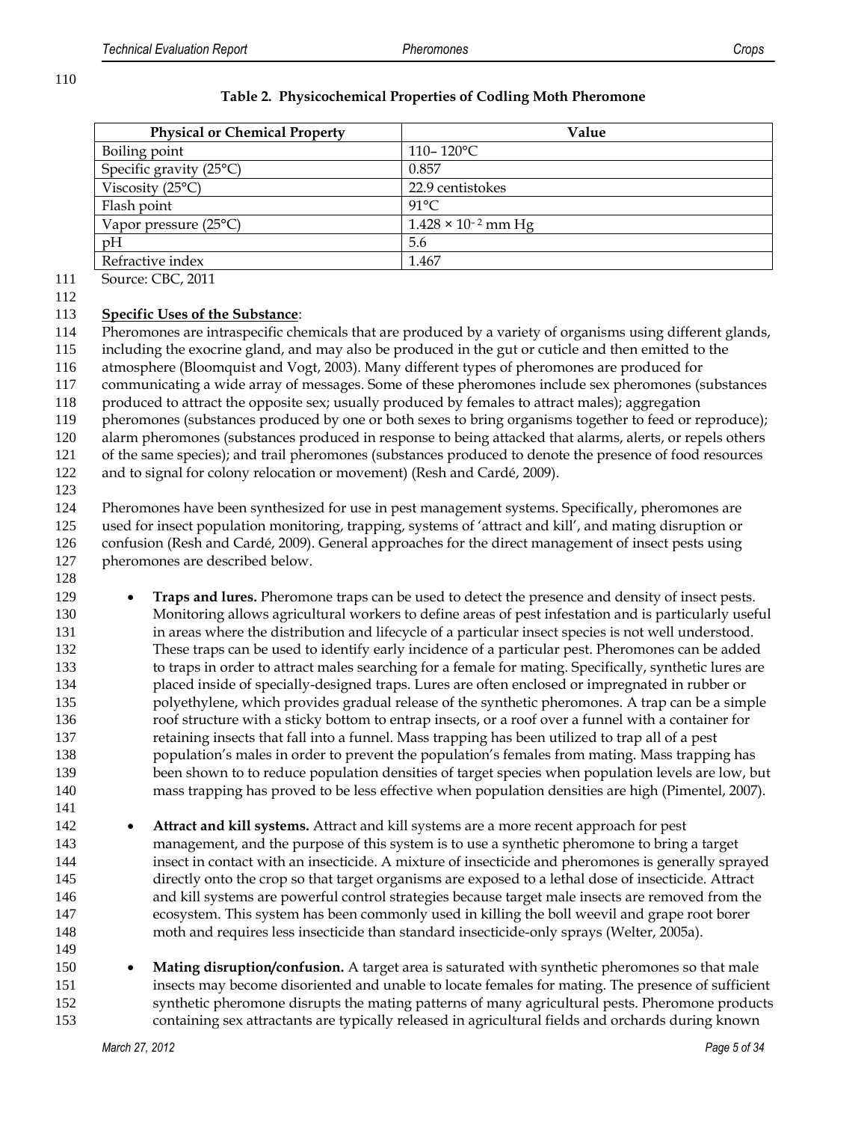| <b>Physical or Chemical Property</b> | Value                        |
|--------------------------------------|------------------------------|
| Boiling point                        | $110 - 120$ °C               |
| Specific gravity (25°C)              | 0.857                        |
| Viscosity $(25^{\circ}C)$            | 22.9 centistokes             |
| Flash point                          | $91^{\circ}$ C               |
| Vapor pressure $(25^{\circ}C)$       | $1.428 \times 10^{-2}$ mm Hg |
| pH                                   | 5.6                          |
| Refractive index                     | 1.467                        |

#### **Table 2. Physicochemical Properties of Codling Moth Pheromone**

 Source: CBC, 2011 

#### **Specific Uses of the Substance**:

Pheromones are intraspecific chemicals that are produced by a variety of organisms using different glands,

 including the exocrine gland, and may also be produced in the gut or cuticle and then emitted to the atmosphere (Bloomquist and Vogt, 2003). Many different types of pheromones are produced for

communicating a wide array of messages. Some of these pheromones include sex pheromones (substances

produced to attract the opposite sex; usually produced by females to attract males); aggregation

119 pheromones (substances produced by one or both sexes to bring organisms together to feed or reproduce);

alarm pheromones (substances produced in response to being attacked that alarms, alerts, or repels others

of the same species); and trail pheromones (substances produced to denote the presence of food resources

and to signal for colony relocation or movement) (Resh and Cardé, 2009).

#### 

 Pheromones have been synthesized for use in pest management systems. Specifically, pheromones are used for insect population monitoring, trapping, systems of 'attract and kill', and mating disruption or confusion (Resh and Cardé, 2009). General approaches for the direct management of insect pests using pheromones are described below.

**Traps and lures.** Pheromone traps can be used to detect the presence and density of insect pests. Monitoring allows agricultural workers to define areas of pest infestation and is particularly useful in areas where the distribution and lifecycle of a particular insect species is not well understood. These traps can be used to identify early incidence of a particular pest. Pheromones can be added to traps in order to attract males searching for a female for mating. Specifically, synthetic lures are placed inside of specially-designed traps. Lures are often enclosed or impregnated in rubber or polyethylene, which provides gradual release of the synthetic pheromones. A trap can be a simple roof structure with a sticky bottom to entrap insects, or a roof over a funnel with a container for retaining insects that fall into a funnel. Mass trapping has been utilized to trap all of a pest population's males in order to prevent the population's females from mating. Mass trapping has been shown to to reduce population densities of target species when population levels are low, but mass trapping has proved to be less effective when population densities are high (Pimentel, 2007). 

- **Attract and kill systems.** Attract and kill systems are a more recent approach for pest management, and the purpose of this system is to use a synthetic pheromone to bring a target insect in contact with an insecticide. A mixture of insecticide and pheromones is generally sprayed directly onto the crop so that target organisms are exposed to a lethal dose of insecticide. Attract and kill systems are powerful control strategies because target male insects are removed from the ecosystem. This system has been commonly used in killing the boll weevil and grape root borer moth and requires less insecticide than standard insecticide-only sprays (Welter, 2005a).
- **Mating disruption/confusion.** A target area is saturated with synthetic pheromones so that male insects may become disoriented and unable to locate females for mating. The presence of sufficient synthetic pheromone disrupts the mating patterns of many agricultural pests. Pheromone products containing sex attractants are typically released in agricultural fields and orchards during known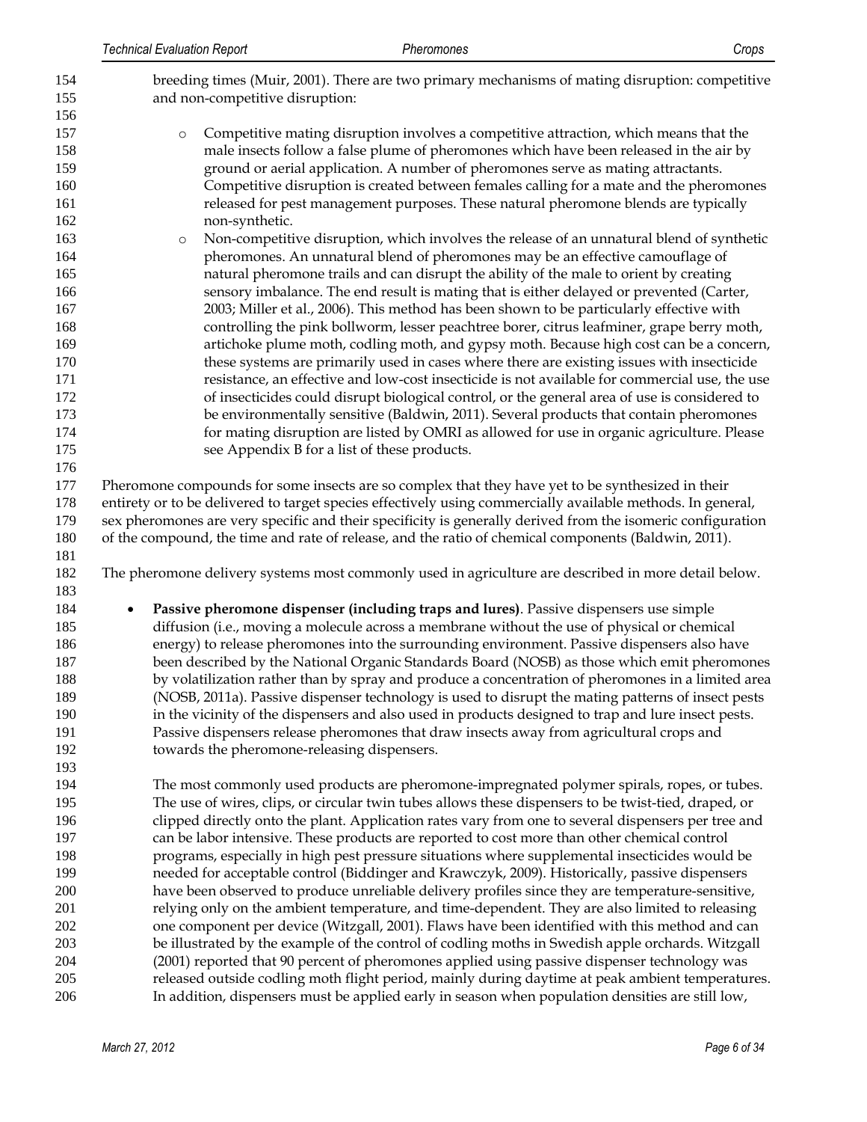| 154<br>155               | breeding times (Muir, 2001). There are two primary mechanisms of mating disruption: competitive<br>and non-competitive disruption:                                                                                                                                                                                                                                                                                                      |
|--------------------------|-----------------------------------------------------------------------------------------------------------------------------------------------------------------------------------------------------------------------------------------------------------------------------------------------------------------------------------------------------------------------------------------------------------------------------------------|
| 156<br>157<br>158<br>159 | Competitive mating disruption involves a competitive attraction, which means that the<br>$\circ$<br>male insects follow a false plume of pheromones which have been released in the air by<br>ground or aerial application. A number of pheromones serve as mating attractants.                                                                                                                                                         |
| 160<br>161<br>162        | Competitive disruption is created between females calling for a mate and the pheromones<br>released for pest management purposes. These natural pheromone blends are typically<br>non-synthetic.                                                                                                                                                                                                                                        |
| 163<br>164               | Non-competitive disruption, which involves the release of an unnatural blend of synthetic<br>$\circ$<br>pheromones. An unnatural blend of pheromones may be an effective camouflage of                                                                                                                                                                                                                                                  |
| 165<br>166               | natural pheromone trails and can disrupt the ability of the male to orient by creating<br>sensory imbalance. The end result is mating that is either delayed or prevented (Carter,                                                                                                                                                                                                                                                      |
| 167<br>168<br>169        | 2003; Miller et al., 2006). This method has been shown to be particularly effective with<br>controlling the pink bollworm, lesser peachtree borer, citrus leafminer, grape berry moth,<br>artichoke plume moth, codling moth, and gypsy moth. Because high cost can be a concern,                                                                                                                                                       |
| 170<br>171               | these systems are primarily used in cases where there are existing issues with insecticide<br>resistance, an effective and low-cost insecticide is not available for commercial use, the use                                                                                                                                                                                                                                            |
| 172<br>173               | of insecticides could disrupt biological control, or the general area of use is considered to<br>be environmentally sensitive (Baldwin, 2011). Several products that contain pheromones                                                                                                                                                                                                                                                 |
| 174<br>175<br>176        | for mating disruption are listed by OMRI as allowed for use in organic agriculture. Please<br>see Appendix B for a list of these products.                                                                                                                                                                                                                                                                                              |
| 177<br>178<br>179<br>180 | Pheromone compounds for some insects are so complex that they have yet to be synthesized in their<br>entirety or to be delivered to target species effectively using commercially available methods. In general,<br>sex pheromones are very specific and their specificity is generally derived from the isomeric configuration<br>of the compound, the time and rate of release, and the ratio of chemical components (Baldwin, 2011). |
| 181<br>182<br>183        | The pheromone delivery systems most commonly used in agriculture are described in more detail below.                                                                                                                                                                                                                                                                                                                                    |
| 184                      | Passive pheromone dispenser (including traps and lures). Passive dispensers use simple                                                                                                                                                                                                                                                                                                                                                  |
| 185                      | diffusion (i.e., moving a molecule across a membrane without the use of physical or chemical                                                                                                                                                                                                                                                                                                                                            |
| 186                      | energy) to release pheromones into the surrounding environment. Passive dispensers also have                                                                                                                                                                                                                                                                                                                                            |
| 187                      | been described by the National Organic Standards Board (NOSB) as those which emit pheromones                                                                                                                                                                                                                                                                                                                                            |
| 188<br>189<br>190        | by volatilization rather than by spray and produce a concentration of pheromones in a limited area<br>(NOSB, 2011a). Passive dispenser technology is used to disrupt the mating patterns of insect pests<br>in the vicinity of the dispensers and also used in products designed to trap and lure insect pests.                                                                                                                         |
| 191                      | Passive dispensers release pheromones that draw insects away from agricultural crops and                                                                                                                                                                                                                                                                                                                                                |
| 192<br>193               | towards the pheromone-releasing dispensers.                                                                                                                                                                                                                                                                                                                                                                                             |
| 194                      | The most commonly used products are pheromone-impregnated polymer spirals, ropes, or tubes.                                                                                                                                                                                                                                                                                                                                             |
| 195                      | The use of wires, clips, or circular twin tubes allows these dispensers to be twist-tied, draped, or                                                                                                                                                                                                                                                                                                                                    |
| 196                      | clipped directly onto the plant. Application rates vary from one to several dispensers per tree and                                                                                                                                                                                                                                                                                                                                     |
| 197                      | can be labor intensive. These products are reported to cost more than other chemical control                                                                                                                                                                                                                                                                                                                                            |
| 198                      | programs, especially in high pest pressure situations where supplemental insecticides would be                                                                                                                                                                                                                                                                                                                                          |
| 199<br>200               | needed for acceptable control (Biddinger and Krawczyk, 2009). Historically, passive dispensers<br>have been observed to produce unreliable delivery profiles since they are temperature-sensitive,                                                                                                                                                                                                                                      |
| 201                      | relying only on the ambient temperature, and time-dependent. They are also limited to releasing                                                                                                                                                                                                                                                                                                                                         |
| 202                      | one component per device (Witzgall, 2001). Flaws have been identified with this method and can                                                                                                                                                                                                                                                                                                                                          |
| 203                      | be illustrated by the example of the control of codling moths in Swedish apple orchards. Witzgall                                                                                                                                                                                                                                                                                                                                       |
| 204                      | (2001) reported that 90 percent of pheromones applied using passive dispenser technology was                                                                                                                                                                                                                                                                                                                                            |
| 205<br>206               | released outside codling moth flight period, mainly during daytime at peak ambient temperatures.<br>In addition, dispensers must be applied early in season when population densities are still low,                                                                                                                                                                                                                                    |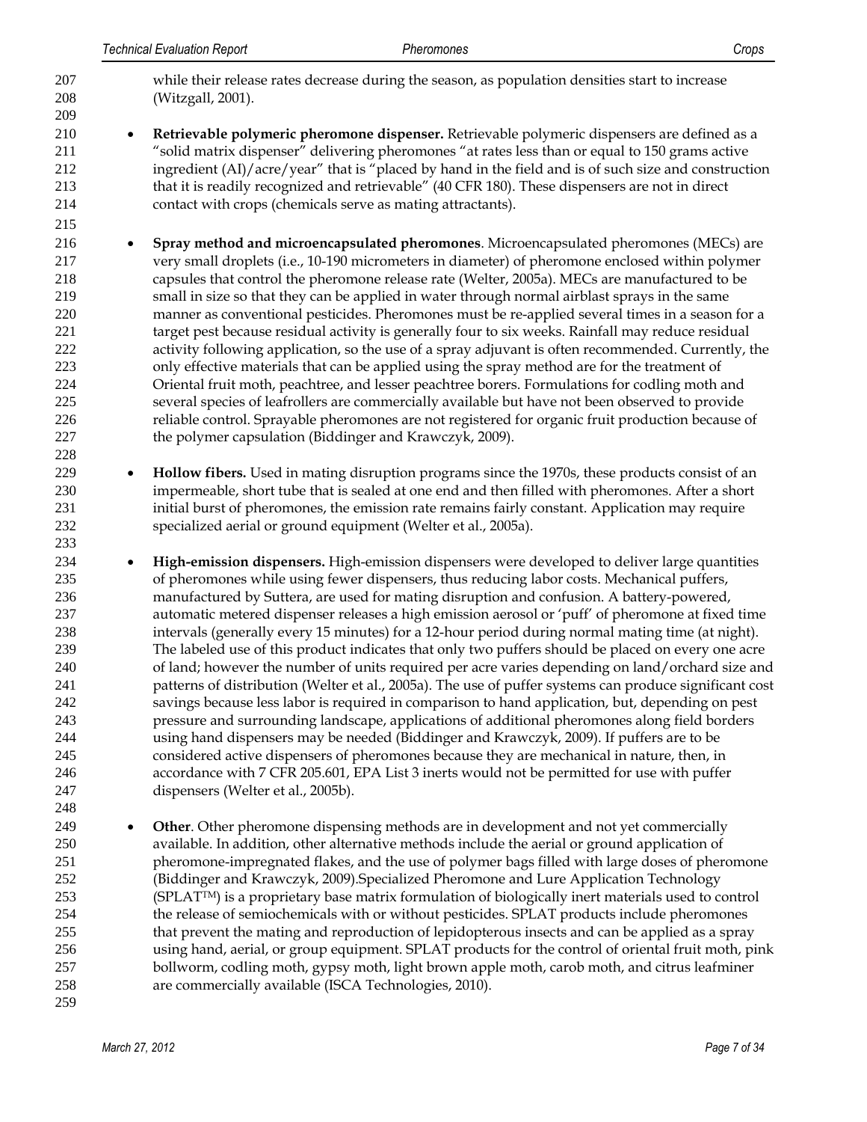while their release rates decrease during the season, as population densities start to increase (Witzgall, 2001). **Retrievable polymeric pheromone dispenser.** Retrievable polymeric dispensers are defined as a "solid matrix dispenser" delivering pheromones "at rates less than or equal to 150 grams active ingredient (AI)/acre/year" that is "placed by hand in the field and is of such size and construction that it is readily recognized and retrievable" (40 CFR 180). These dispensers are not in direct contact with crops (chemicals serve as mating attractants). **Spray method and microencapsulated pheromones**. Microencapsulated pheromones (MECs) are very small droplets (i.e., 10-190 micrometers in diameter) of pheromone enclosed within polymer capsules that control the pheromone release rate (Welter, 2005a). MECs are manufactured to be small in size so that they can be applied in water through normal airblast sprays in the same manner as conventional pesticides. Pheromones must be re-applied several times in a season for a target pest because residual activity is generally four to six weeks. Rainfall may reduce residual activity following application, so the use of a spray adjuvant is often recommended. Currently, the only effective materials that can be applied using the spray method are for the treatment of Oriental fruit moth, peachtree, and lesser peachtree borers. Formulations for codling moth and several species of leafrollers are commercially available but have not been observed to provide reliable control. Sprayable pheromones are not registered for organic fruit production because of 227 the polymer capsulation (Biddinger and Krawczyk, 2009). **• Hollow fibers.** Used in mating disruption programs since the 1970s, these products consist of an impermeable, short tube that is sealed at one end and then filled with pheromones. After a short initial burst of pheromones, the emission rate remains fairly constant. Application may require specialized aerial or ground equipment (Welter et al., 2005a). **High-emission dispensers.** High-emission dispensers were developed to deliver large quantities of pheromones while using fewer dispensers, thus reducing labor costs. Mechanical puffers, manufactured by Suttera, are used for mating disruption and confusion. A battery-powered, automatic metered dispenser releases a high emission aerosol or 'puff' of pheromone at fixed time intervals (generally every 15 minutes) for a 12-hour period during normal mating time (at night). The labeled use of this product indicates that only two puffers should be placed on every one acre of land; however the number of units required per acre varies depending on land/orchard size and patterns of distribution (Welter et al., 2005a). The use of puffer systems can produce significant cost savings because less labor is required in comparison to hand application, but, depending on pest pressure and surrounding landscape, applications of additional pheromones along field borders using hand dispensers may be needed (Biddinger and Krawczyk, 2009). If puffers are to be considered active dispensers of pheromones because they are mechanical in nature, then, in accordance with 7 CFR 205.601, EPA List 3 inerts would not be permitted for use with puffer dispensers (Welter et al., 2005b). **• Other**. Other pheromone dispensing methods are in development and not yet commercially available. In addition, other alternative methods include the aerial or ground application of pheromone-impregnated flakes, and the use of polymer bags filled with large doses of pheromone (Biddinger and Krawczyk, 2009).Specialized Pheromone and Lure Application Technology (SPLAT<sup>TM</sup>) is a proprietary base matrix formulation of biologically inert materials used to control the release of semiochemicals with or without pesticides. SPLAT products include pheromones that prevent the mating and reproduction of lepidopterous insects and can be applied as a spray using hand, aerial, or group equipment. SPLAT products for the control of oriental fruit moth, pink bollworm, codling moth, gypsy moth, light brown apple moth, carob moth, and citrus leafminer are commercially available (ISCA Technologies, 2010).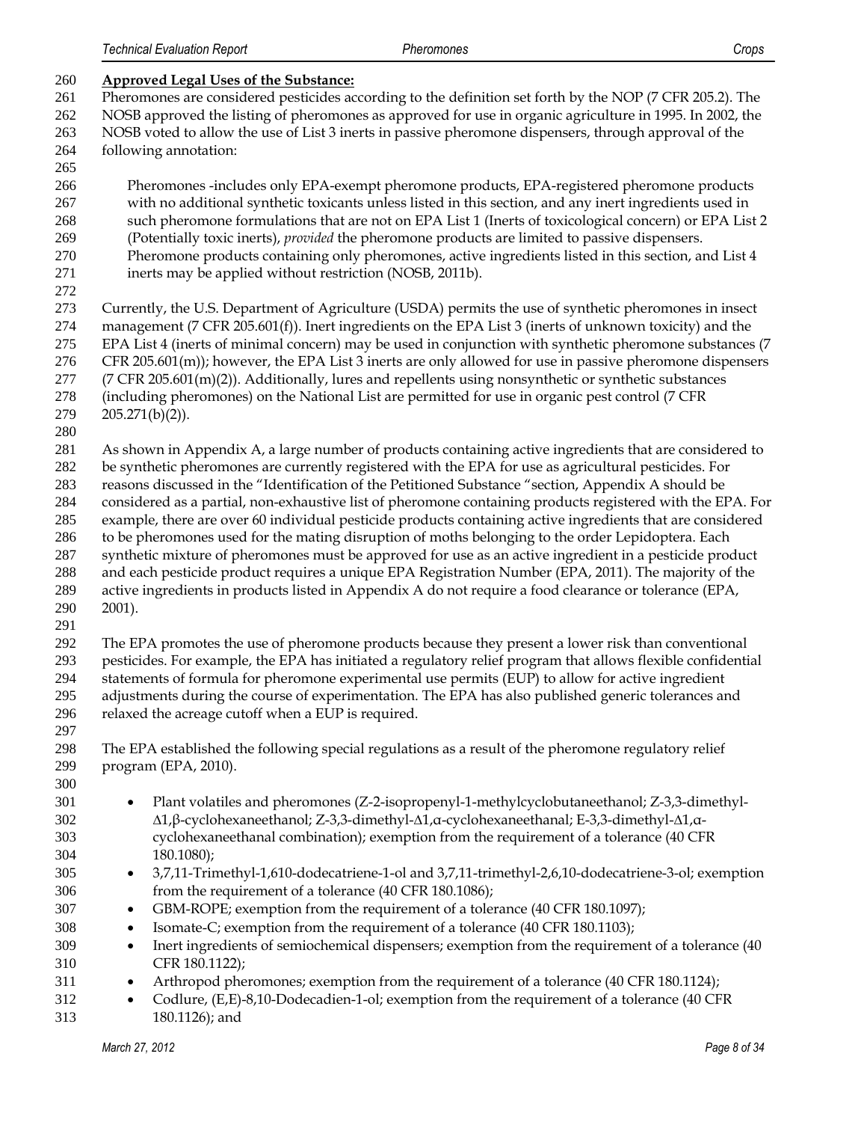| 260        | <b>Approved Legal Uses of the Substance:</b>                                                                                                                                                                     |
|------------|------------------------------------------------------------------------------------------------------------------------------------------------------------------------------------------------------------------|
| 261        | Pheromones are considered pesticides according to the definition set forth by the NOP (7 CFR 205.2). The                                                                                                         |
| 262        | NOSB approved the listing of pheromones as approved for use in organic agriculture in 1995. In 2002, the                                                                                                         |
| 263        | NOSB voted to allow the use of List 3 inerts in passive pheromone dispensers, through approval of the                                                                                                            |
| 264        | following annotation:                                                                                                                                                                                            |
| 265        |                                                                                                                                                                                                                  |
| 266        | Pheromones -includes only EPA-exempt pheromone products, EPA-registered pheromone products                                                                                                                       |
| 267        | with no additional synthetic toxicants unless listed in this section, and any inert ingredients used in                                                                                                          |
| 268        | such pheromone formulations that are not on EPA List 1 (Inerts of toxicological concern) or EPA List 2                                                                                                           |
| 269        | (Potentially toxic inerts), provided the pheromone products are limited to passive dispensers.                                                                                                                   |
| 270        | Pheromone products containing only pheromones, active ingredients listed in this section, and List 4                                                                                                             |
| 271        | inerts may be applied without restriction (NOSB, 2011b).                                                                                                                                                         |
| 272        |                                                                                                                                                                                                                  |
| 273        | Currently, the U.S. Department of Agriculture (USDA) permits the use of synthetic pheromones in insect                                                                                                           |
| 274        | management ( $7$ CFR 205.601(f)). Inert ingredients on the EPA List 3 (inerts of unknown toxicity) and the                                                                                                       |
| 275        | EPA List 4 (inerts of minimal concern) may be used in conjunction with synthetic pheromone substances (7                                                                                                         |
| 276        | CFR $205.601(m)$ ; however, the EPA List 3 inerts are only allowed for use in passive pheromone dispensers                                                                                                       |
| 277        | (7 CFR 205.601(m)(2)). Additionally, lures and repellents using nonsynthetic or synthetic substances                                                                                                             |
| 278        | (including pheromones) on the National List are permitted for use in organic pest control (7 CFR                                                                                                                 |
| 279        | $205.271(b)(2)$ ).                                                                                                                                                                                               |
| 280        |                                                                                                                                                                                                                  |
| 281        | As shown in Appendix A, a large number of products containing active ingredients that are considered to                                                                                                          |
| 282        | be synthetic pheromones are currently registered with the EPA for use as agricultural pesticides. For                                                                                                            |
| 283        | reasons discussed in the "Identification of the Petitioned Substance "section, Appendix A should be                                                                                                              |
| 284        | considered as a partial, non-exhaustive list of pheromone containing products registered with the EPA. For                                                                                                       |
| 285        | example, there are over 60 individual pesticide products containing active ingredients that are considered                                                                                                       |
| 286        | to be pheromones used for the mating disruption of moths belonging to the order Lepidoptera. Each                                                                                                                |
| 287<br>288 | synthetic mixture of pheromones must be approved for use as an active ingredient in a pesticide product<br>and each pesticide product requires a unique EPA Registration Number (EPA, 2011). The majority of the |
| 289        | active ingredients in products listed in Appendix A do not require a food clearance or tolerance (EPA,                                                                                                           |
| 290        | 2001).                                                                                                                                                                                                           |
| 291        |                                                                                                                                                                                                                  |
| 292        | The EPA promotes the use of pheromone products because they present a lower risk than conventional                                                                                                               |
| 293        | pesticides. For example, the EPA has initiated a regulatory relief program that allows flexible confidential                                                                                                     |
| 294        | statements of formula for pheromone experimental use permits (EUP) to allow for active ingredient                                                                                                                |
| 295        | adjustments during the course of experimentation. The EPA has also published generic tolerances and                                                                                                              |
| 296        | relaxed the acreage cutoff when a EUP is required.                                                                                                                                                               |
| 297        |                                                                                                                                                                                                                  |
| 298        | The EPA established the following special regulations as a result of the pheromone regulatory relief                                                                                                             |
| 299        | program (EPA, 2010).                                                                                                                                                                                             |
| 300        |                                                                                                                                                                                                                  |
| 301        | Plant volatiles and pheromones (Z-2-isopropenyl-1-methylcyclobutaneethanol; Z-3,3-dimethyl-<br>$\bullet$                                                                                                         |
| 302        | $\Delta 1$ , $\beta$ -cyclohexaneethanol; Z-3,3-dimethyl- $\Delta 1$ , $\alpha$ -cyclohexaneethanal; E-3,3-dimethyl- $\Delta 1$ , $\alpha$ -                                                                     |
| 303        | cyclohexaneethanal combination); exemption from the requirement of a tolerance (40 CFR                                                                                                                           |
| 304        | $180.1080$ ;                                                                                                                                                                                                     |
| 305        | 3,7,11-Trimethyl-1,610-dodecatriene-1-ol and 3,7,11-trimethyl-2,6,10-dodecatriene-3-ol; exemption<br>$\bullet$                                                                                                   |
| 306        | from the requirement of a tolerance (40 CFR 180.1086);                                                                                                                                                           |
| 307        | GBM-ROPE; exemption from the requirement of a tolerance (40 CFR 180.1097);<br>$\bullet$                                                                                                                          |
| 308        | Isomate-C; exemption from the requirement of a tolerance (40 CFR 180.1103);<br>$\bullet$                                                                                                                         |
| 309        | Inert ingredients of semiochemical dispensers; exemption from the requirement of a tolerance (40<br>$\bullet$                                                                                                    |
| 310        | CFR 180.1122);                                                                                                                                                                                                   |
| 311        | Arthropod pheromones; exemption from the requirement of a tolerance (40 CFR 180.1124);<br>$\bullet$                                                                                                              |
| 312        | Codlure, (E,E)-8,10-Dodecadien-1-ol; exemption from the requirement of a tolerance (40 CFR<br>$\bullet$                                                                                                          |
| 313        | 180.1126); and                                                                                                                                                                                                   |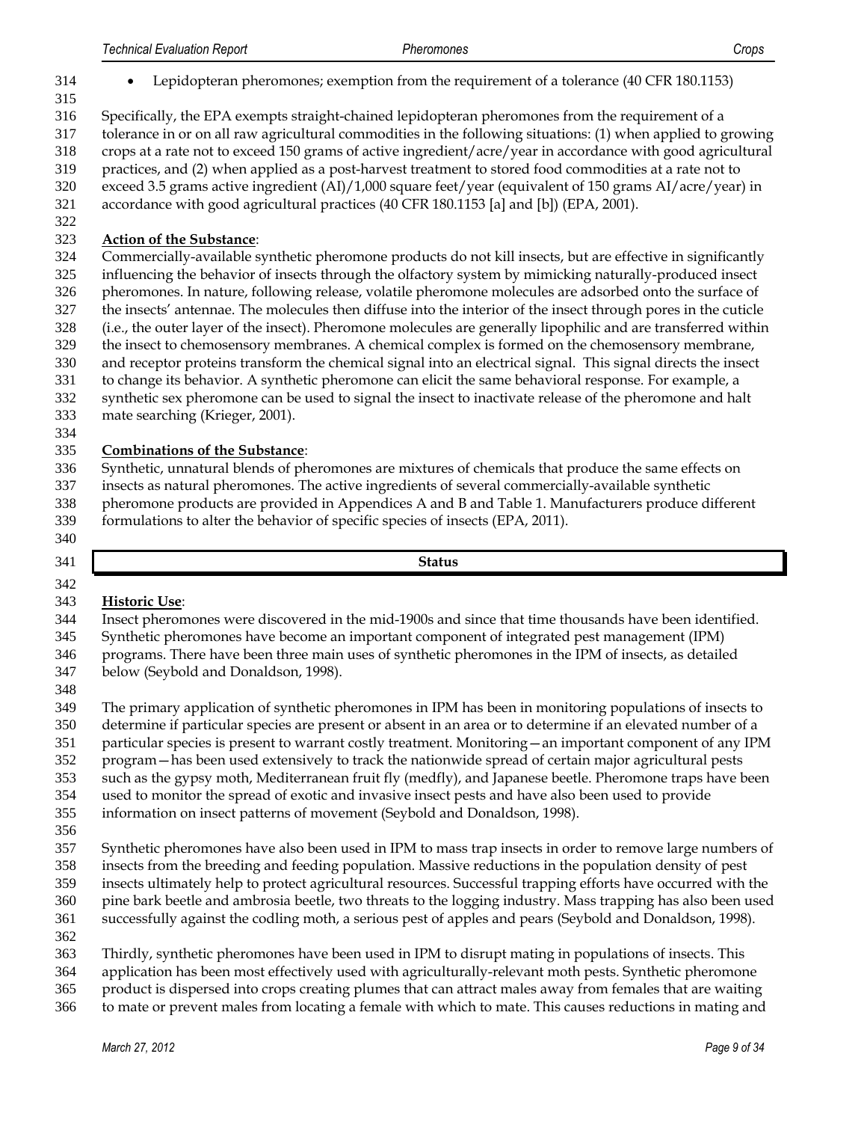- Lepidopteran pheromones; exemption from the requirement of a tolerance [\(40 CFR 180.1153\)](http://ecfr.gpoaccess.gov/cgi/t/text/text-idx?c=ecfr&sid=c36028065e9be4e5879257008749c70a&rgn=div8&view=text&node=40:23.0.1.1.28.4.19.89&idno=40)
- 

Specifically, the EPA exempts straight-chained lepidopteran pheromones from the requirement of a

tolerance in or on all raw agricultural commodities in the following situations: (1) when applied to growing

crops at a rate not to exceed 150 grams of active ingredient/acre/year in accordance with good agricultural

practices, and (2) when applied as a post-harvest treatment to stored food commodities at a rate not to

exceed 3.5 grams active ingredient (AI)/1,000 square feet/year (equivalent of 150 grams AI/acre/year) in

- accordance with good agricultural practices (40 CFR 180.1153 [a] and [b]) (EPA, 2001).
- 

# **Action of the Substance**:

 Commercially-available synthetic pheromone products do not kill insects, but are effective in significantly influencing the behavior of insects through the olfactory system by mimicking naturally-produced insect pheromones. In nature, following release, volatile pheromone molecules are adsorbed onto the surface of the insects' antennae. The molecules then diffuse into the interior of the insect through pores in the cuticle (i.e., the outer layer of the insect). Pheromone molecules are generally lipophilic and are transferred within the insect to chemosensory membranes. A chemical complex is formed on the chemosensory membrane, and receptor proteins transform the chemical signal into an electrical signal. This signal directs the insect to change its behavior. A synthetic pheromone can elicit the same behavioral response. For example, a synthetic sex pheromone can be used to signal the insect to inactivate release of the pheromone and halt

- mate searching (Krieger, 2001).
- 

# **Combinations of the Substance**:

 Synthetic, unnatural blends of pheromones are mixtures of chemicals that produce the same effects on insects as natural pheromones. The active ingredients of several commercially-available synthetic

 pheromone products are provided in Appendices A and B and Table 1. Manufacturers produce different formulations to alter the behavior of specific species of insects (EPA, 2011).

**Status**

# **Historic Use**:

Insect pheromones were discovered in the mid-1900s and since that time thousands have been identified.

Synthetic pheromones have become an important component of integrated pest management (IPM)

 programs. There have been three main uses of synthetic pheromones in the IPM of insects, as detailed below (Seybold and Donaldson, 1998).

 The primary application of synthetic pheromones in IPM has been in monitoring populations of insects to determine if particular species are present or absent in an area or to determine if an elevated number of a

- particular species is present to warrant costly treatment. Monitoring—an important component of any IPM
- program—has been used extensively to track the nationwide spread of certain major agricultural pests
- such as the gypsy moth, Mediterranean fruit fly (medfly), and Japanese beetle. Pheromone traps have been
- used to monitor the spread of exotic and invasive insect pests and have also been used to provide
- information on insect patterns of movement (Seybold and Donaldson, 1998).
- 
- Synthetic pheromones have also been used in IPM to mass trap insects in order to remove large numbers of insects from the breeding and feeding population. Massive reductions in the population density of pest
- insects ultimately help to protect agricultural resources. Successful trapping efforts have occurred with the
- pine bark beetle and ambrosia beetle, two threats to the logging industry. Mass trapping has also been used successfully against the codling moth, a serious pest of apples and pears (Seybold and Donaldson, 1998).
- 
- Thirdly, synthetic pheromones have been used in IPM to disrupt mating in populations of insects. This
- application has been most effectively used with agriculturally-relevant moth pests. Synthetic pheromone
- product is dispersed into crops creating plumes that can attract males away from females that are waiting
- to mate or prevent males from locating a female with which to mate. This causes reductions in mating and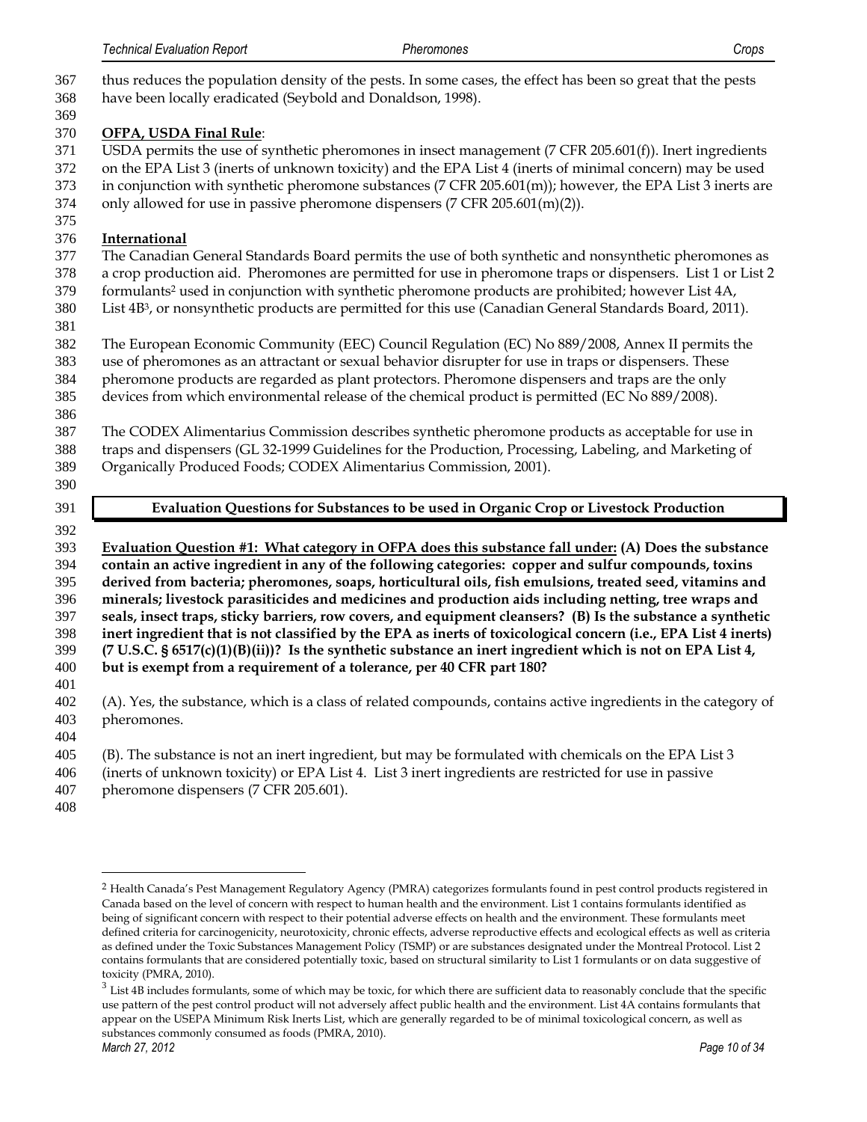thus reduces the population density of the pests. In some cases, the effect has been so great that the pests have been locally eradicated (Seybold and Donaldson, 1998). 

# **OFPA, USDA Final Rule**:

- USDA permits the use of synthetic pheromones in insect management (7 CFR 205.601(f)). Inert ingredients on the EPA List 3 (inerts of unknown toxicity) and the EPA List 4 (inerts of minimal concern) may be used in conjunction with synthetic pheromone substances (7 CFR 205.601(m)); however, the EPA List 3 inerts are
- only allowed for use in passive pheromone dispensers (7 CFR 205.601(m)(2)).
- 

# **International**

- The Canadian General Standards Board permits the use of both synthetic and nonsynthetic pheromones as
- a crop production aid. Pheromones are permitted for use in pheromone traps or dispensers. List 1 or List 2
- 379 formulants<sup>2</sup> used in conjunction with synthetic pheromone products are prohibited; however List 4A, 380 List 4B<sup>3</sup>, or nonsynthetic products are permitted for this use (Canadian General Standards Board, 2011).
- 
- The European Economic Community (EEC) Council Regulation (EC) No 889/2008, Annex II permits the
- use of pheromones as an attractant or sexual behavior disrupter for use in traps or dispensers. These pheromone products are regarded as plant protectors. Pheromone dispensers and traps are the only
- devices from which environmental release of the chemical product is permitted (EC No 889/2008).
- 
- The CODEX Alimentarius Commission describes synthetic pheromone products as acceptable for use in traps and dispensers (GL 32-1999 Guidelines for the Production, Processing, Labeling, and Marketing of Organically Produced Foods; CODEX Alimentarius Commission, 2001).
- 
- 

**Evaluation Questions for Substances to be used in Organic Crop or Livestock Production**

 **Evaluation Question #1: What category in OFPA does this substance fall under: (A) Does the substance contain an active ingredient in any of the following categories: copper and sulfur compounds, toxins derived from bacteria; pheromones, soaps, horticultural oils, fish emulsions, treated seed, vitamins and minerals; livestock parasiticides and medicines and production aids including netting, tree wraps and seals, insect traps, sticky barriers, row covers, and equipment cleansers? (B) Is the substance a synthetic inert ingredient that is not classified by the EPA as inerts of toxicological concern (i.e., EPA List 4 inerts) (7 U.S.C. § 6517(c)(1)(B)(ii))? Is the synthetic substance an inert ingredient which is not on EPA List 4, but is exempt from a requirement of a tolerance, per 40 CFR part 180?**  

- (A). Yes, the substance, which is a class of related compounds, contains active ingredients in the category of pheromones.
- 

(B). The substance is not an inert ingredient, but may be formulated with chemicals on the EPA List 3

- (inerts of unknown toxicity) or EPA List 4. List 3 inert ingredients are restricted for use in passive pheromone dispensers (7 CFR 205.601).
- 

 $\overline{a}$ 

 Health Canada's Pest Management Regulatory Agency (PMRA) categorizes formulants found in pest control products registered in Canada based on the level of concern with respect to human health and the environment. List 1 contains formulants identified as being of significant concern with respect to their potential adverse effects on health and the environment. These formulants meet defined criteria for carcinogenicity, neurotoxicity, chronic effects, adverse reproductive effects and ecological effects as well as criteria as defined under the Toxic Substances Management Policy (TSMP) or are substances designated under the Montreal Protocol. List 2 contains formulants that are considered potentially toxic, based on structural similarity to List 1 formulants or on data suggestive of toxicity (PMRA, 2010).

*March 27, 2012 Page 10 of 34*  $3 \text{ List 4B}$  includes formulants, some of which may be toxic, for which there are sufficient data to reasonably conclude that the specific use pattern of the pest control product will not adversely affect public health and the environment. List 4A contains formulants that appear on the USEPA Minimum Risk Inerts List, which are generally regarded to be of minimal toxicological concern, as well as substances commonly consumed as foods (PMRA, 2010).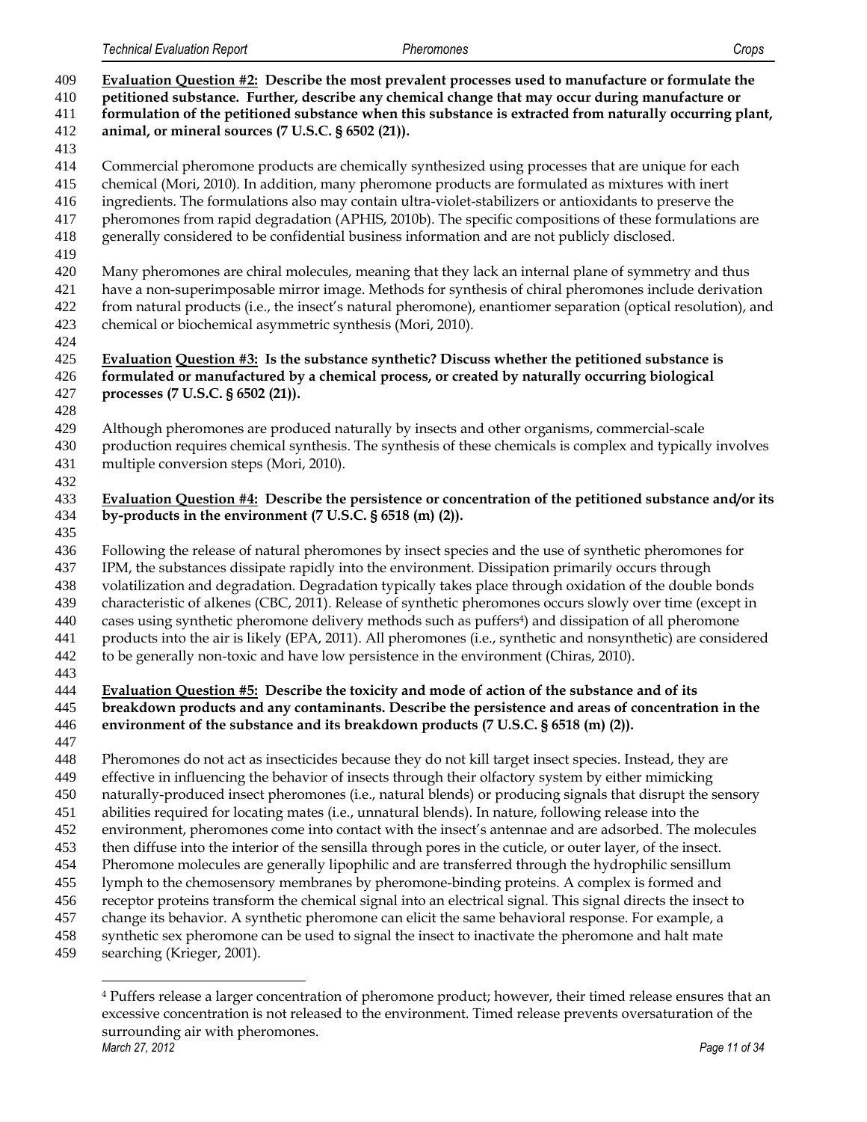| 409<br>410<br>411<br>412<br>413                                                         | Evaluation Question #2: Describe the most prevalent processes used to manufacture or formulate the<br>petitioned substance. Further, describe any chemical change that may occur during manufacture or<br>formulation of the petitioned substance when this substance is extracted from naturally occurring plant,<br>animal, or mineral sources (7 U.S.C. § 6502 (21)).                                                                                                                                                                                                                                                                                                                                                                                                                                                                                                                                                                                                                                                                                                                                                                                                                                                  |
|-----------------------------------------------------------------------------------------|---------------------------------------------------------------------------------------------------------------------------------------------------------------------------------------------------------------------------------------------------------------------------------------------------------------------------------------------------------------------------------------------------------------------------------------------------------------------------------------------------------------------------------------------------------------------------------------------------------------------------------------------------------------------------------------------------------------------------------------------------------------------------------------------------------------------------------------------------------------------------------------------------------------------------------------------------------------------------------------------------------------------------------------------------------------------------------------------------------------------------------------------------------------------------------------------------------------------------|
| 414<br>415<br>416<br>417<br>418<br>419                                                  | Commercial pheromone products are chemically synthesized using processes that are unique for each<br>chemical (Mori, 2010). In addition, many pheromone products are formulated as mixtures with inert<br>ingredients. The formulations also may contain ultra-violet-stabilizers or antioxidants to preserve the<br>pheromones from rapid degradation (APHIS, 2010b). The specific compositions of these formulations are<br>generally considered to be confidential business information and are not publicly disclosed.                                                                                                                                                                                                                                                                                                                                                                                                                                                                                                                                                                                                                                                                                                |
| 420<br>421<br>422<br>423<br>424                                                         | Many pheromones are chiral molecules, meaning that they lack an internal plane of symmetry and thus<br>have a non-superimposable mirror image. Methods for synthesis of chiral pheromones include derivation<br>from natural products (i.e., the insect's natural pheromone), enantiomer separation (optical resolution), and<br>chemical or biochemical asymmetric synthesis (Mori, 2010).                                                                                                                                                                                                                                                                                                                                                                                                                                                                                                                                                                                                                                                                                                                                                                                                                               |
| 425<br>426<br>427                                                                       | Evaluation Question #3: Is the substance synthetic? Discuss whether the petitioned substance is<br>formulated or manufactured by a chemical process, or created by naturally occurring biological<br>processes (7 U.S.C. § 6502 (21)).                                                                                                                                                                                                                                                                                                                                                                                                                                                                                                                                                                                                                                                                                                                                                                                                                                                                                                                                                                                    |
| 428<br>429<br>430<br>431<br>432                                                         | Although pheromones are produced naturally by insects and other organisms, commercial-scale<br>production requires chemical synthesis. The synthesis of these chemicals is complex and typically involves<br>multiple conversion steps (Mori, 2010).                                                                                                                                                                                                                                                                                                                                                                                                                                                                                                                                                                                                                                                                                                                                                                                                                                                                                                                                                                      |
| 433<br>434<br>435                                                                       | Evaluation Question #4: Describe the persistence or concentration of the petitioned substance and/or its<br>by-products in the environment (7 U.S.C. § 6518 (m) (2)).                                                                                                                                                                                                                                                                                                                                                                                                                                                                                                                                                                                                                                                                                                                                                                                                                                                                                                                                                                                                                                                     |
| 436<br>437<br>438<br>439<br>440<br>441<br>442                                           | Following the release of natural pheromones by insect species and the use of synthetic pheromones for<br>IPM, the substances dissipate rapidly into the environment. Dissipation primarily occurs through<br>volatilization and degradation. Degradation typically takes place through oxidation of the double bonds<br>characteristic of alkenes (CBC, 2011). Release of synthetic pheromones occurs slowly over time (except in<br>cases using synthetic pheromone delivery methods such as puffers <sup>4</sup> ) and dissipation of all pheromone<br>products into the air is likely (EPA, 2011). All pheromones (i.e., synthetic and nonsynthetic) are considered<br>to be generally non-toxic and have low persistence in the environment (Chiras, 2010).                                                                                                                                                                                                                                                                                                                                                                                                                                                           |
| 443<br>444<br>445<br>446                                                                | Evaluation Question #5: Describe the toxicity and mode of action of the substance and of its<br>breakdown products and any contaminants. Describe the persistence and areas of concentration in the<br>environment of the substance and its breakdown products (7 U.S.C. § 6518 (m) (2)).                                                                                                                                                                                                                                                                                                                                                                                                                                                                                                                                                                                                                                                                                                                                                                                                                                                                                                                                 |
| 447<br>448<br>449<br>450<br>451<br>452<br>453<br>454<br>455<br>456<br>457<br>458<br>459 | Pheromones do not act as insecticides because they do not kill target insect species. Instead, they are<br>effective in influencing the behavior of insects through their olfactory system by either mimicking<br>naturally-produced insect pheromones (i.e., natural blends) or producing signals that disrupt the sensory<br>abilities required for locating mates (i.e., unnatural blends). In nature, following release into the<br>environment, pheromones come into contact with the insect's antennae and are adsorbed. The molecules<br>then diffuse into the interior of the sensilla through pores in the cuticle, or outer layer, of the insect.<br>Pheromone molecules are generally lipophilic and are transferred through the hydrophilic sensillum<br>lymph to the chemosensory membranes by pheromone-binding proteins. A complex is formed and<br>receptor proteins transform the chemical signal into an electrical signal. This signal directs the insect to<br>change its behavior. A synthetic pheromone can elicit the same behavioral response. For example, a<br>synthetic sex pheromone can be used to signal the insect to inactivate the pheromone and halt mate<br>searching (Krieger, 2001). |
|                                                                                         |                                                                                                                                                                                                                                                                                                                                                                                                                                                                                                                                                                                                                                                                                                                                                                                                                                                                                                                                                                                                                                                                                                                                                                                                                           |

*March 27, 2012 Page 11 of 34* Puffers release a larger concentration of pheromone product; however, their timed release ensures that an excessive concentration is not released to the environment. Timed release prevents oversaturation of the surrounding air with pheromones.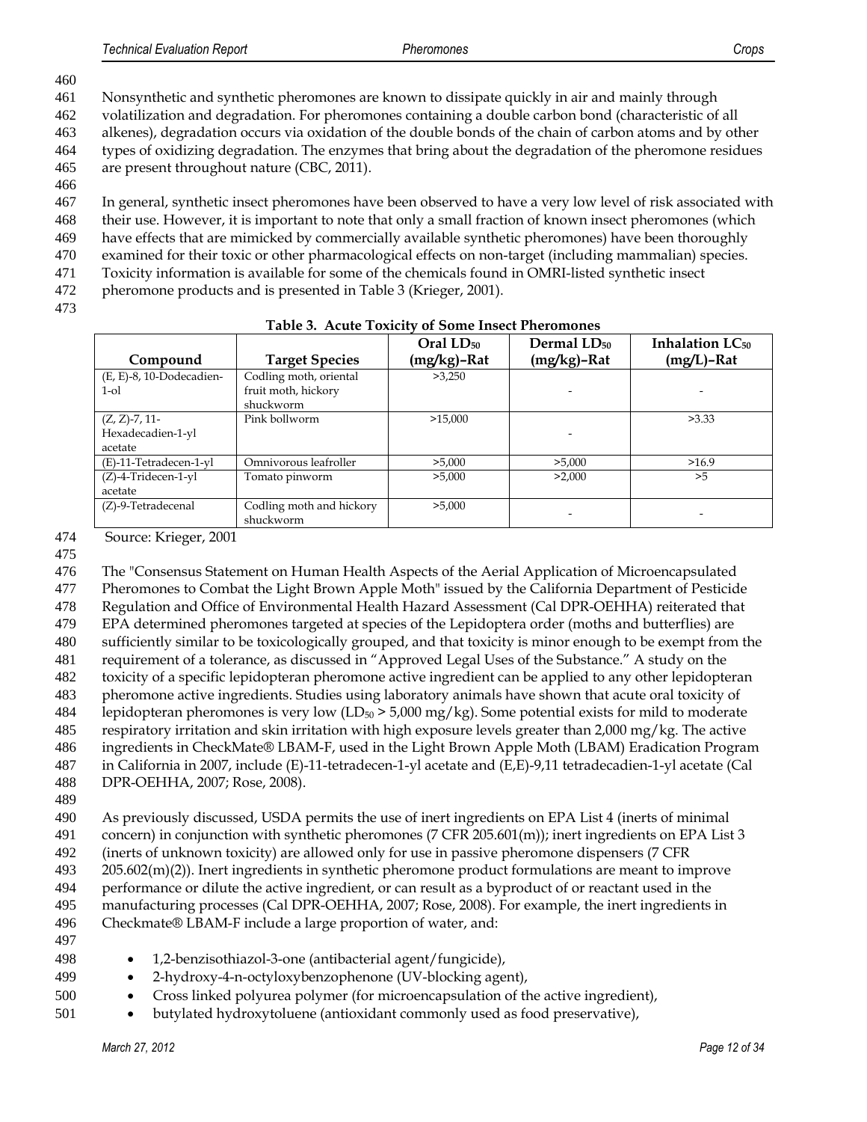461 Nonsynthetic and synthetic pheromones are known to dissipate quickly in air and mainly through

462 volatilization and degradation. For pheromones containing a double carbon bond (characteristic of all

463 alkenes), degradation occurs via oxidation of the double bonds of the chain of carbon atoms and by other 464 types of oxidizing degradation. The enzymes that bring about the degradation of the pheromone residues

465 are present throughout nature (CBC, 2011).

466

467 In general, synthetic insect pheromones have been observed to have a very low level of risk associated with

- 468 their use. However, it is important to note that only a small fraction of known insect pheromones (which
- 469 have effects that are mimicked by commercially available synthetic pheromones) have been thoroughly
- 470 examined for their toxic or other pharmacological effects on non-target (including mammalian) species. 471 Toxicity information is available for some of the chemicals found in OMRI-listed synthetic insect
- 472 pheromone products and is presented in Table 3 (Krieger, 2001).
- 473

| Compound                                         | <b>Target Species</b>                                      | $Oral LD_{50}$<br>(mg/kg)-Rat | Dermal $LD_{50}$<br>$(mg/kg)$ -Rat | Inhalation $LC_{50}$<br>$(mg/L)$ -Rat |
|--------------------------------------------------|------------------------------------------------------------|-------------------------------|------------------------------------|---------------------------------------|
| (E, E)-8, 10-Dodecadien-<br>$1$ -ol              | Codling moth, oriental<br>fruit moth, hickory<br>shuckworm | >3,250                        |                                    |                                       |
| $(Z, Z)$ -7, 11-<br>Hexadecadien-1-yl<br>acetate | Pink bollworm                                              | >15,000                       |                                    | >3.33                                 |
| $(E)$ -11-Tetradecen-1-yl                        | Omnivorous leafroller                                      | >5,000                        | >5,000                             | >16.9                                 |
| (Z)-4-Tridecen-1-yl<br>acetate                   | Tomato pinworm                                             | >5,000                        | >2,000                             | >5                                    |
| $(Z)$ -9-Tetradecenal                            | Codling moth and hickory<br>shuckworm                      | >5,000                        |                                    |                                       |

#### **Table 3. Acute Toxicity of Some Insect Pheromones**

474 Source: Krieger, 2001

475

476 The "Consensus Statement on Human Health Aspects of the Aerial Application of Microencapsulated

477 Pheromones to Combat the Light Brown Apple Moth" issued by the California Department of Pesticide

478 Regulation and Office of Environmental Health Hazard Assessment (Cal DPR-OEHHA) reiterated that 479 EPA determined pheromones targeted at species of the Lepidoptera order (moths and butterflies) are

480 sufficiently similar to be toxicologically grouped, and that toxicity is minor enough to be exempt from the

481 requirement of a tolerance, as discussed in "Approved Legal Uses of the Substance." A study on the

482 toxicity of a specific lepidopteran pheromone active ingredient can be applied to any other lepidopteran

483 pheromone active ingredients. Studies using laboratory animals have shown that acute oral toxicity of

484 lepidopteran pheromones is very low  $(LD_{50} > 5,000 \text{ mg/kg})$ . Some potential exists for mild to moderate

485 respiratory irritation and skin irritation with high exposure levels greater than 2,000 mg/kg. The active

486 ingredients in CheckMate® LBAM-F, used in the Light Brown Apple Moth (LBAM) Eradication Program

487 in California in 2007, include (E)-11-tetradecen-1-yl acetate and (E,E)-9,11 tetradecadien-1-yl acetate (Cal 488 DPR-OEHHA, 2007; Rose, 2008).

489

 As previously discussed, USDA permits the use of inert ingredients on EPA List 4 (inerts of minimal concern) in conjunction with synthetic pheromones (7 CFR 205.601(m)); inert ingredients on EPA List 3 (inerts of unknown toxicity) are allowed only for use in passive pheromone dispensers (7 CFR 205.602(m)(2)). Inert ingredients in synthetic pheromone product formulations are meant to improve performance or dilute the active ingredient, or can result as a byproduct of or reactant used in the manufacturing processes (Cal DPR-OEHHA, 2007; Rose, 2008). For example, the inert ingredients in Checkmate® LBAM-F include a large proportion of water, and:

- 498 1,2-benzisothiazol-3-one (antibacterial agent/fungicide),
- 499 2-hydroxy-4-n-octyloxybenzophenone (UV-blocking agent),
- 500 Cross linked polyurea polymer (for microencapsulation of the active ingredient),
- 501 butylated hydroxytoluene (antioxidant commonly used as food preservative),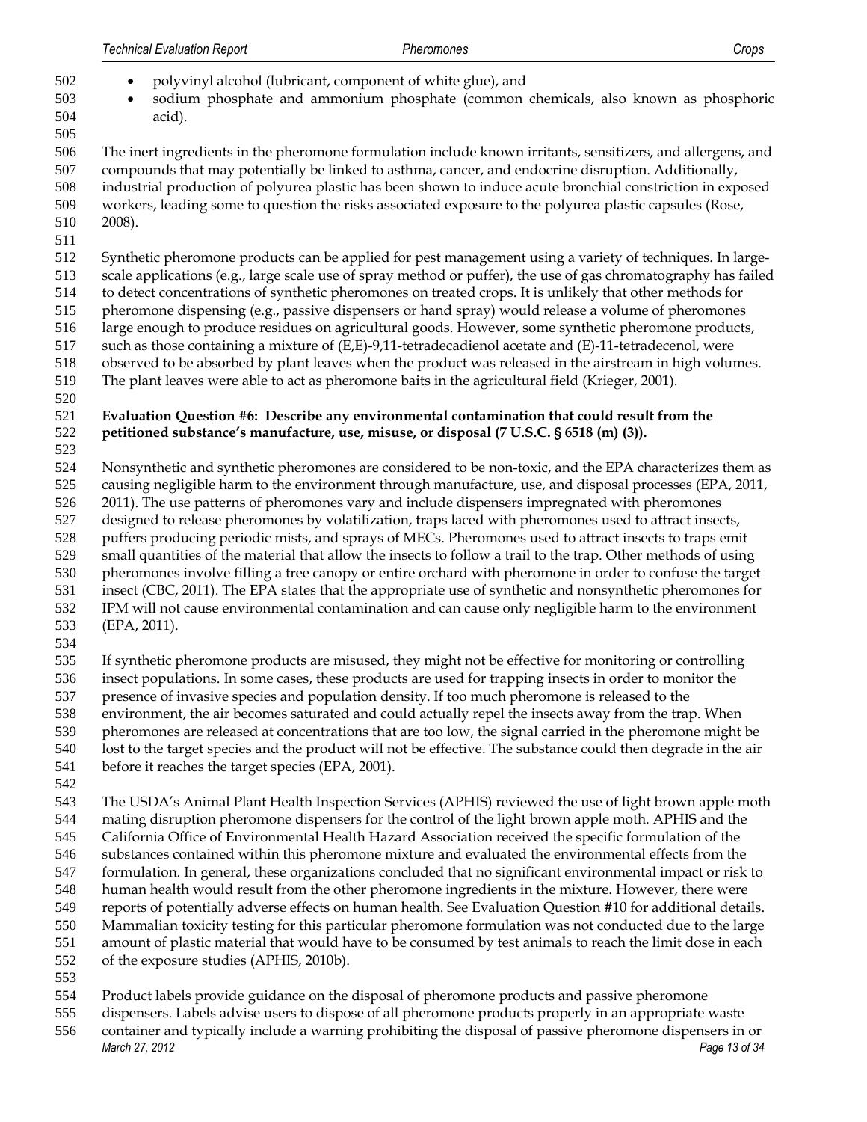- polyvinyl alcohol (lubricant, component of white glue), and
- sodium phosphate and ammonium phosphate (common chemicals, also known as phosphoric acid).
- 

 The inert ingredients in the pheromone formulation include known irritants, sensitizers, and allergens, and compounds that may potentially be linked to asthma, cancer, and endocrine disruption. Additionally, industrial production of polyurea plastic has been shown to induce acute bronchial constriction in exposed workers, leading some to question the risks associated exposure to the polyurea plastic capsules (Rose, 2008).

Synthetic pheromone products can be applied for pest management using a variety of techniques. In large-

scale applications (e.g., large scale use of spray method or puffer), the use of gas chromatography has failed

 to detect concentrations of synthetic pheromones on treated crops. It is unlikely that other methods for pheromone dispensing (e.g., passive dispensers or hand spray) would release a volume of pheromones

large enough to produce residues on agricultural goods. However, some synthetic pheromone products,

such as those containing a mixture of (E,E)-9,11-tetradecadienol acetate and (E)-11-tetradecenol, were

observed to be absorbed by plant leaves when the product was released in the airstream in high volumes.

The plant leaves were able to act as pheromone baits in the agricultural field (Krieger, 2001).

#### **Evaluation Question #6: Describe any environmental contamination that could result from the petitioned substance's manufacture, use, misuse, or disposal (7 U.S.C. § 6518 (m) (3)).**

Nonsynthetic and synthetic pheromones are considered to be non-toxic, and the EPA characterizes them as

causing negligible harm to the environment through manufacture, use, and disposal processes (EPA, 2011,

2011). The use patterns of pheromones vary and include dispensers impregnated with pheromones

designed to release pheromones by volatilization, traps laced with pheromones used to attract insects,

puffers producing periodic mists, and sprays of MECs. Pheromones used to attract insects to traps emit

 small quantities of the material that allow the insects to follow a trail to the trap. Other methods of using pheromones involve filling a tree canopy or entire orchard with pheromone in order to confuse the target

insect (CBC, 2011). The EPA states that the appropriate use of synthetic and nonsynthetic pheromones for

 IPM will not cause environmental contamination and can cause only negligible harm to the environment (EPA, 2011).

 If synthetic pheromone products are misused, they might not be effective for monitoring or controlling insect populations. In some cases, these products are used for trapping insects in order to monitor the

presence of invasive species and population density. If too much pheromone is released to the

environment, the air becomes saturated and could actually repel the insects away from the trap. When

pheromones are released at concentrations that are too low, the signal carried in the pheromone might be

- lost to the target species and the product will not be effective. The substance could then degrade in the air
- before it reaches the target species (EPA, 2001).
- 

 The USDA's Animal Plant Health Inspection Services (APHIS) reviewed the use of light brown apple moth mating disruption pheromone dispensers for the control of the light brown apple moth. APHIS and the

 California Office of Environmental Health Hazard Association received the specific formulation of the substances contained within this pheromone mixture and evaluated the environmental effects from the

formulation. In general, these organizations concluded that no significant environmental impact or risk to

human health would result from the other pheromone ingredients in the mixture. However, there were

reports of potentially adverse effects on human health. See Evaluation Question #10 for additional details.

Mammalian toxicity testing for this particular pheromone formulation was not conducted due to the large

amount of plastic material that would have to be consumed by test animals to reach the limit dose in each

of the exposure studies (APHIS, 2010b).

Product labels provide guidance on the disposal of pheromone products and passive pheromone

- dispensers. Labels advise users to dispose of all pheromone products properly in an appropriate waste
- *March 27, 2012 Page 13 of 34* container and typically include a warning prohibiting the disposal of passive pheromone dispensers in or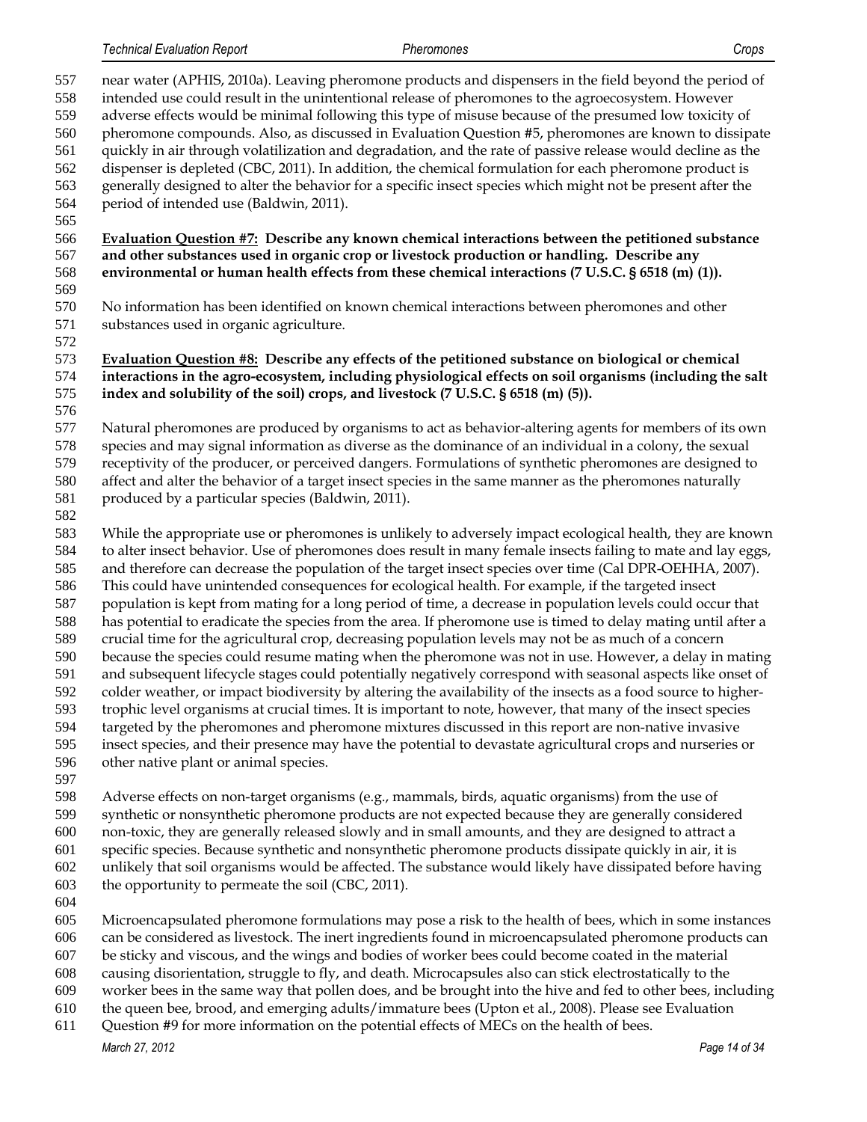*Technical Evaluation Report Pheromones Crops*

 near water (APHIS, 2010a). Leaving pheromone products and dispensers in the field beyond the period of intended use could result in the unintentional release of pheromones to the agroecosystem. However adverse effects would be minimal following this type of misuse because of the presumed low toxicity of pheromone compounds. Also, as discussed in Evaluation Question #5, pheromones are known to dissipate quickly in air through volatilization and degradation, and the rate of passive release would decline as the dispenser is depleted (CBC, 2011). In addition, the chemical formulation for each pheromone product is generally designed to alter the behavior for a specific insect species which might not be present after the period of intended use (Baldwin, 2011). **Evaluation Question #7: Describe any known chemical interactions between the petitioned substance and other substances used in organic crop or livestock production or handling. Describe any environmental or human health effects from these chemical interactions (7 U.S.C. § 6518 (m) (1)).** No information has been identified on known chemical interactions between pheromones and other substances used in organic agriculture. **Evaluation Question #8: Describe any effects of the petitioned substance on biological or chemical interactions in the agro-ecosystem, including physiological effects on soil organisms (including the salt index and solubility of the soil) crops, and livestock (7 U.S.C. § 6518 (m) (5)).** Natural pheromones are produced by organisms to act as behavior-altering agents for members of its own species and may signal information as diverse as the dominance of an individual in a colony, the sexual receptivity of the producer, or perceived dangers. Formulations of synthetic pheromones are designed to affect and alter the behavior of a target insect species in the same manner as the pheromones naturally 581 produced by a particular species (Baldwin, 2011). While the appropriate use or pheromones is unlikely to adversely impact ecological health, they are known to alter insect behavior. Use of pheromones does result in many female insects failing to mate and lay eggs, and therefore can decrease the population of the target insect species over time (Cal DPR-OEHHA, 2007). This could have unintended consequences for ecological health. For example, if the targeted insect population is kept from mating for a long period of time, a decrease in population levels could occur that has potential to eradicate the species from the area. If pheromone use is timed to delay mating until after a crucial time for the agricultural crop, decreasing population levels may not be as much of a concern because the species could resume mating when the pheromone was not in use. However, a delay in mating and subsequent lifecycle stages could potentially negatively correspond with seasonal aspects like onset of colder weather, or impact biodiversity by altering the availability of the insects as a food source to higher- trophic level organisms at crucial times. It is important to note, however, that many of the insect species targeted by the pheromones and pheromone mixtures discussed in this report are non-native invasive insect species, and their presence may have the potential to devastate agricultural crops and nurseries or other native plant or animal species. Adverse effects on non-target organisms (e.g., mammals, birds, aquatic organisms) from the use of synthetic or nonsynthetic pheromone products are not expected because they are generally considered non-toxic, they are generally released slowly and in small amounts, and they are designed to attract a specific species. Because synthetic and nonsynthetic pheromone products dissipate quickly in air, it is unlikely that soil organisms would be affected. The substance would likely have dissipated before having the opportunity to permeate the soil (CBC, 2011). 

- Microencapsulated pheromone formulations may pose a risk to the health of bees, which in some instances
- can be considered as livestock. The inert ingredients found in microencapsulated pheromone products can
- be sticky and viscous, and the wings and bodies of worker bees could become coated in the material
- causing disorientation, struggle to fly, and death. Microcapsules also can stick electrostatically to the worker bees in the same way that pollen does, and be brought into the hive and fed to other bees, including
- the queen bee, brood, and emerging adults/immature bees (Upton et al., 2008). Please see Evaluation
- Question #9 for more information on the potential effects of MECs on the health of bees.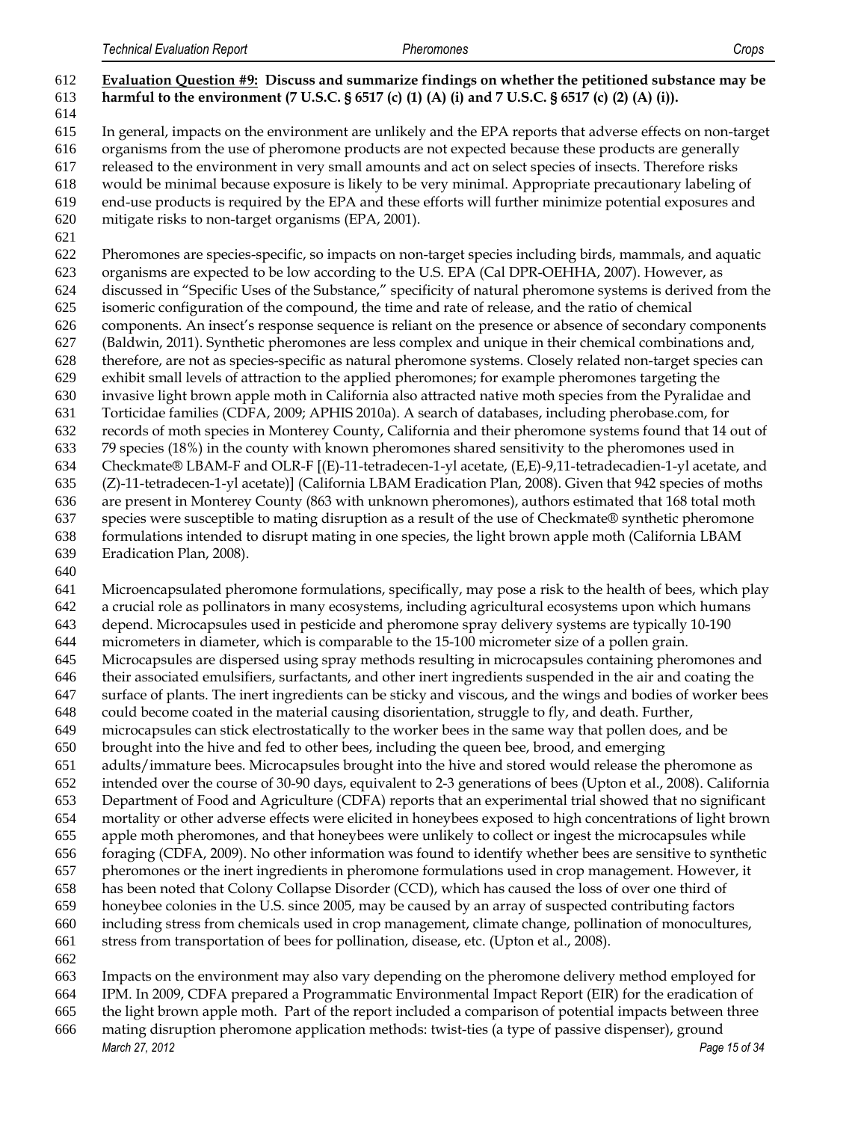# **Evaluation Question #9: Discuss and summarize findings on whether the petitioned substance may be harmful to the environment (7 U.S.C. § 6517 (c) (1) (A) (i) and 7 U.S.C. § 6517 (c) (2) (A) (i)).**

 In general, impacts on the environment are unlikely and the EPA reports that adverse effects on non-target

organisms from the use of pheromone products are not expected because these products are generally

- released to the environment in very small amounts and act on select species of insects. Therefore risks
- would be minimal because exposure is likely to be very minimal. Appropriate precautionary labeling of end-use products is required by the EPA and these efforts will further minimize potential exposures and
- mitigate risks to non-target organisms (EPA, 2001).
- 

 Pheromones are species-specific, so impacts on non-target species including birds, mammals, and aquatic organisms are expected to be low according to the U.S. EPA (Cal DPR-OEHHA, 2007). However, as discussed in "Specific Uses of the Substance," specificity of natural pheromone systems is derived from the isomeric configuration of the compound, the time and rate of release, and the ratio of chemical components. An insect's response sequence is reliant on the presence or absence of secondary components (Baldwin, 2011). Synthetic pheromones are less complex and unique in their chemical combinations and, therefore, are not as species-specific as natural pheromone systems. Closely related non-target species can exhibit small levels of attraction to the applied pheromones; for example pheromones targeting the invasive light brown apple moth in California also attracted native moth species from the Pyralidae and Torticidae families (CDFA, 2009; APHIS 2010a). A search of databases, including pherobase.com, for records of moth species in Monterey County, California and their pheromone systems found that 14 out of 79 species (18%) in the county with known pheromones shared sensitivity to the pheromones used in Checkmate® LBAM-F and OLR-F [(E)-11-tetradecen-1-yl acetate, (E,E)-9,11-tetradecadien-1-yl acetate, and (Z)-11-tetradecen-1-yl acetate)] (California LBAM Eradication Plan, 2008). Given that 942 species of moths are present in Monterey County (863 with unknown pheromones), authors estimated that 168 total moth species were susceptible to mating disruption as a result of the use of Checkmate® synthetic pheromone formulations intended to disrupt mating in one species, the light brown apple moth (California LBAM Eradication Plan, 2008).

 Microencapsulated pheromone formulations, specifically, may pose a risk to the health of bees, which play a crucial role as pollinators in many ecosystems, including agricultural ecosystems upon which humans depend. Microcapsules used in pesticide and pheromone spray delivery systems are typically 10-190

micrometers in diameter, which is comparable to the 15-100 micrometer size of a pollen grain.

Microcapsules are dispersed using spray methods resulting in microcapsules containing pheromones and

 their associated emulsifiers, surfactants, and other inert ingredients suspended in the air and coating the surface of plants. The inert ingredients can be sticky and viscous, and the wings and bodies of worker bees

could become coated in the material causing disorientation, struggle to fly, and death. Further,

microcapsules can stick electrostatically to the worker bees in the same way that pollen does, and be

brought into the hive and fed to other bees, including the queen bee, brood, and emerging

adults/immature bees. Microcapsules brought into the hive and stored would release the pheromone as

intended over the course of 30-90 days, equivalent to 2-3 generations of bees (Upton et al., 2008). California

Department of Food and Agriculture (CDFA) reports that an experimental trial showed that no significant

 mortality or other adverse effects were elicited in honeybees exposed to high concentrations of light brown apple moth pheromones, and that honeybees were unlikely to collect or ingest the microcapsules while

foraging (CDFA, 2009). No other information was found to identify whether bees are sensitive to synthetic

pheromones or the inert ingredients in pheromone formulations used in crop management. However, it

has been noted that Colony Collapse Disorder (CCD), which has caused the loss of over one third of

honeybee colonies in the U.S. since 2005, may be caused by an array of suspected contributing factors

 including stress from chemicals used in crop management, climate change, pollination of monocultures, stress from transportation of bees for pollination, disease, etc. (Upton et al., 2008).

Impacts on the environment may also vary depending on the pheromone delivery method employed for

IPM. In 2009, CDFA prepared a Programmatic Environmental Impact Report (EIR) for the eradication of

the light brown apple moth. Part of the report included a comparison of potential impacts between three

*March 27, 2012 Page 15 of 34* mating disruption pheromone application methods: twist-ties (a type of passive dispenser), ground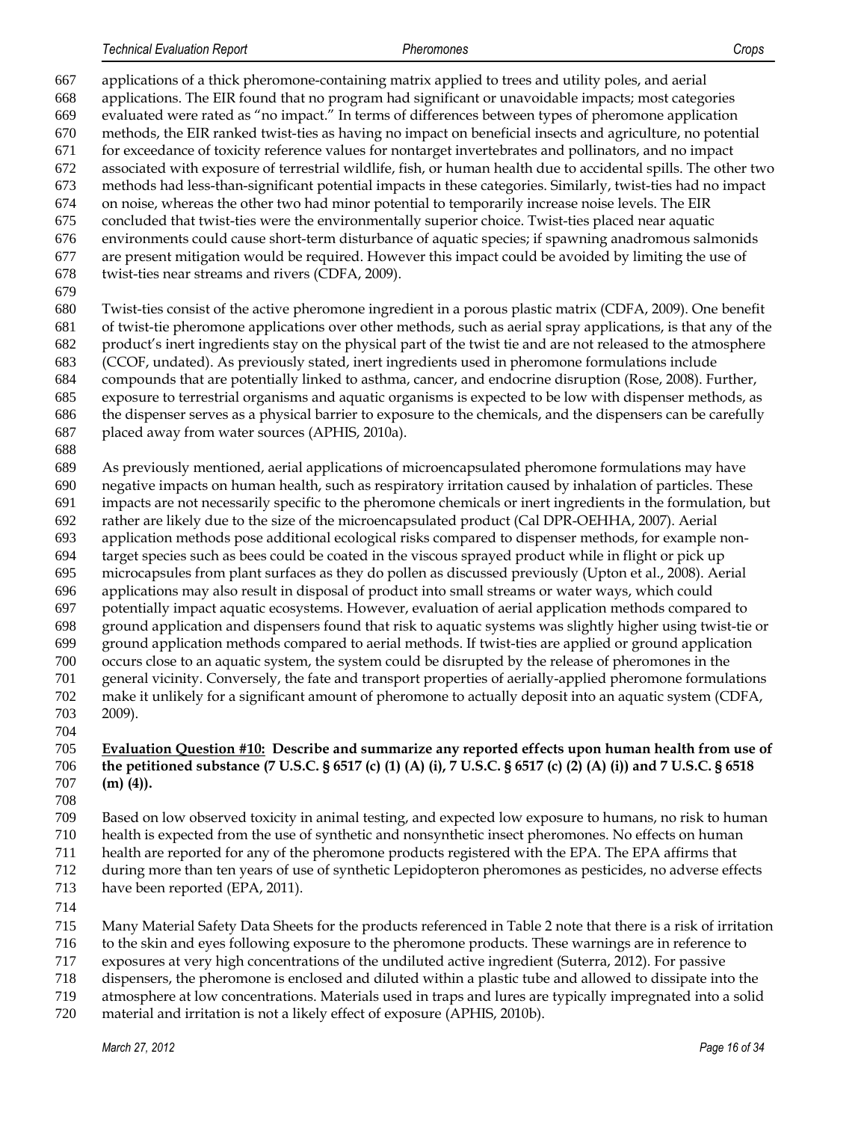applications of a thick pheromone-containing matrix applied to trees and utility poles, and aerial applications. The EIR found that no program had significant or unavoidable impacts; most categories evaluated were rated as "no impact." In terms of differences between types of pheromone application methods, the EIR ranked twist-ties as having no impact on beneficial insects and agriculture, no potential for exceedance of toxicity reference values for nontarget invertebrates and pollinators, and no impact associated with exposure of terrestrial wildlife, fish, or human health due to accidental spills. The other two methods had less-than-significant potential impacts in these categories. Similarly, twist-ties had no impact on noise, whereas the other two had minor potential to temporarily increase noise levels. The EIR concluded that twist-ties were the environmentally superior choice. Twist-ties placed near aquatic environments could cause short-term disturbance of aquatic species; if spawning anadromous salmonids are present mitigation would be required. However this impact could be avoided by limiting the use of twist-ties near streams and rivers (CDFA, 2009). Twist-ties consist of the active pheromone ingredient in a porous plastic matrix (CDFA, 2009). One benefit of twist-tie pheromone applications over other methods, such as aerial spray applications, is that any of the product's inert ingredients stay on the physical part of the twist tie and are not released to the atmosphere (CCOF, undated). As previously stated, inert ingredients used in pheromone formulations include compounds that are potentially linked to asthma, cancer, and endocrine disruption (Rose, 2008). Further, exposure to terrestrial organisms and aquatic organisms is expected to be low with dispenser methods, as the dispenser serves as a physical barrier to exposure to the chemicals, and the dispensers can be carefully placed away from water sources (APHIS, 2010a). As previously mentioned, aerial applications of microencapsulated pheromone formulations may have negative impacts on human health, such as respiratory irritation caused by inhalation of particles. These impacts are not necessarily specific to the pheromone chemicals or inert ingredients in the formulation, but rather are likely due to the size of the microencapsulated product (Cal DPR-OEHHA, 2007). Aerial application methods pose additional ecological risks compared to dispenser methods, for example non- target species such as bees could be coated in the viscous sprayed product while in flight or pick up microcapsules from plant surfaces as they do pollen as discussed previously (Upton et al., 2008). Aerial applications may also result in disposal of product into small streams or water ways, which could potentially impact aquatic ecosystems. However, evaluation of aerial application methods compared to ground application and dispensers found that risk to aquatic systems was slightly higher using twist-tie or ground application methods compared to aerial methods. If twist-ties are applied or ground application occurs close to an aquatic system, the system could be disrupted by the release of pheromones in the general vicinity. Conversely, the fate and transport properties of aerially-applied pheromone formulations make it unlikely for a significant amount of pheromone to actually deposit into an aquatic system (CDFA, 2009).

#### **Evaluation Question #10: Describe and summarize any reported effects upon human health from use of the petitioned substance (7 U.S.C. § 6517 (c) (1) (A) (i), 7 U.S.C. § 6517 (c) (2) (A) (i)) and 7 U.S.C. § 6518 (m) (4)).**

Based on low observed toxicity in animal testing, and expected low exposure to humans, no risk to human

health is expected from the use of synthetic and nonsynthetic insect pheromones. No effects on human

 health are reported for any of the pheromone products registered with the EPA. The EPA affirms that during more than ten years of use of synthetic Lepidopteron pheromones as pesticides, no adverse effects

- 713 have been reported (EPA, 2011).
- 
- Many Material Safety Data Sheets for the products referenced in Table 2 note that there is a risk of irritation

to the skin and eyes following exposure to the pheromone products. These warnings are in reference to

exposures at very high concentrations of the undiluted active ingredient (Suterra, 2012). For passive

dispensers, the pheromone is enclosed and diluted within a plastic tube and allowed to dissipate into the

atmosphere at low concentrations. Materials used in traps and lures are typically impregnated into a solid

material and irritation is not a likely effect of exposure (APHIS, 2010b).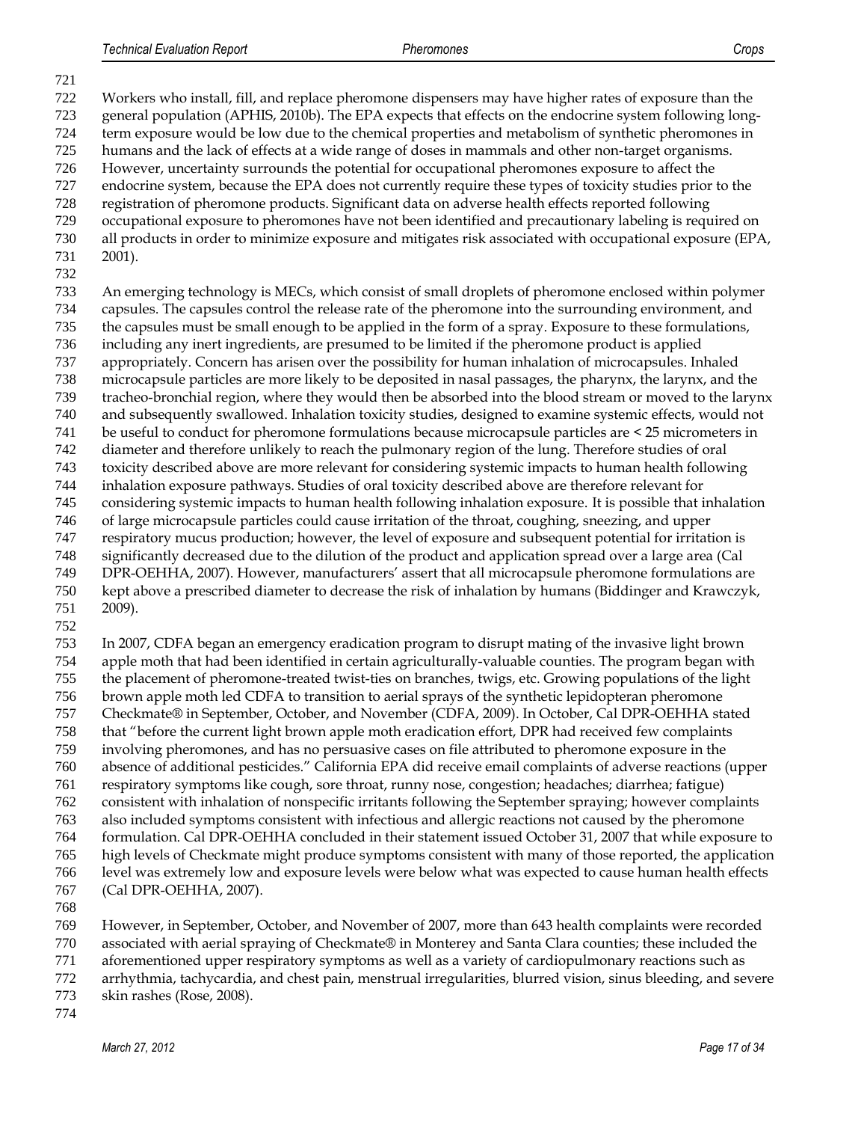Workers who install, fill, and replace pheromone dispensers may have higher rates of exposure than the general population (APHIS, 2010b). The EPA expects that effects on the endocrine system following long- term exposure would be low due to the chemical properties and metabolism of synthetic pheromones in humans and the lack of effects at a wide range of doses in mammals and other non-target organisms. However, uncertainty surrounds the potential for occupational pheromones exposure to affect the endocrine system, because the EPA does not currently require these types of toxicity studies prior to the registration of pheromone products. Significant data on adverse health effects reported following occupational exposure to pheromones have not been identified and precautionary labeling is required on all products in order to minimize exposure and mitigates risk associated with occupational exposure (EPA, 2001). An emerging technology is MECs, which consist of small droplets of pheromone enclosed within polymer capsules. The capsules control the release rate of the pheromone into the surrounding environment, and the capsules must be small enough to be applied in the form of a spray. Exposure to these formulations, including any inert ingredients, are presumed to be limited if the pheromone product is applied appropriately. Concern has arisen over the possibility for human inhalation of microcapsules. Inhaled microcapsule particles are more likely to be deposited in nasal passages, the pharynx, the larynx, and the tracheo-bronchial region, where they would then be absorbed into the blood stream or moved to the larynx and subsequently swallowed. Inhalation toxicity studies, designed to examine systemic effects, would not be useful to conduct for pheromone formulations because microcapsule particles are < 25 micrometers in diameter and therefore unlikely to reach the pulmonary region of the lung. Therefore studies of oral toxicity described above are more relevant for considering systemic impacts to human health following inhalation exposure pathways. Studies of oral toxicity described above are therefore relevant for considering systemic impacts to human health following inhalation exposure. It is possible that inhalation of large microcapsule particles could cause irritation of the throat, coughing, sneezing, and upper respiratory mucus production; however, the level of exposure and subsequent potential for irritation is significantly decreased due to the dilution of the product and application spread over a large area (Cal DPR-OEHHA, 2007). However, manufacturers' assert that all microcapsule pheromone formulations are kept above a prescribed diameter to decrease the risk of inhalation by humans (Biddinger and Krawczyk, 2009). 

 In 2007, CDFA began an emergency eradication program to disrupt mating of the invasive light brown apple moth that had been identified in certain agriculturally-valuable counties. The program began with the placement of pheromone-treated twist-ties on branches, twigs, etc. Growing populations of the light brown apple moth led CDFA to transition to aerial sprays of the synthetic lepidopteran pheromone Checkmate® in September, October, and November (CDFA, 2009). In October, Cal DPR-OEHHA stated that "before the current light brown apple moth eradication effort, DPR had received few complaints involving pheromones, and has no persuasive cases on file attributed to pheromone exposure in the absence of additional pesticides." California EPA did receive email complaints of adverse reactions (upper respiratory symptoms like cough, sore throat, runny nose, congestion; headaches; diarrhea; fatigue) consistent with inhalation of nonspecific irritants following the September spraying; however complaints also included symptoms consistent with infectious and allergic reactions not caused by the pheromone formulation. Cal DPR-OEHHA concluded in their statement issued October 31, 2007 that while exposure to high levels of Checkmate might produce symptoms consistent with many of those reported, the application level was extremely low and exposure levels were below what was expected to cause human health effects (Cal DPR-OEHHA, 2007).

 However, in September, October, and November of 2007, more than 643 health complaints were recorded associated with aerial spraying of Checkmate® in Monterey and Santa Clara counties; these included the aforementioned upper respiratory symptoms as well as a variety of cardiopulmonary reactions such as

arrhythmia, tachycardia, and chest pain, menstrual irregularities, blurred vision, sinus bleeding, and severe

- skin rashes (Rose, 2008).
-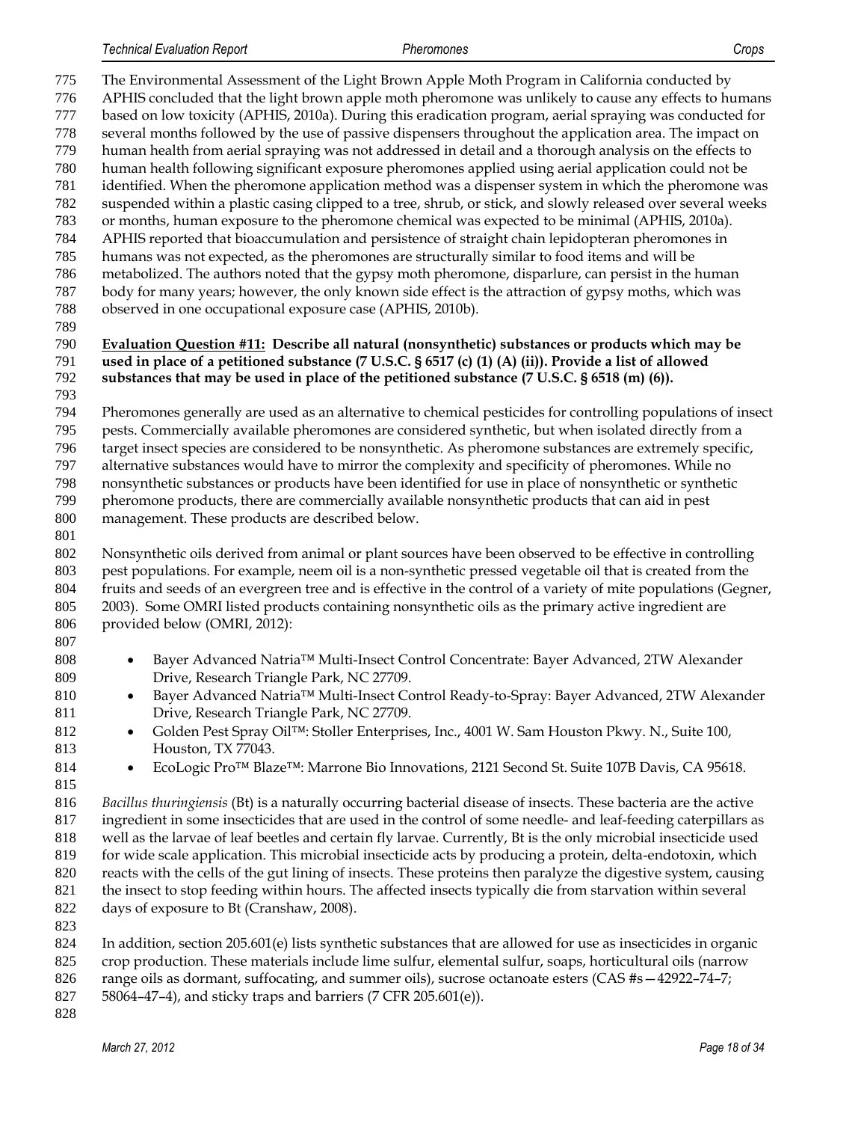The Environmental Assessment of the Light Brown Apple Moth Program in California conducted by APHIS concluded that the light brown apple moth pheromone was unlikely to cause any effects to humans based on low toxicity (APHIS, 2010a). During this eradication program, aerial spraying was conducted for several months followed by the use of passive dispensers throughout the application area. The impact on human health from aerial spraying was not addressed in detail and a thorough analysis on the effects to human health following significant exposure pheromones applied using aerial application could not be identified. When the pheromone application method was a dispenser system in which the pheromone was suspended within a plastic casing clipped to a tree, shrub, or stick, and slowly released over several weeks or months, human exposure to the pheromone chemical was expected to be minimal (APHIS, 2010a). APHIS reported that bioaccumulation and persistence of straight chain lepidopteran pheromones in humans was not expected, as the pheromones are structurally similar to food items and will be metabolized. The authors noted that the gypsy moth pheromone, disparlure, can persist in the human body for many years; however, the only known side effect is the attraction of gypsy moths, which was observed in one occupational exposure case (APHIS, 2010b). **Evaluation Question #11: Describe all natural (nonsynthetic) substances or products which may be used in place of a petitioned substance (7 U.S.C. § 6517 (c) (1) (A) (ii)). Provide a list of allowed substances that may be used in place of the petitioned substance (7 U.S.C. § 6518 (m) (6)).** Pheromones generally are used as an alternative to chemical pesticides for controlling populations of insect pests. Commercially available pheromones are considered synthetic, but when isolated directly from a target insect species are considered to be nonsynthetic. As pheromone substances are extremely specific, alternative substances would have to mirror the complexity and specificity of pheromones. While no nonsynthetic substances or products have been identified for use in place of nonsynthetic or synthetic pheromone products, there are commercially available nonsynthetic products that can aid in pest management. These products are described below. Nonsynthetic oils derived from animal or plant sources have been observed to be effective in controlling pest populations. For example, neem oil is a non-synthetic pressed vegetable oil that is created from the fruits and seeds of an evergreen tree and is effective in the control of a variety of mite populations (Gegner, 2003). Some OMRI listed products containing nonsynthetic oils as the primary active ingredient are provided below (OMRI, 2012): **Bayer Advanced Natria™ Multi-Insect Control Concentrate: Bayer Advanced, 2TW Alexander**  Drive, Research Triangle Park, NC 27709. 810 • Bayer Advanced Natria™ Multi-Insect Control Ready-to-Spray: Bayer Advanced, 2TW Alexander Drive, Research Triangle Park, NC 27709. 812 ● Golden Pest Spray Oil™: Stoller Enterprises, Inc., 4001 W. Sam Houston Pkwy. N., Suite 100, Houston, TX 77043. **EcoLogic Pro<sup>™</sup> Blaze<sup>™</sup>: Marrone Bio Innovations, 2121 Second St. Suite 107B Davis, CA 95618.**  *Bacillus thuringiensis* (Bt) is a naturally occurring bacterial disease of insects. These bacteria are the active ingredient in some insecticides that are used in the control of some needle- and leaf-feeding caterpillars as well as the larvae of leaf beetles and certain fly larvae. Currently, Bt is the only microbial insecticide used for wide scale application. This microbial insecticide acts by producing a protein, delta-endotoxin, which reacts with the cells of the gut lining of insects. These proteins then paralyze the digestive system, causing the insect to stop feeding within hours. The affected insects typically die from starvation within several days of exposure to Bt (Cranshaw, 2008). In addition, section 205.601(e) lists synthetic substances that are allowed for use as insecticides in organic crop production. These materials include lime sulfur, elemental sulfur, soaps, horticultural oils (narrow 826 range oils as dormant, suffocating, and summer oils), sucrose octanoate esters (CAS #s -42922-74-7;

- 58064–47–4), and sticky traps and barriers (7 CFR 205.601(e)).
-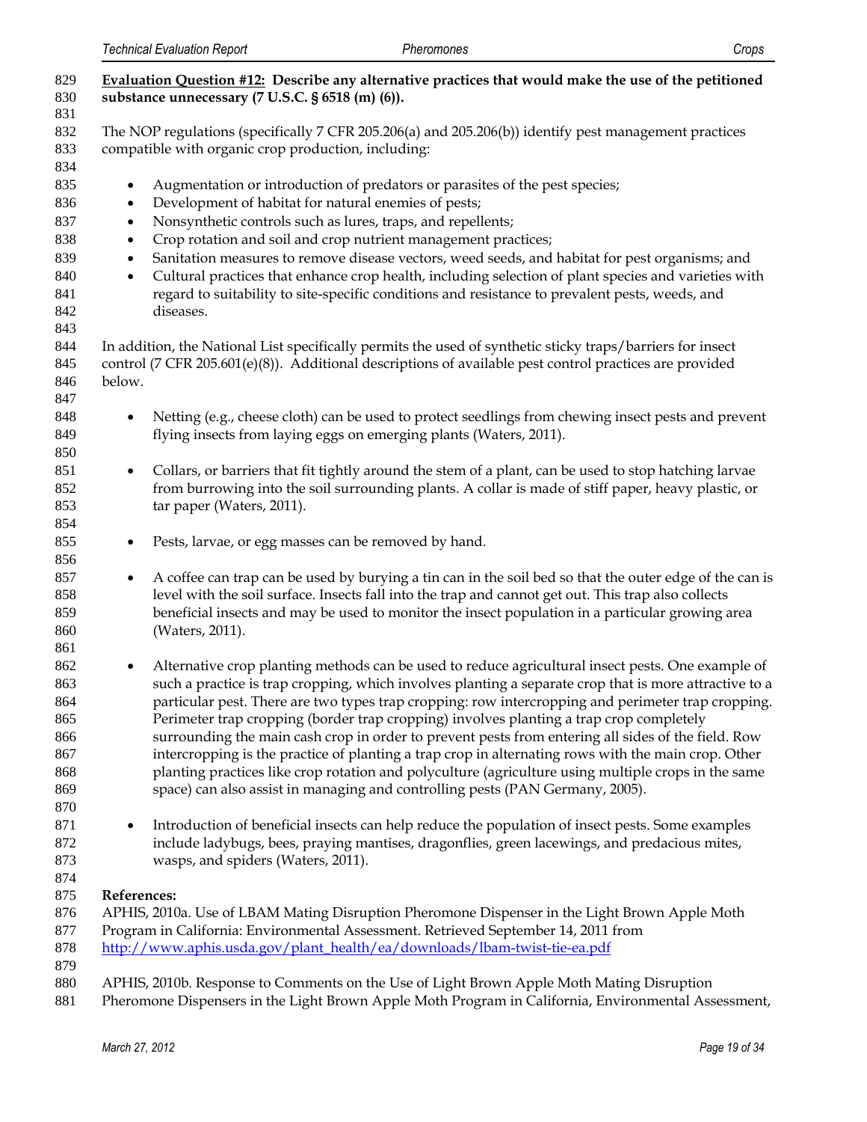| 829 | Evaluation Question #12: Describe any alternative practices that would make the use of the petitioned                |
|-----|----------------------------------------------------------------------------------------------------------------------|
| 830 | substance unnecessary (7 U.S.C. § 6518 (m) (6)).                                                                     |
| 831 |                                                                                                                      |
| 832 | The NOP regulations (specifically 7 CFR 205.206(a) and 205.206(b)) identify pest management practices                |
| 833 | compatible with organic crop production, including:                                                                  |
| 834 |                                                                                                                      |
| 835 | Augmentation or introduction of predators or parasites of the pest species;<br>$\bullet$                             |
| 836 | Development of habitat for natural enemies of pests;<br>$\bullet$                                                    |
| 837 | Nonsynthetic controls such as lures, traps, and repellents;<br>$\bullet$                                             |
| 838 | Crop rotation and soil and crop nutrient management practices;<br>$\bullet$                                          |
| 839 | Sanitation measures to remove disease vectors, weed seeds, and habitat for pest organisms; and<br>$\bullet$          |
| 840 | Cultural practices that enhance crop health, including selection of plant species and varieties with<br>$\bullet$    |
| 841 | regard to suitability to site-specific conditions and resistance to prevalent pests, weeds, and                      |
| 842 | diseases.                                                                                                            |
| 843 |                                                                                                                      |
| 844 | In addition, the National List specifically permits the used of synthetic sticky traps/barriers for insect           |
| 845 | control (7 CFR 205.601(e)(8)). Additional descriptions of available pest control practices are provided              |
| 846 | below.                                                                                                               |
| 847 |                                                                                                                      |
| 848 | Netting (e.g., cheese cloth) can be used to protect seedlings from chewing insect pests and prevent<br>$\bullet$     |
| 849 | flying insects from laying eggs on emerging plants (Waters, 2011).                                                   |
| 850 |                                                                                                                      |
| 851 | Collars, or barriers that fit tightly around the stem of a plant, can be used to stop hatching larvae<br>$\bullet$   |
| 852 | from burrowing into the soil surrounding plants. A collar is made of stiff paper, heavy plastic, or                  |
| 853 | tar paper (Waters, 2011).                                                                                            |
| 854 |                                                                                                                      |
| 855 | Pests, larvae, or egg masses can be removed by hand.<br>$\bullet$                                                    |
| 856 |                                                                                                                      |
| 857 | A coffee can trap can be used by burying a tin can in the soil bed so that the outer edge of the can is<br>$\bullet$ |
| 858 | level with the soil surface. Insects fall into the trap and cannot get out. This trap also collects                  |
| 859 | beneficial insects and may be used to monitor the insect population in a particular growing area                     |
| 860 | (Waters, 2011).                                                                                                      |
| 861 |                                                                                                                      |
| 862 | Alternative crop planting methods can be used to reduce agricultural insect pests. One example of<br>$\bullet$       |
| 863 | such a practice is trap cropping, which involves planting a separate crop that is more attractive to a               |
| 864 | particular pest. There are two types trap cropping: row intercropping and perimeter trap cropping.                   |
| 865 | Perimeter trap cropping (border trap cropping) involves planting a trap crop completely                              |
| 866 | surrounding the main cash crop in order to prevent pests from entering all sides of the field. Row                   |
| 867 | intercropping is the practice of planting a trap crop in alternating rows with the main crop. Other                  |
| 868 | planting practices like crop rotation and polyculture (agriculture using multiple crops in the same                  |
| 869 | space) can also assist in managing and controlling pests (PAN Germany, 2005).                                        |
| 870 |                                                                                                                      |
| 871 | Introduction of beneficial insects can help reduce the population of insect pests. Some examples<br>$\bullet$        |
| 872 | include ladybugs, bees, praying mantises, dragonflies, green lacewings, and predacious mites,                        |
| 873 | wasps, and spiders (Waters, 2011).                                                                                   |
| 874 |                                                                                                                      |
| 875 | References:                                                                                                          |
| 876 | APHIS, 2010a. Use of LBAM Mating Disruption Pheromone Dispenser in the Light Brown Apple Moth                        |
| 877 | Program in California: Environmental Assessment. Retrieved September 14, 2011 from                                   |
| 878 | http://www.aphis.usda.gov/plant_health/ea/downloads/lbam-twist-tie-ea.pdf                                            |
| 879 |                                                                                                                      |
| 880 | APHIS, 2010b. Response to Comments on the Use of Light Brown Apple Moth Mating Disruption                            |
| 881 | Pheromone Dispensers in the Light Brown Apple Moth Program in California, Environmental Assessment,                  |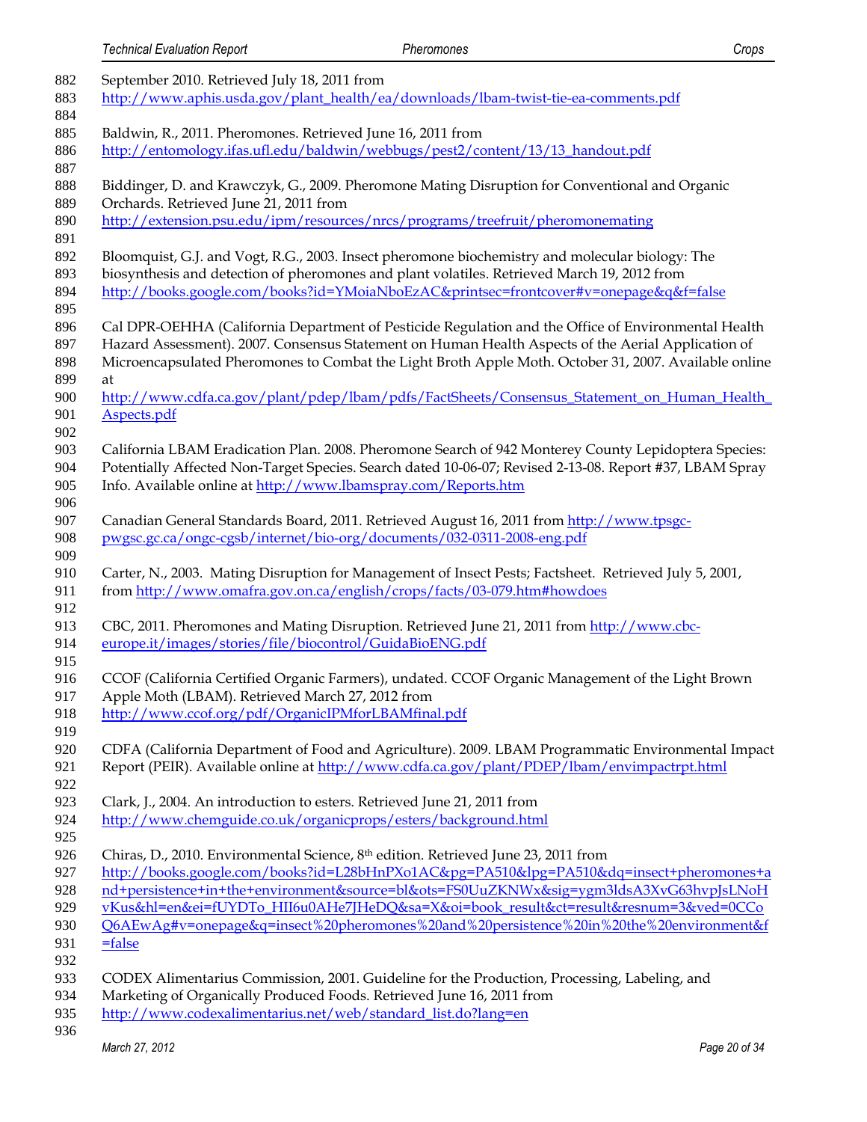| 882 | September 2010. Retrieved July 18, 2011 from                                                            |
|-----|---------------------------------------------------------------------------------------------------------|
| 883 | http://www.aphis.usda.gov/plant_health/ea/downloads/lbam-twist-tie-ea-comments.pdf                      |
| 884 |                                                                                                         |
| 885 | Baldwin, R., 2011. Pheromones. Retrieved June 16, 2011 from                                             |
| 886 | http://entomology.ifas.ufl.edu/baldwin/webbugs/pest2/content/13/13_handout.pdf                          |
| 887 |                                                                                                         |
| 888 | Biddinger, D. and Krawczyk, G., 2009. Pheromone Mating Disruption for Conventional and Organic          |
|     |                                                                                                         |
| 889 | Orchards. Retrieved June 21, 2011 from                                                                  |
| 890 | http://extension.psu.edu/ipm/resources/nrcs/programs/treefruit/pheromonemating                          |
| 891 |                                                                                                         |
| 892 | Bloomquist, G.J. and Vogt, R.G., 2003. Insect pheromone biochemistry and molecular biology: The         |
| 893 | biosynthesis and detection of pheromones and plant volatiles. Retrieved March 19, 2012 from             |
| 894 | http://books.google.com/books?id=YMoiaNboEzAC&printsec=frontcover#v=onepage&q&f=false                   |
| 895 |                                                                                                         |
| 896 | Cal DPR-OEHHA (California Department of Pesticide Regulation and the Office of Environmental Health     |
| 897 | Hazard Assessment). 2007. Consensus Statement on Human Health Aspects of the Aerial Application of      |
| 898 | Microencapsulated Pheromones to Combat the Light Broth Apple Moth. October 31, 2007. Available online   |
| 899 | at                                                                                                      |
| 900 | http://www.cdfa.ca.gov/plant/pdep/lbam/pdfs/FactSheets/Consensus Statement on Human Health              |
| 901 | Aspects.pdf                                                                                             |
| 902 |                                                                                                         |
| 903 | California LBAM Eradication Plan. 2008. Pheromone Search of 942 Monterey County Lepidoptera Species:    |
| 904 | Potentially Affected Non-Target Species. Search dated 10-06-07; Revised 2-13-08. Report #37, LBAM Spray |
| 905 |                                                                                                         |
|     | Info. Available online at http://www.lbamspray.com/Reports.htm                                          |
| 906 |                                                                                                         |
| 907 | Canadian General Standards Board, 2011. Retrieved August 16, 2011 from http://www.tpsgc-                |
| 908 | pwgsc.gc.ca/ongc-cgsb/internet/bio-org/documents/032-0311-2008-eng.pdf                                  |
| 909 |                                                                                                         |
| 910 | Carter, N., 2003. Mating Disruption for Management of Insect Pests; Factsheet. Retrieved July 5, 2001,  |
| 911 | from http://www.omafra.gov.on.ca/english/crops/facts/03-079.htm#howdoes                                 |
| 912 |                                                                                                         |
| 913 | CBC, 2011. Pheromones and Mating Disruption. Retrieved June 21, 2011 from http://www.cbc-               |
| 914 | europe.it/images/stories/file/biocontrol/GuidaBioENG.pdf                                                |
| 915 |                                                                                                         |
| 916 | CCOF (California Certified Organic Farmers), undated. CCOF Organic Management of the Light Brown        |
| 917 | Apple Moth (LBAM). Retrieved March 27, 2012 from                                                        |
| 918 | http://www.ccof.org/pdf/OrganicIPMforLBAMfinal.pdf                                                      |
| 919 |                                                                                                         |
| 920 | CDFA (California Department of Food and Agriculture). 2009. LBAM Programmatic Environmental Impact      |
| 921 | Report (PEIR). Available online at http://www.cdfa.ca.gov/plant/PDEP/lbam/envimpactrpt.html             |
| 922 |                                                                                                         |
| 923 | Clark, J., 2004. An introduction to esters. Retrieved June 21, 2011 from                                |
| 924 | http://www.chemguide.co.uk/organicprops/esters/background.html                                          |
| 925 |                                                                                                         |
|     |                                                                                                         |
| 926 | Chiras, D., 2010. Environmental Science, 8 <sup>th</sup> edition. Retrieved June 23, 2011 from          |
| 927 | http://books.google.com/books?id=L28bHnPXo1AC&pg=PA510&lpg=PA510&dq=insect+pheromones+a                 |
| 928 | nd+persistence+in+the+environment&source=bl&ots=FS0UuZKNWx&sig=ygm3ldsA3XvG63hvpJsLNoH                  |
| 929 | vKus&hl=en&ei=fUYDTo_HII6u0AHe7JHeDQ&sa=X&oi=book_result&ct=result&resnum=3&ved=0CCo                    |
| 930 | Q6AEwAg#v=onepage&q=insect%20pheromones%20and%20persistence%20in%20the%20environment&f                  |
| 931 | $= false$                                                                                               |
| 932 |                                                                                                         |
| 933 | CODEX Alimentarius Commission, 2001. Guideline for the Production, Processing, Labeling, and            |
| 934 |                                                                                                         |
|     | Marketing of Organically Produced Foods. Retrieved June 16, 2011 from                                   |
| 935 | http://www.codexalimentarius.net/web/standard_list.do?lang=en                                           |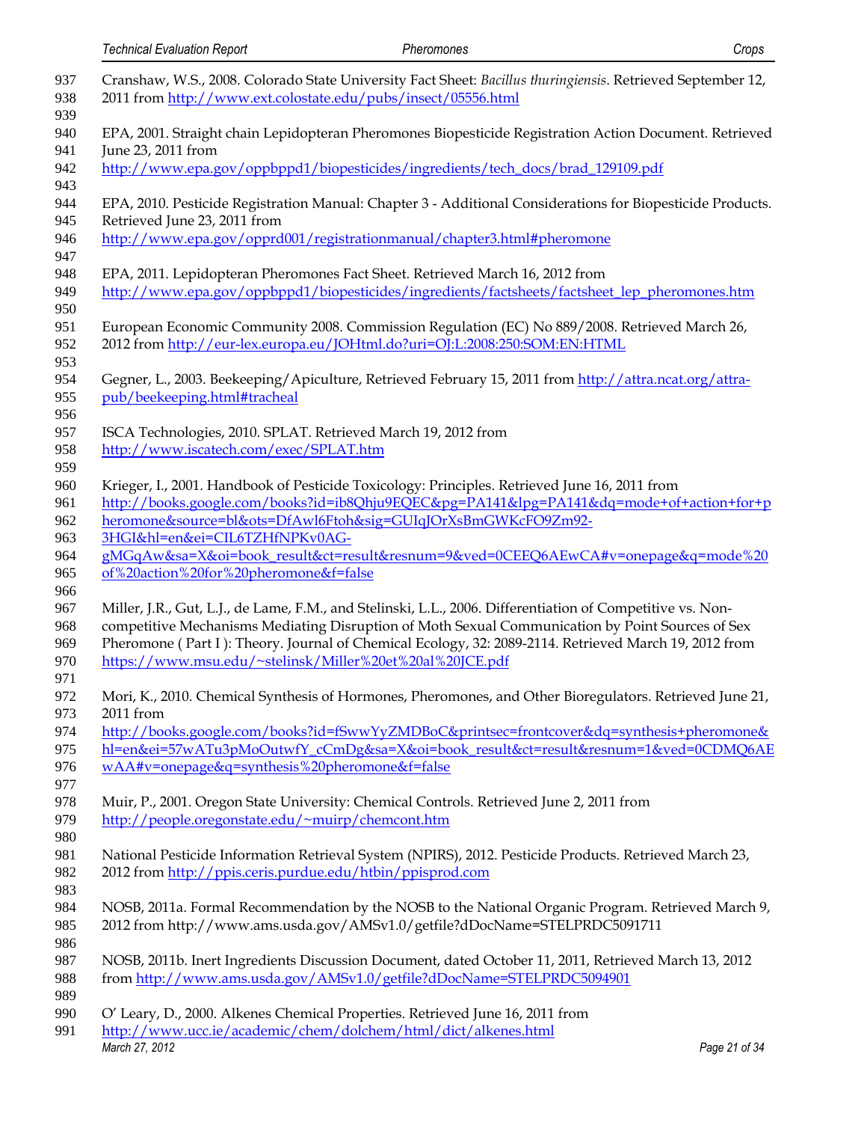| <b>Technical Evaluation Report</b>                                      | Pheromones                                                                                                                                                                                                                                                                                                                                                                          | Crops         |
|-------------------------------------------------------------------------|-------------------------------------------------------------------------------------------------------------------------------------------------------------------------------------------------------------------------------------------------------------------------------------------------------------------------------------------------------------------------------------|---------------|
|                                                                         | Cranshaw, W.S., 2008. Colorado State University Fact Sheet: Bacillus thuringiensis. Retrieved September 12,<br>2011 from http://www.ext.colostate.edu/pubs/insect/05556.html                                                                                                                                                                                                        |               |
|                                                                         | EPA, 2001. Straight chain Lepidopteran Pheromones Biopesticide Registration Action Document. Retrieved                                                                                                                                                                                                                                                                              |               |
| June 23, 2011 from                                                      | http://www.epa.gov/oppbppd1/biopesticides/ingredients/tech_docs/brad_129109.pdf                                                                                                                                                                                                                                                                                                     |               |
| Retrieved June 23, 2011 from                                            | EPA, 2010. Pesticide Registration Manual: Chapter 3 - Additional Considerations for Biopesticide Products.                                                                                                                                                                                                                                                                          |               |
|                                                                         | http://www.epa.gov/opprd001/registrationmanual/chapter3.html#pheromone                                                                                                                                                                                                                                                                                                              |               |
|                                                                         | EPA, 2011. Lepidopteran Pheromones Fact Sheet. Retrieved March 16, 2012 from<br>http://www.epa.gov/oppbppd1/biopesticides/ingredients/factsheets/factsheet_lep_pheromones.htm                                                                                                                                                                                                       |               |
|                                                                         | European Economic Community 2008. Commission Regulation (EC) No 889/2008. Retrieved March 26,<br>2012 from http://eur-lex.europa.eu/JOHtml.do?uri=OJ:L:2008:250:SOM:EN:HTML                                                                                                                                                                                                         |               |
| pub/beekeeping.html#tracheal                                            | Gegner, L., 2003. Beekeeping/Apiculture, Retrieved February 15, 2011 from http://attra.ncat.org/attra-                                                                                                                                                                                                                                                                              |               |
| http://www.iscatech.com/exec/SPLAT.htm                                  | ISCA Technologies, 2010. SPLAT. Retrieved March 19, 2012 from                                                                                                                                                                                                                                                                                                                       |               |
|                                                                         | Krieger, I., 2001. Handbook of Pesticide Toxicology: Principles. Retrieved June 16, 2011 from<br>http://books.google.com/books?id=ib8Qhju9EQEC&pg=PA141&lpg=PA141&dq=mode+of+action+for+p<br>heromone&source=bl&ots=DfAwl6Ftoh&sig=GUIqJOrXsBmGWKcFO9Zm92-                                                                                                                          |               |
| 3HGI&hl=en&ei=CIL6TZHfNPKv0AG-<br>of%20action%20for%20pheromone&f=false | gMGqAw&sa=X&oi=book_result&ct=result&resnum=9&ved=0CEEQ6AEwCA#v=onepage&q=mode%20                                                                                                                                                                                                                                                                                                   |               |
|                                                                         | Miller, J.R., Gut, L.J., de Lame, F.M., and Stelinski, L.L., 2006. Differentiation of Competitive vs. Non-<br>competitive Mechanisms Mediating Disruption of Moth Sexual Communication by Point Sources of Sex<br>Pheromone (Part I): Theory. Journal of Chemical Ecology, 32: 2089-2114. Retrieved March 19, 2012 from<br>https://www.msu.edu/~stelinsk/Miller%20et%20al%20JCE.pdf |               |
| 2011 from                                                               | Mori, K., 2010. Chemical Synthesis of Hormones, Pheromones, and Other Bioregulators. Retrieved June 21,                                                                                                                                                                                                                                                                             |               |
|                                                                         | http://books.google.com/books?id=fSwwYyZMDBoC&printsec=frontcover&dq=synthesis+pheromone&<br>hl=en&ei=57wATu3pMoOutwfY_cCmDg&sa=X&oi=book_result&ct=result&resnum=1&ved=0CDMQ6AE                                                                                                                                                                                                    |               |
| wAA#v=onepage&q=synthesis%20pheromone&f=false                           |                                                                                                                                                                                                                                                                                                                                                                                     |               |
| http://people.oregonstate.edu/~muirp/chemcont.htm                       | Muir, P., 2001. Oregon State University: Chemical Controls. Retrieved June 2, 2011 from                                                                                                                                                                                                                                                                                             |               |
| 2012 from http://ppis.ceris.purdue.edu/htbin/ppisprod.com               | National Pesticide Information Retrieval System (NPIRS), 2012. Pesticide Products. Retrieved March 23,                                                                                                                                                                                                                                                                              |               |
|                                                                         | NOSB, 2011a. Formal Recommendation by the NOSB to the National Organic Program. Retrieved March 9,<br>2012 from http://www.ams.usda.gov/AMSv1.0/getfile?dDocName=STELPRDC5091711                                                                                                                                                                                                    |               |
|                                                                         | NOSB, 2011b. Inert Ingredients Discussion Document, dated October 11, 2011, Retrieved March 13, 2012<br>from http://www.ams.usda.gov/AMSv1.0/getfile?dDocName=STELPRDC5094901                                                                                                                                                                                                       |               |
|                                                                         | O' Leary, D., 2000. Alkenes Chemical Properties. Retrieved June 16, 2011 from                                                                                                                                                                                                                                                                                                       |               |
| March 27, 2012                                                          | http://www.ucc.ie/academic/chem/dolchem/html/dict/alkenes.html                                                                                                                                                                                                                                                                                                                      | Page 21 of 34 |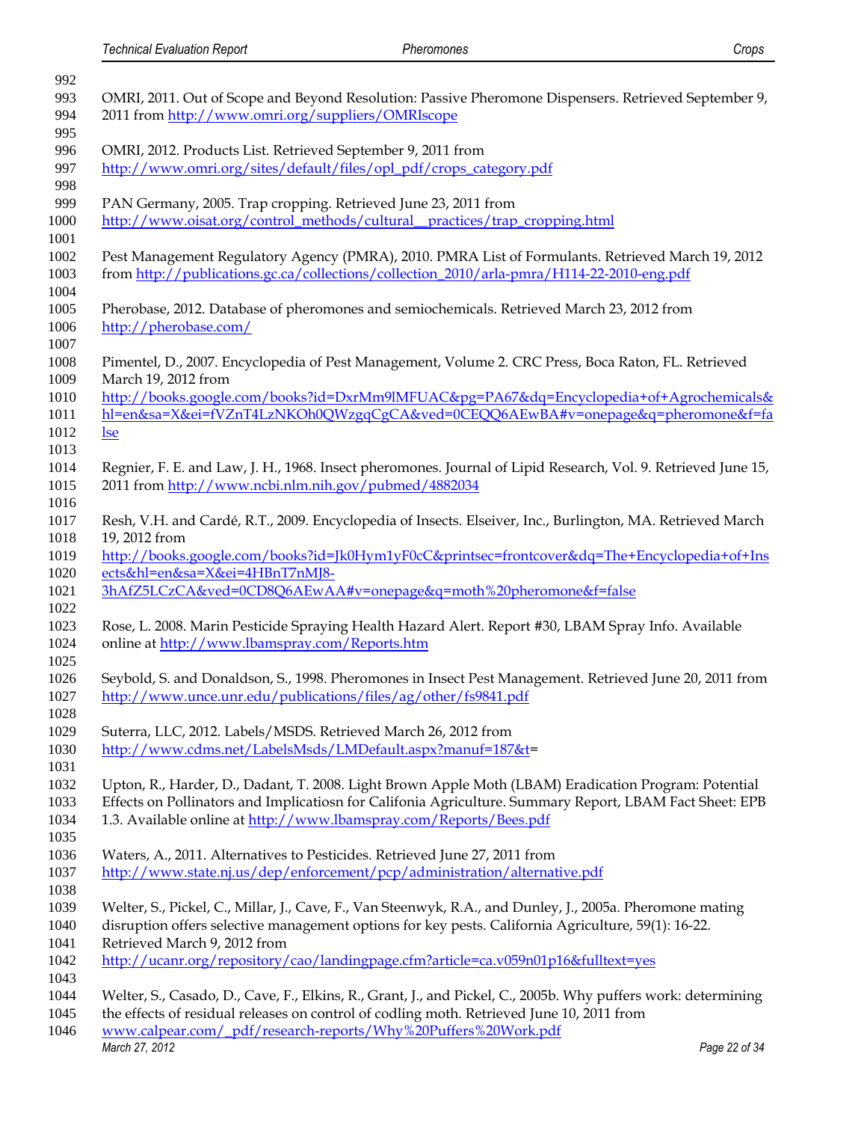| 992<br>993 | OMRI, 2011. Out of Scope and Beyond Resolution: Passive Pheromone Dispensers. Retrieved September 9,                                                                                           |
|------------|------------------------------------------------------------------------------------------------------------------------------------------------------------------------------------------------|
| 994<br>995 | 2011 from http://www.omri.org/suppliers/OMRIscope                                                                                                                                              |
| 996        | OMRI, 2012. Products List. Retrieved September 9, 2011 from                                                                                                                                    |
| 997        | http://www.omri.org/sites/default/files/opl_pdf/crops_category.pdf                                                                                                                             |
| 998<br>999 | PAN Germany, 2005. Trap cropping. Retrieved June 23, 2011 from                                                                                                                                 |
| 1000       | http://www.oisat.org/control_methods/cultural_practices/trap_cropping.html                                                                                                                     |
|            | Pest Management Regulatory Agency (PMRA), 2010. PMRA List of Formulants. Retrieved March 19, 2012<br>from http://publications.gc.ca/collections/collection_2010/arla-pmra/H114-22-2010-eng.pdf |
|            | Pherobase, 2012. Database of pheromones and semiochemicals. Retrieved March 23, 2012 from<br>http://pherobase.com/                                                                             |
|            | Pimentel, D., 2007. Encyclopedia of Pest Management, Volume 2. CRC Press, Boca Raton, FL. Retrieved<br>March 19, 2012 from                                                                     |
|            | http://books.google.com/books?id=DxrMm9lMFUAC&pg=PA67&dq=Encyclopedia+of+Agrochemicals&                                                                                                        |
|            | hl=en&sa=X&ei=fVZnT4LzNKOh0QWzgqCgCA&ved=0CEQQ6AEwBA#v=onepage&q=pheromone&f=fa                                                                                                                |
|            | <u>lse</u>                                                                                                                                                                                     |
|            | Regnier, F. E. and Law, J. H., 1968. Insect pheromones. Journal of Lipid Research, Vol. 9. Retrieved June 15,                                                                                  |
|            | 2011 from http://www.ncbi.nlm.nih.gov/pubmed/4882034                                                                                                                                           |
|            |                                                                                                                                                                                                |
|            | Resh, V.H. and Cardé, R.T., 2009. Encyclopedia of Insects. Elseiver, Inc., Burlington, MA. Retrieved March                                                                                     |
|            | 19, 2012 from                                                                                                                                                                                  |
|            | http://books.google.com/books?id=Jk0Hym1yF0cC&printsec=frontcover&dq=The+Encyclopedia+of+Ins<br>ects&hl=en&sa=X&ei=4HBnT7nMJ8-                                                                 |
|            | 3hAfZ5LCzCA&ved=0CD8Q6AEwAA#v=onepage&q=moth%20pheromone&f=false                                                                                                                               |
|            |                                                                                                                                                                                                |
|            | Rose, L. 2008. Marin Pesticide Spraying Health Hazard Alert. Report #30, LBAM Spray Info. Available                                                                                            |
|            | online at http://www.lbamspray.com/Reports.htm                                                                                                                                                 |
|            |                                                                                                                                                                                                |
|            | Seybold, S. and Donaldson, S., 1998. Pheromones in Insect Pest Management. Retrieved June 20, 2011 from<br>http://www.unce.unr.edu/publications/files/ag/other/fs9841.pdf                      |
|            |                                                                                                                                                                                                |
|            | Suterra, LLC, 2012. Labels/MSDS. Retrieved March 26, 2012 from                                                                                                                                 |
|            | http://www.cdms.net/LabelsMsds/LMDefault.aspx?manuf=187&t=                                                                                                                                     |
|            |                                                                                                                                                                                                |
|            | Upton, R., Harder, D., Dadant, T. 2008. Light Brown Apple Moth (LBAM) Eradication Program: Potential                                                                                           |
|            | Effects on Pollinators and Implicatiosn for Califonia Agriculture. Summary Report, LBAM Fact Sheet: EPB                                                                                        |
|            | 1.3. Available online at http://www.lbamspray.com/Reports/Bees.pdf                                                                                                                             |
|            | Waters, A., 2011. Alternatives to Pesticides. Retrieved June 27, 2011 from                                                                                                                     |
|            | http://www.state.nj.us/dep/enforcement/pcp/administration/alternative.pdf                                                                                                                      |
|            |                                                                                                                                                                                                |
|            | Welter, S., Pickel, C., Millar, J., Cave, F., Van Steenwyk, R.A., and Dunley, J., 2005a. Pheromone mating                                                                                      |
|            | disruption offers selective management options for key pests. California Agriculture, 59(1): 16-22.                                                                                            |
|            | Retrieved March 9, 2012 from                                                                                                                                                                   |
|            | http://ucanr.org/repository/cao/landingpage.cfm?article=ca.v059n01p16&fulltext=yes                                                                                                             |
|            |                                                                                                                                                                                                |
|            | Welter, S., Casado, D., Cave, F., Elkins, R., Grant, J., and Pickel, C., 2005b. Why puffers work: determining                                                                                  |
|            | the effects of residual releases on control of codling moth. Retrieved June 10, 2011 from                                                                                                      |
|            | www.calpear.com/_pdf/research-reports/Why%20Puffers%20Work.pdf<br>March 27, 2012<br>Page 22 of 34                                                                                              |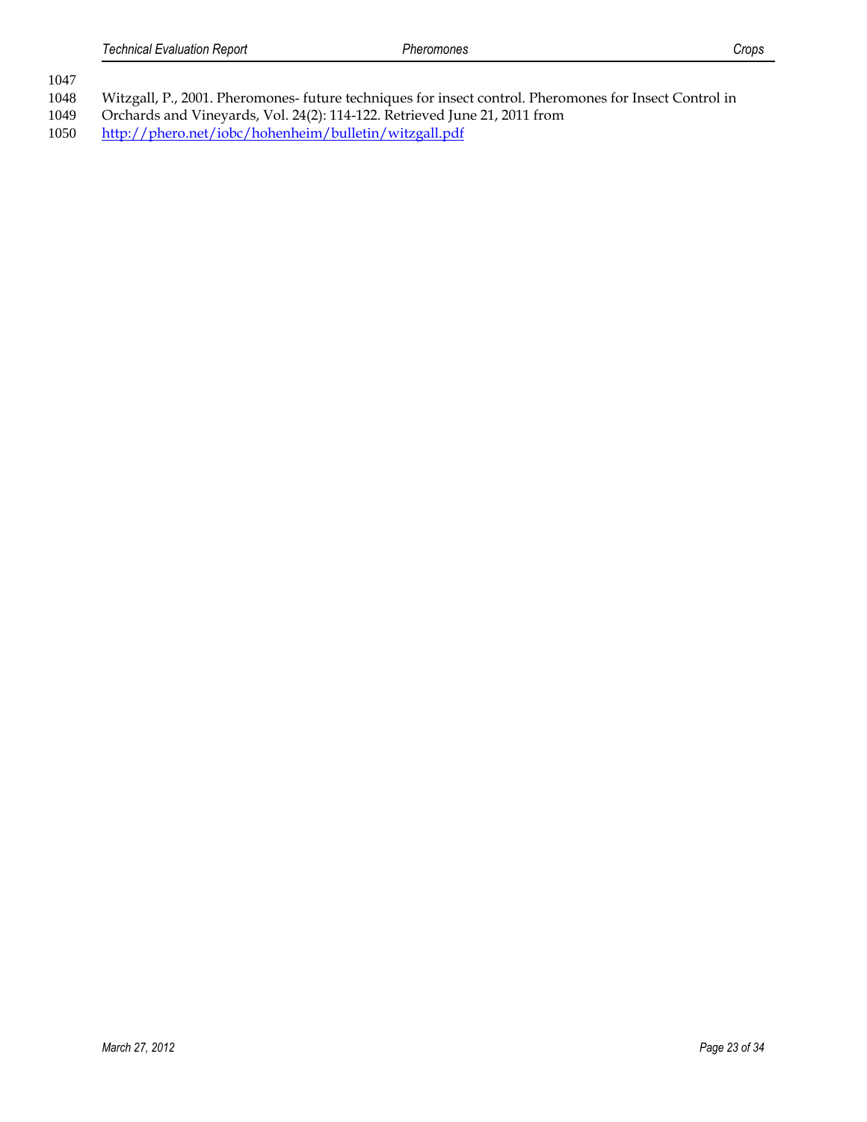- Witzgall, P., 2001. Pheromones- future techniques for insect control. Pheromones for Insect Control in
- Orchards and Vineyards, Vol. 24(2): 114-122. Retrieved June 21, 2011 from
- <http://phero.net/iobc/hohenheim/bulletin/witzgall.pdf>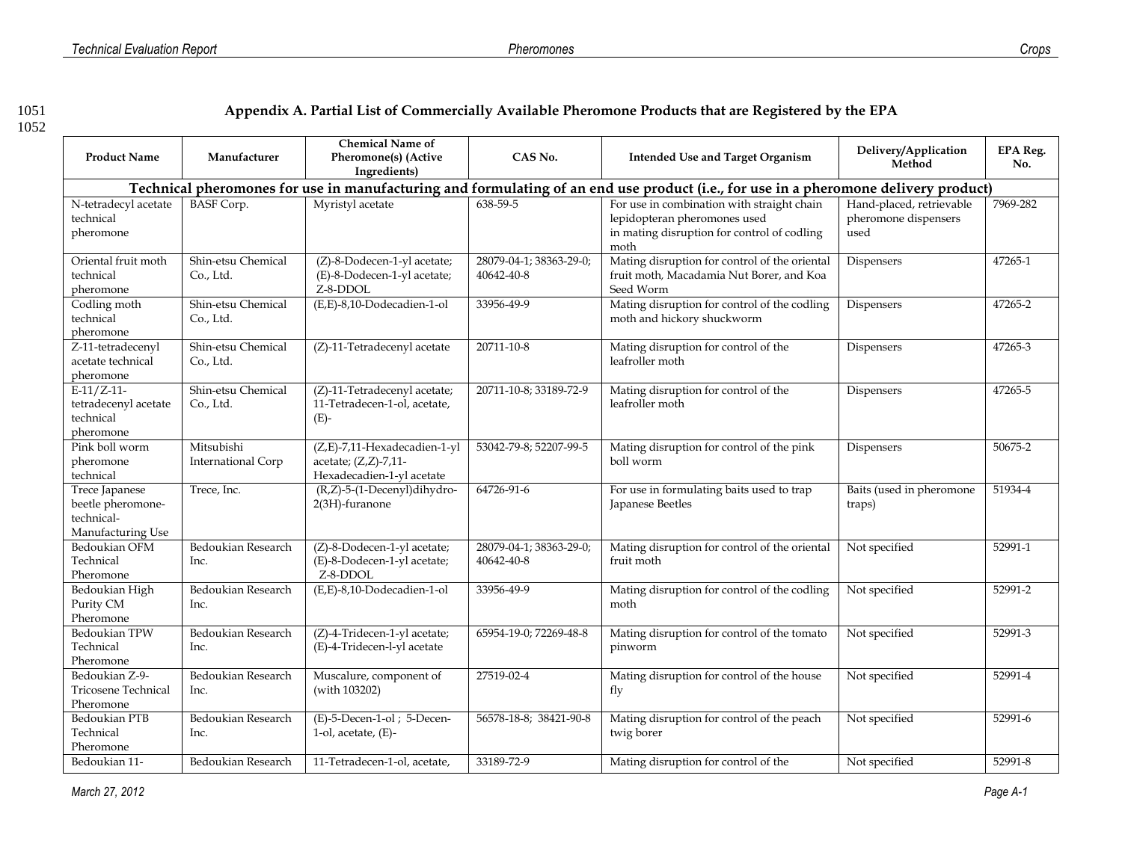1051 **Appendix A. Partial List of Commercially Available Pheromone Products that are Registered by the EPA**

| <b>Product Name</b>                                                    | Manufacturer                            | <b>Chemical Name of</b><br>Pheromone(s) (Active<br>Ingredients)                   | CAS No.                               | <b>Intended Use and Target Organism</b>                                                                                             | Delivery/Application<br>Method                           | <b>EPA Reg.</b><br>No. |
|------------------------------------------------------------------------|-----------------------------------------|-----------------------------------------------------------------------------------|---------------------------------------|-------------------------------------------------------------------------------------------------------------------------------------|----------------------------------------------------------|------------------------|
|                                                                        |                                         |                                                                                   |                                       | Technical pheromones for use in manufacturing and formulating of an end use product (i.e., for use in a pheromone delivery product) |                                                          |                        |
| N-tetradecyl acetate<br>technical<br>pheromone                         | <b>BASF</b> Corp.                       | Myristyl acetate                                                                  | 638-59-5                              | For use in combination with straight chain<br>lepidopteran pheromones used<br>in mating disruption for control of codling<br>moth   | Hand-placed, retrievable<br>pheromone dispensers<br>used | 7969-282               |
| Oriental fruit moth<br>technical<br>pheromone                          | Shin-etsu Chemical<br>Co., Ltd.         | (Z)-8-Dodecen-1-yl acetate;<br>(E)-8-Dodecen-1-yl acetate;<br>Z-8-DDOL            | 28079-04-1; 38363-29-0;<br>40642-40-8 | Mating disruption for control of the oriental<br>fruit moth, Macadamia Nut Borer, and Koa<br>Seed Worm                              | Dispensers                                               | 47265-1                |
| Codling moth<br>technical<br>pheromone                                 | Shin-etsu Chemical<br>Co., Ltd.         | (E,E)-8,10-Dodecadien-1-ol                                                        | 33956-49-9                            | Mating disruption for control of the codling<br>moth and hickory shuckworm                                                          | Dispensers                                               | 47265-2                |
| Z-11-tetradecenyl<br>acetate technical<br>pheromone                    | Shin-etsu Chemical<br>Co., Ltd.         | (Z)-11-Tetradecenyl acetate                                                       | 20711-10-8                            | Mating disruption for control of the<br>leafroller moth                                                                             | Dispensers                                               | 47265-3                |
| $E-11/Z-11-$<br>tetradecenyl acetate<br>technical<br>pheromone         | Shin-etsu Chemical<br>Co., Ltd.         | (Z)-11-Tetradecenyl acetate;<br>11-Tetradecen-1-ol, acetate,<br>$(E)-$            | 20711-10-8; 33189-72-9                | Mating disruption for control of the<br>leafroller moth                                                                             | Dispensers                                               | 47265-5                |
| Pink boll worm<br>pheromone<br>technical                               | Mitsubishi<br><b>International Corp</b> | (Z,E)-7,11-Hexadecadien-1-yl<br>acetate; (Z,Z)-7,11-<br>Hexadecadien-1-yl acetate | 53042-79-8; 52207-99-5                | Mating disruption for control of the pink<br>boll worm                                                                              | Dispensers                                               | 50675-2                |
| Trece Japanese<br>beetle pheromone-<br>technical-<br>Manufacturing Use | Trece, Inc.                             | (R,Z)-5-(1-Decenyl)dihydro-<br>2(3H)-furanone                                     | 64726-91-6                            | For use in formulating baits used to trap<br>Japanese Beetles                                                                       | Baits (used in pheromone<br>traps)                       | 51934-4                |
| Bedoukian OFM<br>Technical<br>Pheromone                                | Bedoukian Research<br>Inc.              | (Z)-8-Dodecen-1-yl acetate;<br>(E)-8-Dodecen-1-yl acetate;<br>Z-8-DDOL            | 28079-04-1; 38363-29-0;<br>40642-40-8 | Mating disruption for control of the oriental<br>fruit moth                                                                         | Not specified                                            | 52991-1                |
| Bedoukian High<br>Purity CM<br>Pheromone                               | Bedoukian Research<br>Inc.              | (E,E)-8,10-Dodecadien-1-ol                                                        | 33956-49-9                            | Mating disruption for control of the codling<br>moth                                                                                | Not specified                                            | 52991-2                |
| Bedoukian TPW<br>Technical<br>Pheromone                                | Bedoukian Research<br>Inc.              | (Z)-4-Tridecen-1-yl acetate;<br>(E)-4-Tridecen-l-yl acetate                       | 65954-19-0; 72269-48-8                | Mating disruption for control of the tomato<br>pinworm                                                                              | Not specified                                            | 52991-3                |
| Bedoukian Z-9-<br>Tricosene Technical<br>Pheromone                     | Bedoukian Research<br>Inc.              | Muscalure, component of<br>(with 103202)                                          | 27519-02-4                            | Mating disruption for control of the house<br>fly                                                                                   | Not specified                                            | 52991-4                |
| Bedoukian PTB<br>Technical<br>Pheromone                                | Bedoukian Research<br>Inc.              | (E)-5-Decen-1-ol; 5-Decen-<br>1-ol, acetate, $(E)$ -                              | 56578-18-8; 38421-90-8                | Mating disruption for control of the peach<br>twig borer                                                                            | Not specified                                            | 52991-6                |
| Bedoukian 11-                                                          | Bedoukian Research                      | 11-Tetradecen-1-ol, acetate,                                                      | 33189-72-9                            | Mating disruption for control of the                                                                                                | Not specified                                            | 52991-8                |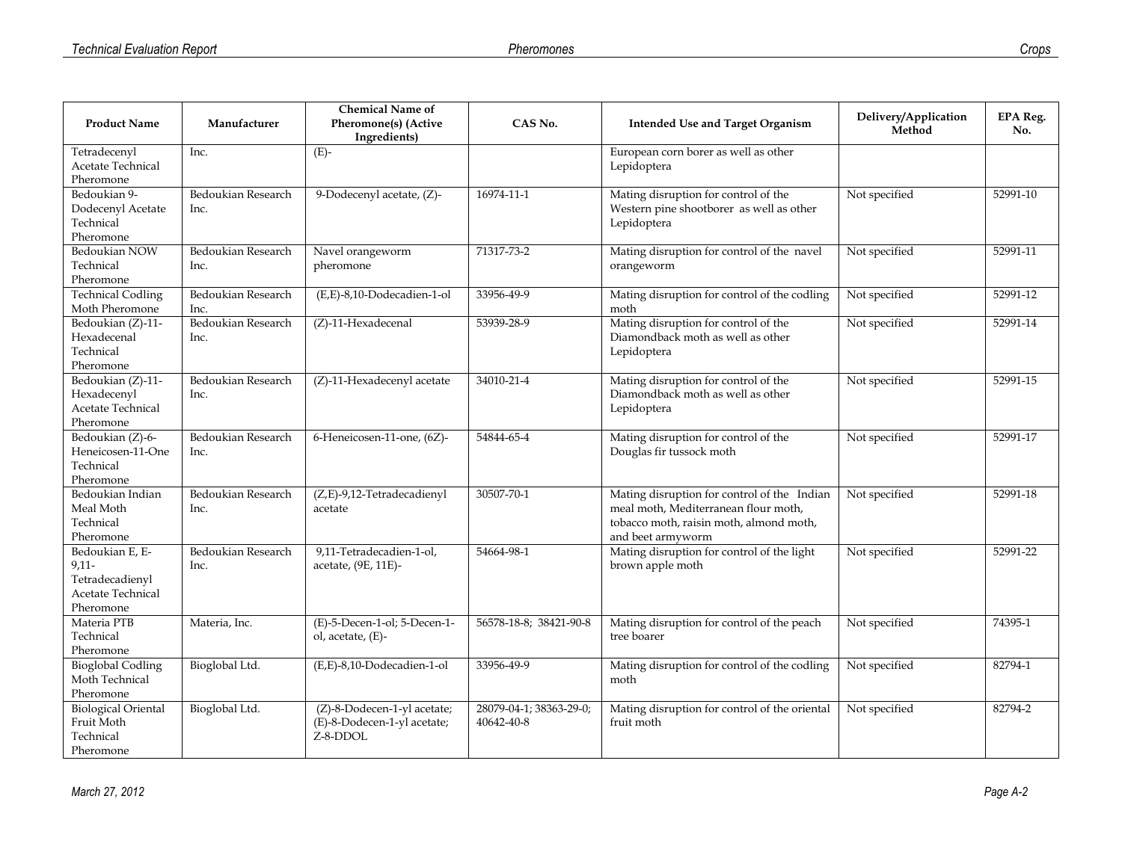| <b>Product Name</b>                                                             | Manufacturer               | <b>Chemical Name of</b><br>Pheromone(s) (Active                        | CAS No.                               | <b>Intended Use and Target Organism</b>                                                                                                             | Delivery/Application<br>Method | <b>EPA Reg.</b><br>No. |
|---------------------------------------------------------------------------------|----------------------------|------------------------------------------------------------------------|---------------------------------------|-----------------------------------------------------------------------------------------------------------------------------------------------------|--------------------------------|------------------------|
|                                                                                 |                            | Ingredients)                                                           |                                       |                                                                                                                                                     |                                |                        |
| Tetradecenvl<br>Acetate Technical<br>Pheromone                                  | Inc.                       | $(E)-$                                                                 |                                       | European corn borer as well as other<br>Lepidoptera                                                                                                 |                                |                        |
| Bedoukian 9-<br>Dodecenyl Acetate<br>Technical<br>Pheromone                     | Bedoukian Research<br>Inc. | 9-Dodecenyl acetate, (Z)-                                              | 16974-11-1                            | Mating disruption for control of the<br>Western pine shootborer as well as other<br>Lepidoptera                                                     | Not specified                  | 52991-10               |
| Bedoukian NOW<br>Technical<br>Pheromone                                         | Bedoukian Research<br>Inc. | Navel orangeworm<br>pheromone                                          | 71317-73-2                            | Mating disruption for control of the navel<br>orangeworm                                                                                            | Not specified                  | 52991-11               |
| <b>Technical Codling</b><br>Moth Pheromone                                      | Bedoukian Research<br>Inc. | (E,E)-8,10-Dodecadien-1-ol                                             | 33956-49-9                            | Mating disruption for control of the codling<br>moth                                                                                                | Not specified                  | 52991-12               |
| Bedoukian (Z)-11-<br>Hexadecenal<br>Technical<br>Pheromone                      | Bedoukian Research<br>Inc. | $(Z)$ -11-Hexadecenal                                                  | 53939-28-9                            | Mating disruption for control of the<br>Diamondback moth as well as other<br>Lepidoptera                                                            | Not specified                  | 52991-14               |
| Bedoukian (Z)-11-<br>Hexadecenyl<br>Acetate Technical<br>Pheromone              | Bedoukian Research<br>Inc. | (Z)-11-Hexadecenyl acetate                                             | 34010-21-4                            | Mating disruption for control of the<br>Diamondback moth as well as other<br>Lepidoptera                                                            | Not specified                  | 52991-15               |
| Bedoukian (Z)-6-<br>Heneicosen-11-One<br>Technical<br>Pheromone                 | Bedoukian Research<br>Inc. | 6-Heneicosen-11-one, (6Z)-                                             | 54844-65-4                            | Mating disruption for control of the<br>Douglas fir tussock moth                                                                                    | Not specified                  | 52991-17               |
| Bedoukian Indian<br>Meal Moth<br>Technical<br>Pheromone                         | Bedoukian Research<br>Inc. | (Z,E)-9,12-Tetradecadienyl<br>acetate                                  | 30507-70-1                            | Mating disruption for control of the Indian<br>meal moth, Mediterranean flour moth,<br>tobacco moth, raisin moth, almond moth,<br>and beet armyworm | Not specified                  | 52991-18               |
| Bedoukian E, E-<br>$9,11-$<br>Tetradecadienyl<br>Acetate Technical<br>Pheromone | Bedoukian Research<br>Inc. | 9,11-Tetradecadien-1-ol,<br>acetate, (9E, 11E)-                        | 54664-98-1                            | Mating disruption for control of the light<br>brown apple moth                                                                                      | Not specified                  | 52991-22               |
| Materia PTB<br>Technical<br>Pheromone                                           | Materia, Inc.              | (E)-5-Decen-1-ol; 5-Decen-1-<br>ol, acetate, (E)-                      | 56578-18-8; 38421-90-8                | Mating disruption for control of the peach<br>tree boarer                                                                                           | Not specified                  | 74395-1                |
| <b>Bioglobal Codling</b><br>Moth Technical<br>Pheromone                         | Bioglobal Ltd.             | (E,E)-8,10-Dodecadien-1-ol                                             | 33956-49-9                            | Mating disruption for control of the codling<br>moth                                                                                                | Not specified                  | 82794-1                |
| <b>Biological Oriental</b><br>Fruit Moth<br>Technical<br>Pheromone              | Bioglobal Ltd.             | (Z)-8-Dodecen-1-yl acetate;<br>(E)-8-Dodecen-1-yl acetate;<br>Z-8-DDOL | 28079-04-1; 38363-29-0;<br>40642-40-8 | Mating disruption for control of the oriental<br>fruit moth                                                                                         | Not specified                  | 82794-2                |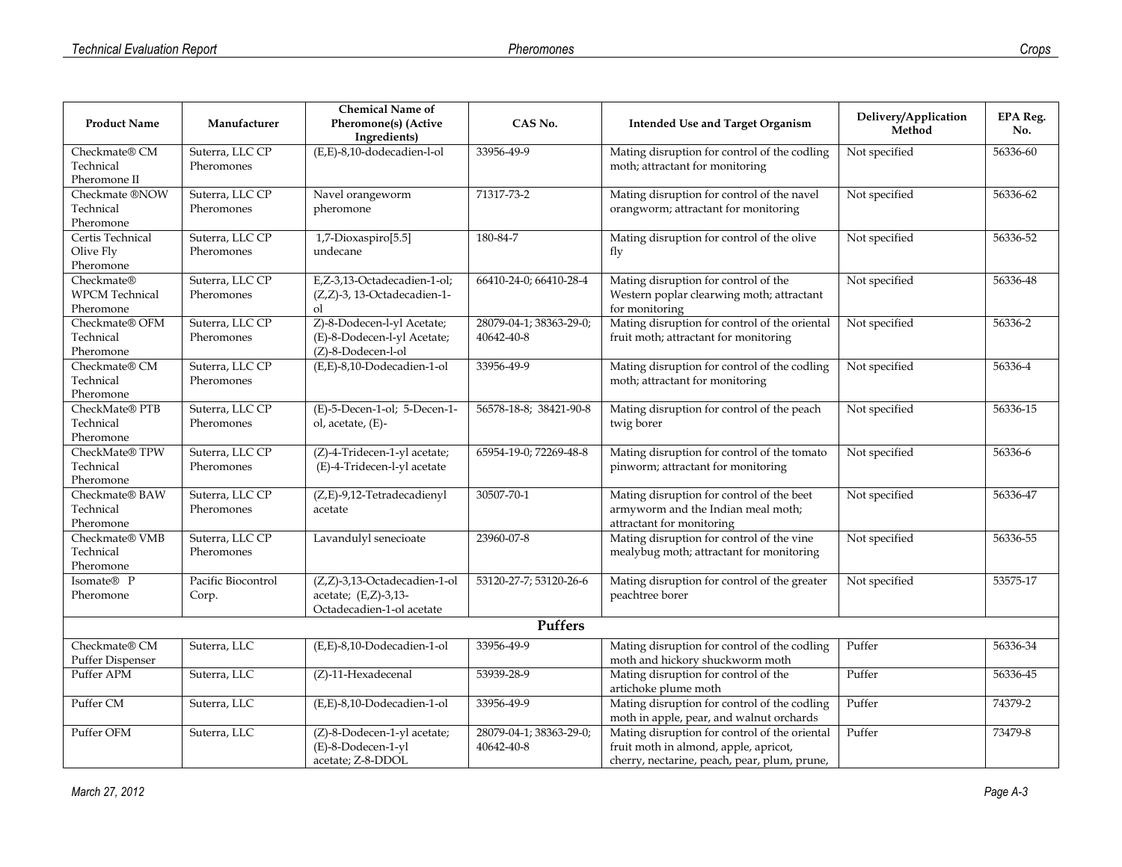|                               |                    | <b>Chemical Name of</b>              |                         |                                                                                          |                                | <b>EPA Reg.</b>         |
|-------------------------------|--------------------|--------------------------------------|-------------------------|------------------------------------------------------------------------------------------|--------------------------------|-------------------------|
| <b>Product Name</b>           | Manufacturer       | Pheromone(s) (Active<br>Ingredients) | CAS No.                 | <b>Intended Use and Target Organism</b>                                                  | Delivery/Application<br>Method | No.                     |
| Checkmate® CM                 | Suterra, LLC CP    | (E,E)-8,10-dodecadien-l-ol           | 33956-49-9              | Mating disruption for control of the codling                                             | Not specified                  | 56336-60                |
| Technical                     | Pheromones         |                                      |                         | moth; attractant for monitoring                                                          |                                |                         |
| Pheromone II                  |                    |                                      |                         |                                                                                          |                                |                         |
| Checkmate ®NOW                | Suterra, LLC CP    | Navel orangeworm                     | 71317-73-2              | Mating disruption for control of the navel                                               | Not specified                  | 56336-62                |
| Technical                     | Pheromones         | pheromone                            |                         | orangworm; attractant for monitoring                                                     |                                |                         |
| Pheromone<br>Certis Technical | Suterra, LLC CP    | 1,7-Dioxaspiro[5.5]                  | 180-84-7                | Mating disruption for control of the olive                                               | Not specified                  | 56336-52                |
| Olive Fly                     | Pheromones         | undecane                             |                         | fly                                                                                      |                                |                         |
| Pheromone                     |                    |                                      |                         |                                                                                          |                                |                         |
| Checkmate®                    | Suterra, LLC CP    | E,Z-3,13-Octadecadien-1-ol;          | 66410-24-0; 66410-28-4  | Mating disruption for control of the                                                     | Not specified                  | 56336-48                |
| <b>WPCM</b> Technical         | Pheromones         | (Z,Z)-3, 13-Octadecadien-1-          |                         | Western poplar clearwing moth; attractant                                                |                                |                         |
| Pheromone                     |                    | <sub>ol</sub>                        |                         | for monitoring                                                                           |                                |                         |
| Checkmate® OFM                | Suterra, LLC CP    | Z)-8-Dodecen-l-yl Acetate;           | 28079-04-1; 38363-29-0; | Mating disruption for control of the oriental                                            | Not specified                  | 56336-2                 |
| Technical                     | Pheromones         | (E)-8-Dodecen-l-yl Acetate;          | 40642-40-8              | fruit moth; attractant for monitoring                                                    |                                |                         |
| Pheromone                     |                    | (Z)-8-Dodecen-l-ol                   |                         |                                                                                          |                                |                         |
| Checkmate® CM                 | Suterra, LLC CP    | (E,E)-8,10-Dodecadien-1-ol           | 33956-49-9              | Mating disruption for control of the codling                                             | Not specified                  | 56336-4                 |
| Technical                     | Pheromones         |                                      |                         | moth; attractant for monitoring                                                          |                                |                         |
| Pheromone<br>CheckMate® PTB   | Suterra, LLC CP    | (E)-5-Decen-1-ol; 5-Decen-1-         | 56578-18-8; 38421-90-8  |                                                                                          | Not specified                  | $\overline{56336} - 15$ |
| Technical                     | Pheromones         | ol, acetate, (E)-                    |                         | Mating disruption for control of the peach<br>twig borer                                 |                                |                         |
| Pheromone                     |                    |                                      |                         |                                                                                          |                                |                         |
| CheckMate® TPW                | Suterra, LLC CP    | (Z)-4-Tridecen-1-yl acetate;         | 65954-19-0; 72269-48-8  | Mating disruption for control of the tomato                                              | Not specified                  | 56336-6                 |
| Technical                     | Pheromones         | (E)-4-Tridecen-l-yl acetate          |                         | pinworm; attractant for monitoring                                                       |                                |                         |
| Pheromone                     |                    |                                      |                         |                                                                                          |                                |                         |
| Checkmate® BAW                | Suterra, LLC CP    | (Z,E)-9,12-Tetradecadienyl           | 30507-70-1              | Mating disruption for control of the beet                                                | Not specified                  | 56336-47                |
| Technical                     | Pheromones         | acetate                              |                         | armyworm and the Indian meal moth;                                                       |                                |                         |
| Pheromone                     |                    |                                      |                         | attractant for monitoring                                                                |                                |                         |
| Checkmate® VMB                | Suterra, LLC CP    | Lavandulyl senecioate                | 23960-07-8              | Mating disruption for control of the vine                                                | Not specified                  | 56336-55                |
| Technical<br>Pheromone        | Pheromones         |                                      |                         | mealybug moth; attractant for monitoring                                                 |                                |                         |
| Isomate® P                    | Pacific Biocontrol | (Z,Z)-3,13-Octadecadien-1-ol         | 53120-27-7; 53120-26-6  | Mating disruption for control of the greater                                             | Not specified                  | 53575-17                |
| Pheromone                     | Corp.              | acetate; (E,Z)-3,13-                 |                         | peachtree borer                                                                          |                                |                         |
|                               |                    | Octadecadien-1-ol acetate            |                         |                                                                                          |                                |                         |
|                               |                    |                                      | Puffers                 |                                                                                          |                                |                         |
| Checkmate® CM                 | Suterra, LLC       | (E,E)-8,10-Dodecadien-1-ol           | 33956-49-9              | Mating disruption for control of the codling                                             | Puffer                         | 56336-34                |
| Puffer Dispenser              |                    |                                      |                         | moth and hickory shuckworm moth                                                          |                                |                         |
| Puffer APM                    | Suterra, LLC       | (Z)-11-Hexadecenal                   | 53939-28-9              | Mating disruption for control of the                                                     | Puffer                         | 56336-45                |
|                               |                    |                                      |                         | artichoke plume moth                                                                     |                                |                         |
| Puffer CM                     | Suterra, LLC       | (E,E)-8,10-Dodecadien-1-ol           | 33956-49-9              | Mating disruption for control of the codling<br>moth in apple, pear, and walnut orchards | Puffer                         | 74379-2                 |
| Puffer OFM                    | Suterra, LLC       | (Z)-8-Dodecen-1-yl acetate;          | 28079-04-1; 38363-29-0; | Mating disruption for control of the oriental                                            | Puffer                         | 73479-8                 |
|                               |                    | (E)-8-Dodecen-1-yl                   | 40642-40-8              | fruit moth in almond, apple, apricot,                                                    |                                |                         |
|                               |                    | acetate; Z-8-DDOL                    |                         | cherry, nectarine, peach, pear, plum, prune,                                             |                                |                         |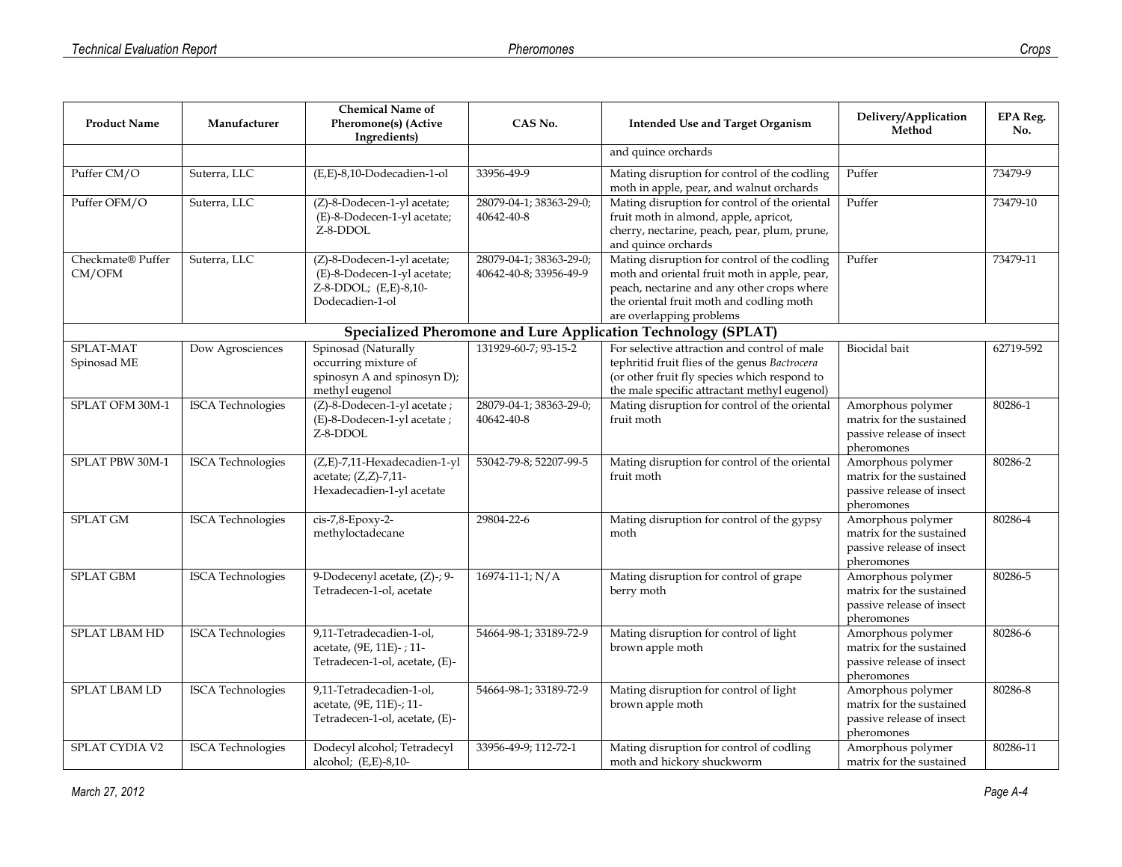| <b>Product Name</b>         | Manufacturer             | <b>Chemical Name of</b><br>Pheromone(s) (Active<br>Ingredients)                                        | CAS No.                                           | <b>Intended Use and Target Organism</b>                                                                                                                                                                            | Delivery/Application<br>Method                                                           | <b>EPA Reg.</b><br>No. |
|-----------------------------|--------------------------|--------------------------------------------------------------------------------------------------------|---------------------------------------------------|--------------------------------------------------------------------------------------------------------------------------------------------------------------------------------------------------------------------|------------------------------------------------------------------------------------------|------------------------|
|                             |                          |                                                                                                        |                                                   | and quince orchards                                                                                                                                                                                                |                                                                                          |                        |
| Puffer CM/O                 | Suterra, LLC             | (E,E)-8,10-Dodecadien-1-ol                                                                             | 33956-49-9                                        | Mating disruption for control of the codling<br>moth in apple, pear, and walnut orchards                                                                                                                           | Puffer                                                                                   | 73479-9                |
| Puffer OFM/O                | Suterra, LLC             | (Z)-8-Dodecen-1-yl acetate;<br>(E)-8-Dodecen-1-yl acetate;<br>Z-8-DDOL                                 | 28079-04-1; 38363-29-0;<br>40642-40-8             | Mating disruption for control of the oriental<br>fruit moth in almond, apple, apricot,<br>cherry, nectarine, peach, pear, plum, prune,<br>and quince orchards                                                      | Puffer                                                                                   | 73479-10               |
| Checkmate® Puffer<br>CM/OFM | Suterra, LLC             | (Z)-8-Dodecen-1-yl acetate;<br>(E)-8-Dodecen-1-yl acetate;<br>Z-8-DDOL; (E,E)-8,10-<br>Dodecadien-1-ol | 28079-04-1; 38363-29-0;<br>40642-40-8; 33956-49-9 | Mating disruption for control of the codling<br>moth and oriental fruit moth in apple, pear,<br>peach, nectarine and any other crops where<br>the oriental fruit moth and codling moth<br>are overlapping problems | Puffer                                                                                   | 73479-11               |
|                             |                          |                                                                                                        |                                                   | Specialized Pheromone and Lure Application Technology (SPLAT)                                                                                                                                                      |                                                                                          |                        |
| SPLAT-MAT<br>Spinosad ME    | Dow Agrosciences         | Spinosad (Naturally<br>occurring mixture of<br>spinosyn A and spinosyn D);<br>methyl eugenol           | 131929-60-7; 93-15-2                              | For selective attraction and control of male<br>tephritid fruit flies of the genus Bactrocera<br>(or other fruit fly species which respond to<br>the male specific attractant methyl eugenol)                      | <b>Biocidal</b> bait                                                                     | 62719-592              |
| SPLAT OFM 30M-1             | <b>ISCA</b> Technologies | (Z)-8-Dodecen-1-yl acetate;<br>(E)-8-Dodecen-1-yl acetate;<br>Z-8-DDOL                                 | 28079-04-1; 38363-29-0;<br>40642-40-8             | Mating disruption for control of the oriental<br>fruit moth                                                                                                                                                        | Amorphous polymer<br>matrix for the sustained<br>passive release of insect<br>pheromones | 80286-1                |
| SPLAT PBW 30M-1             | <b>ISCA</b> Technologies | (Z,E)-7,11-Hexadecadien-1-yl<br>acetate; (Z,Z)-7,11-<br>Hexadecadien-1-yl acetate                      | 53042-79-8; 52207-99-5                            | Mating disruption for control of the oriental<br>fruit moth                                                                                                                                                        | Amorphous polymer<br>matrix for the sustained<br>passive release of insect<br>pheromones | 80286-2                |
| <b>SPLAT GM</b>             | <b>ISCA</b> Technologies | cis-7,8-Epoxy-2-<br>methyloctadecane                                                                   | 29804-22-6                                        | Mating disruption for control of the gypsy<br>moth                                                                                                                                                                 | Amorphous polymer<br>matrix for the sustained<br>passive release of insect<br>pheromones | 80286-4                |
| <b>SPLAT GBM</b>            | <b>ISCA</b> Technologies | 9-Dodecenyl acetate, (Z)-; 9-<br>Tetradecen-1-ol, acetate                                              | $16974 - 11 - 1$ ; N/A                            | Mating disruption for control of grape<br>berry moth                                                                                                                                                               | Amorphous polymer<br>matrix for the sustained<br>passive release of insect<br>pheromones | 80286-5                |
| <b>SPLAT LBAM HD</b>        | <b>ISCA</b> Technologies | 9,11-Tetradecadien-1-ol,<br>acetate, (9E, 11E)-; 11-<br>Tetradecen-1-ol, acetate, (E)-                 | 54664-98-1; 33189-72-9                            | Mating disruption for control of light<br>brown apple moth                                                                                                                                                         | Amorphous polymer<br>matrix for the sustained<br>passive release of insect<br>pheromones | 80286-6                |
| <b>SPLAT LBAM LD</b>        | <b>ISCA</b> Technologies | 9,11-Tetradecadien-1-ol,<br>acetate, (9E, 11E)-; 11-<br>Tetradecen-1-ol, acetate, (E)-                 | 54664-98-1; 33189-72-9                            | Mating disruption for control of light<br>brown apple moth                                                                                                                                                         | Amorphous polymer<br>matrix for the sustained<br>passive release of insect<br>pheromones | 80286-8                |
| <b>SPLAT CYDIA V2</b>       | <b>ISCA</b> Technologies | Dodecyl alcohol; Tetradecyl<br>alcohol; (E,E)-8,10-                                                    | 33956-49-9; 112-72-1                              | Mating disruption for control of codling<br>moth and hickory shuckworm                                                                                                                                             | Amorphous polymer<br>matrix for the sustained                                            | 80286-11               |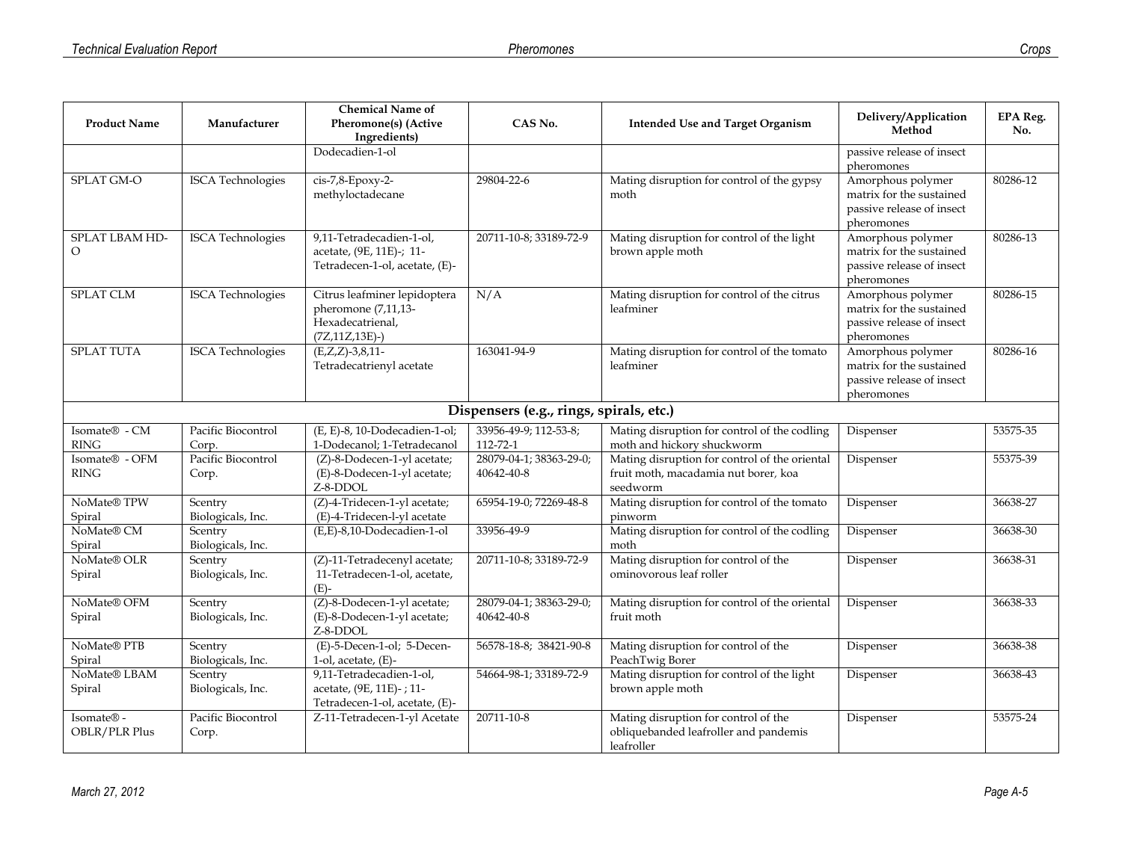| <b>Product Name</b>           | Manufacturer                 | <b>Chemical Name of</b><br>Pheromone(s) (Active                                                | CAS No.                                 | <b>Intended Use and Target Organism</b>                                                           | Delivery/Application                                                                     | <b>EPA Reg.</b> |
|-------------------------------|------------------------------|------------------------------------------------------------------------------------------------|-----------------------------------------|---------------------------------------------------------------------------------------------------|------------------------------------------------------------------------------------------|-----------------|
|                               |                              | Ingredients)                                                                                   |                                         |                                                                                                   | Method                                                                                   | No.             |
|                               |                              | Dodecadien-1-ol                                                                                |                                         |                                                                                                   | passive release of insect<br>pheromones                                                  |                 |
| SPLAT GM-O                    | <b>ISCA</b> Technologies     | cis-7,8-Epoxy-2-<br>methyloctadecane                                                           | 29804-22-6                              | Mating disruption for control of the gypsy<br>moth                                                | Amorphous polymer<br>matrix for the sustained<br>passive release of insect<br>pheromones | 80286-12        |
| SPLAT LBAM HD-<br>$\Omega$    | <b>ISCA</b> Technologies     | 9,11-Tetradecadien-1-ol,<br>acetate, (9E, 11E)-; 11-<br>Tetradecen-1-ol, acetate, (E)-         | 20711-10-8; 33189-72-9                  | Mating disruption for control of the light<br>brown apple moth                                    | Amorphous polymer<br>matrix for the sustained<br>passive release of insect<br>pheromones | 80286-13        |
| <b>SPLAT CLM</b>              | <b>ISCA</b> Technologies     | Citrus leafminer lepidoptera<br>pheromone (7,11,13-<br>Hexadecatrienal,<br>$(ZZ, 11Z, 13E)$ -) | N/A                                     | Mating disruption for control of the citrus<br>leafminer                                          | Amorphous polymer<br>matrix for the sustained<br>passive release of insect<br>pheromones | 80286-15        |
| <b>SPLAT TUTA</b>             | <b>ISCA</b> Technologies     | $(E,Z,Z) - 3,8,11$<br>Tetradecatrienyl acetate                                                 | 163041-94-9                             | Mating disruption for control of the tomato<br>leafminer                                          | Amorphous polymer<br>matrix for the sustained<br>passive release of insect<br>pheromones | 80286-16        |
|                               |                              |                                                                                                | Dispensers (e.g., rings, spirals, etc.) |                                                                                                   |                                                                                          |                 |
| Isomate® - CM<br><b>RING</b>  | Pacific Biocontrol<br>Corp.  | (E, E)-8, 10-Dodecadien-1-ol;<br>1-Dodecanol; 1-Tetradecanol                                   | 33956-49-9; 112-53-8;<br>112-72-1       | Mating disruption for control of the codling<br>moth and hickory shuckworm                        | Dispenser                                                                                | 53575-35        |
| Isomate® - OFM<br><b>RING</b> | Pacific Biocontrol<br>Corp.  | (Z)-8-Dodecen-1-yl acetate;<br>(E)-8-Dodecen-1-yl acetate;<br>Z-8-DDOL                         | 28079-04-1; 38363-29-0;<br>40642-40-8   | Mating disruption for control of the oriental<br>fruit moth, macadamia nut borer, koa<br>seedworm | Dispenser                                                                                | 55375-39        |
| NoMate® TPW<br>Spiral         | Scentry<br>Biologicals, Inc. | (Z)-4-Tridecen-1-yl acetate;<br>(E)-4-Tridecen-l-yl acetate                                    | 65954-19-0; 72269-48-8                  | Mating disruption for control of the tomato<br>pinworm                                            | Dispenser                                                                                | 36638-27        |
| NoMate® CM<br>Spiral          | Scentry<br>Biologicals, Inc. | (E,E)-8,10-Dodecadien-1-ol                                                                     | 33956-49-9                              | Mating disruption for control of the codling<br>moth                                              | Dispenser                                                                                | 36638-30        |
| NoMate® OLR<br>Spiral         | Scentry<br>Biologicals, Inc. | (Z)-11-Tetradecenyl acetate;<br>11-Tetradecen-1-ol, acetate,<br>$(E)$ -                        | 20711-10-8; 33189-72-9                  | Mating disruption for control of the<br>ominovorous leaf roller                                   | Dispenser                                                                                | 36638-31        |
| NoMate® OFM<br>Spiral         | Scentry<br>Biologicals, Inc. | (Z)-8-Dodecen-1-yl acetate;<br>(E)-8-Dodecen-1-yl acetate;<br>Z-8-DDOL                         | 28079-04-1; 38363-29-0;<br>40642-40-8   | Mating disruption for control of the oriental<br>fruit moth                                       | Dispenser                                                                                | 36638-33        |
| NoMate® PTB<br>Spiral         | Scentry<br>Biologicals, Inc. | (E)-5-Decen-1-ol; 5-Decen-<br>$1$ -ol, acetate, $(E)$ -                                        | 56578-18-8; 38421-90-8                  | Mating disruption for control of the<br>PeachTwig Borer                                           | Dispenser                                                                                | 36638-38        |
| NoMate® LBAM<br>Spiral        | Scentry<br>Biologicals, Inc. | 9,11-Tetradecadien-1-ol,<br>acetate, (9E, 11E)-; 11-<br>Tetradecen-1-ol, acetate, (E)-         | 54664-98-1; 33189-72-9                  | Mating disruption for control of the light<br>brown apple moth                                    | Dispenser                                                                                | 36638-43        |
| Isomate® -<br>OBLR/PLR Plus   | Pacific Biocontrol<br>Corp.  | Z-11-Tetradecen-1-yl Acetate                                                                   | 20711-10-8                              | Mating disruption for control of the<br>obliquebanded leafroller and pandemis<br>leafroller       | Dispenser                                                                                | 53575-24        |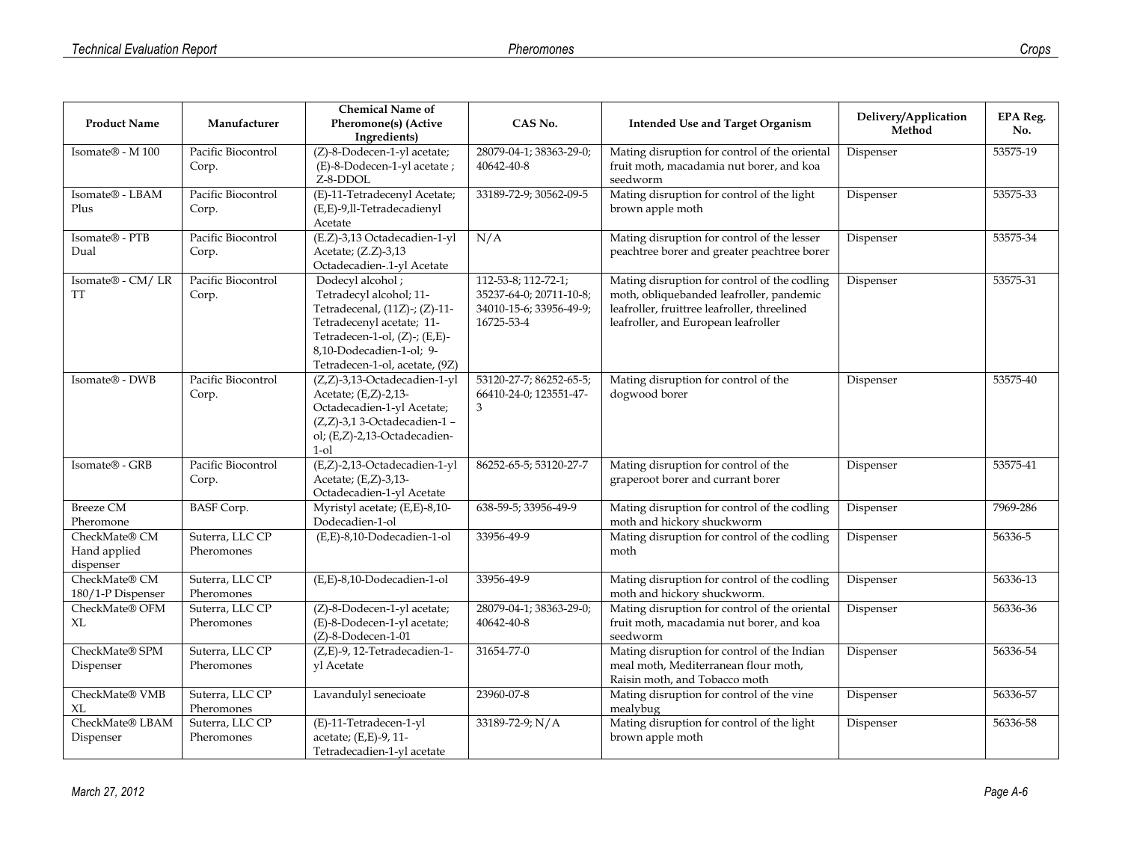|                                  | Manufacturer                  | <b>Chemical Name of</b><br>Pheromone(s) (Active            | CAS No.                                           | <b>Intended Use and Target Organism</b>                                                   | Delivery/Application | <b>EPA Reg.</b> |
|----------------------------------|-------------------------------|------------------------------------------------------------|---------------------------------------------------|-------------------------------------------------------------------------------------------|----------------------|-----------------|
| <b>Product Name</b>              |                               | Ingredients)                                               |                                                   |                                                                                           | Method               | No.             |
| Isomate® - M 100                 | Pacific Biocontrol            | (Z)-8-Dodecen-1-yl acetate;                                | 28079-04-1; 38363-29-0;                           | Mating disruption for control of the oriental                                             | Dispenser            | 53575-19        |
|                                  | Corp.                         | (E)-8-Dodecen-1-yl acetate;<br>Z-8-DDOL                    | 40642-40-8                                        | fruit moth, macadamia nut borer, and koa<br>seedworm                                      |                      |                 |
| Isomate® - LBAM                  | Pacific Biocontrol            | (E)-11-Tetradecenyl Acetate;                               | 33189-72-9; 30562-09-5                            | Mating disruption for control of the light                                                | Dispenser            | 53575-33        |
| Plus                             | Corp.                         | (E,E)-9,ll-Tetradecadienyl<br>Acetate                      |                                                   | brown apple moth                                                                          |                      |                 |
| Isomate® - PTB<br>Dual           | Pacific Biocontrol            | (E.Z)-3,13 Octadecadien-1-yl                               | N/A                                               | Mating disruption for control of the lesser                                               | Dispenser            | 53575-34        |
|                                  | Corp.                         | Acetate; (Z.Z)-3,13<br>Octadecadien-.1-yl Acetate          |                                                   | peachtree borer and greater peachtree borer                                               |                      |                 |
| Isomate® - CM/LR<br>TT           | Pacific Biocontrol<br>Corp.   | Dodecyl alcohol;<br>Tetradecyl alcohol; 11-                | 112-53-8; 112-72-1;<br>35237-64-0; 20711-10-8;    | Mating disruption for control of the codling<br>moth, obliquebanded leafroller, pandemic  | Dispenser            | 53575-31        |
|                                  |                               | Tetradecenal, (11Z)-; (Z)-11-                              | 34010-15-6; 33956-49-9;                           | leafroller, fruittree leafroller, threelined                                              |                      |                 |
|                                  |                               | Tetradecenyl acetate; 11-                                  | 16725-53-4                                        | leafroller, and European leafroller                                                       |                      |                 |
|                                  |                               | Tetradecen-1-ol, (Z)-; (E,E)-<br>8,10-Dodecadien-1-ol; 9-  |                                                   |                                                                                           |                      |                 |
|                                  |                               | Tetradecen-1-ol, acetate, (9Z)                             |                                                   |                                                                                           |                      |                 |
| Isomate® - DWB                   | Pacific Biocontrol<br>Corp.   | (Z,Z)-3,13-Octadecadien-1-yl<br>Acetate; (E,Z)-2,13-       | 53120-27-7; 86252-65-5;<br>66410-24-0; 123551-47- | Mating disruption for control of the<br>dogwood borer                                     | Dispenser            | 53575-40        |
|                                  |                               | Octadecadien-1-yl Acetate;                                 | 3                                                 |                                                                                           |                      |                 |
|                                  |                               | (Z,Z)-3,13-Octadecadien-1-                                 |                                                   |                                                                                           |                      |                 |
|                                  |                               | ol; (E,Z)-2,13-Octadecadien-<br>$1$ -ol                    |                                                   |                                                                                           |                      |                 |
| Isomate® - GRB                   | Pacific Biocontrol            | (E,Z)-2,13-Octadecadien-1-yl                               | 86252-65-5; 53120-27-7                            | Mating disruption for control of the                                                      | Dispenser            | 53575-41        |
|                                  | Corp.                         | Acetate; (E,Z)-3,13-<br>Octadecadien-1-yl Acetate          |                                                   | graperoot borer and currant borer                                                         |                      |                 |
| <b>Breeze CM</b><br>Pheromone    | <b>BASF</b> Corp.             | Myristyl acetate; (E,E)-8,10-<br>Dodecadien-1-ol           | 638-59-5; 33956-49-9                              | Mating disruption for control of the codling<br>moth and hickory shuckworm                | Dispenser            | 7969-286        |
| CheckMate® CM                    | Suterra, LLC CP               | (E,E)-8,10-Dodecadien-1-ol                                 | 33956-49-9                                        | Mating disruption for control of the codling                                              | Dispenser            | 56336-5         |
| Hand applied                     | Pheromones                    |                                                            |                                                   | moth                                                                                      |                      |                 |
| dispenser<br>CheckMate® CM       | Suterra, LLC CP               | (E,E)-8,10-Dodecadien-1-ol                                 | 33956-49-9                                        | Mating disruption for control of the codling                                              | Dispenser            | 56336-13        |
| 180/1-P Dispenser                | Pheromones                    |                                                            |                                                   | moth and hickory shuckworm.                                                               |                      |                 |
| CheckMate® OFM<br>XL             | Suterra, LLC CP<br>Pheromones | (Z)-8-Dodecen-1-yl acetate;<br>(E)-8-Dodecen-1-yl acetate; | 28079-04-1; 38363-29-0;<br>40642-40-8             | Mating disruption for control of the oriental<br>fruit moth, macadamia nut borer, and koa | Dispenser            | 56336-36        |
|                                  |                               | $(Z)$ -8-Dodecen-1-01                                      |                                                   | seedworm                                                                                  |                      |                 |
| CheckMate® SPM                   | Suterra, LLC CP               | (Z,E)-9, 12-Tetradecadien-1-                               | 31654-77-0                                        | Mating disruption for control of the Indian                                               | Dispenser            | 56336-54        |
| Dispenser                        | Pheromones                    | yl Acetate                                                 |                                                   | meal moth, Mediterranean flour moth,<br>Raisin moth, and Tobacco moth                     |                      |                 |
| CheckMate® VMB<br>X <sub>L</sub> | Suterra, LLC CP<br>Pheromones | Lavandulyl senecioate                                      | 23960-07-8                                        | Mating disruption for control of the vine<br>mealybug                                     | Dispenser            | 56336-57        |
| CheckMate® LBAM                  | Suterra, LLC CP               | (E)-11-Tetradecen-1-yl                                     | 33189-72-9; N/A                                   | Mating disruption for control of the light                                                | Dispenser            | 56336-58        |
| Dispenser                        | Pheromones                    | acetate; (E,E)-9, 11-<br>Tetradecadien-1-yl acetate        |                                                   | brown apple moth                                                                          |                      |                 |
|                                  |                               |                                                            |                                                   |                                                                                           |                      |                 |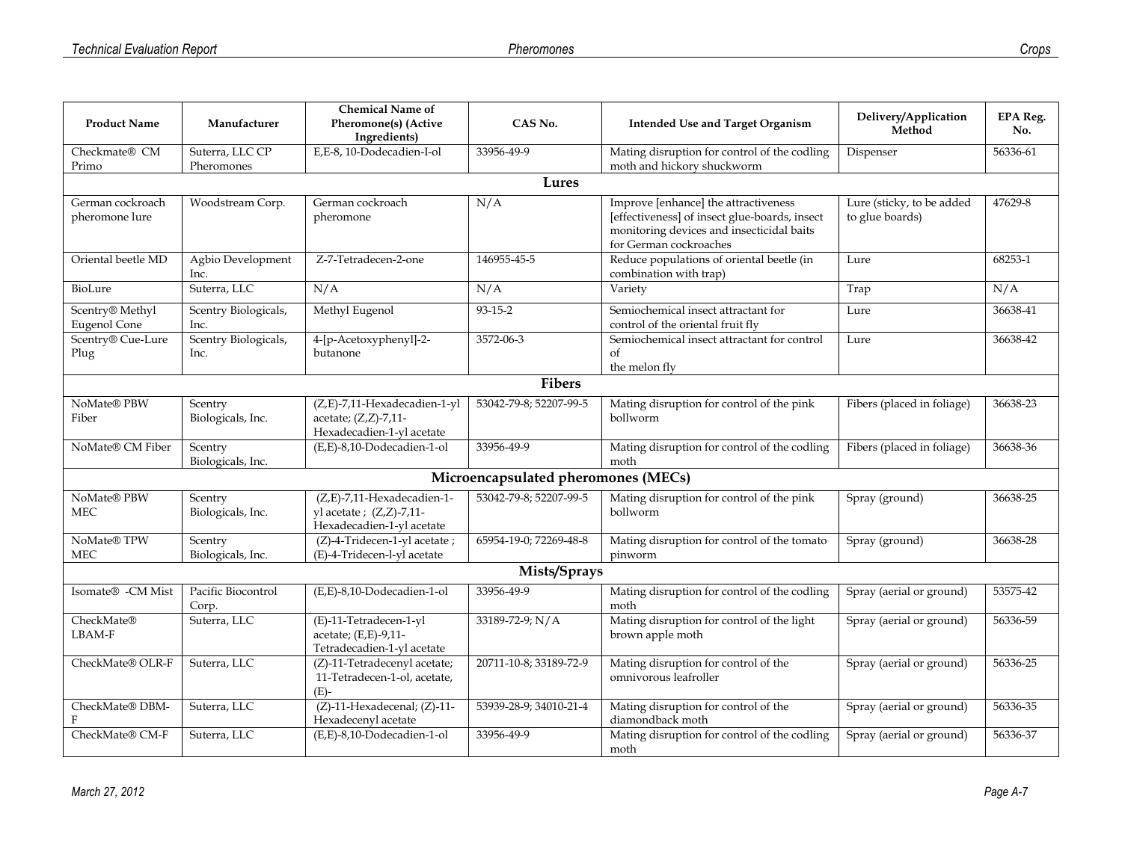|                                        |                              | <b>Chemical Name of</b>                                                                |                                     |                                                                                                                                                              | Delivery/Application                         | <b>EPA Reg.</b> |
|----------------------------------------|------------------------------|----------------------------------------------------------------------------------------|-------------------------------------|--------------------------------------------------------------------------------------------------------------------------------------------------------------|----------------------------------------------|-----------------|
| <b>Product Name</b>                    | Manufacturer                 | <b>Pheromone(s)</b> (Active<br>Ingredients)                                            | CAS No.                             | <b>Intended Use and Target Organism</b>                                                                                                                      | Method                                       | No.             |
| Checkmate® CM                          | Suterra, LLC CP              | E,E-8, 10-Dodecadien-I-ol                                                              | 33956-49-9                          | Mating disruption for control of the codling                                                                                                                 | Dispenser                                    | 56336-61        |
| Primo                                  | Pheromones                   |                                                                                        |                                     | moth and hickory shuckworm                                                                                                                                   |                                              |                 |
|                                        |                              |                                                                                        | Lures                               |                                                                                                                                                              |                                              |                 |
| German cockroach<br>pheromone lure     | Woodstream Corp.             | German cockroach<br>pheromone                                                          | N/A                                 | Improve [enhance] the attractiveness<br>[effectiveness] of insect glue-boards, insect<br>monitoring devices and insecticidal baits<br>for German cockroaches | Lure (sticky, to be added<br>to glue boards) | 47629-8         |
| Oriental beetle MD                     | Agbio Development<br>Inc.    | Z-7-Tetradecen-2-one                                                                   | 146955-45-5                         | Reduce populations of oriental beetle (in<br>combination with trap)                                                                                          | Lure                                         | 68253-1         |
| BioLure                                | Suterra, LLC                 | N/A                                                                                    | N/A                                 | Variety                                                                                                                                                      | Trap                                         | N/A             |
| Scentry® Methyl<br><b>Eugenol Cone</b> | Scentry Biologicals,<br>Inc. | Methyl Eugenol                                                                         | 93-15-2                             | Semiochemical insect attractant for<br>control of the oriental fruit fly                                                                                     | Lure                                         | 36638-41        |
| Scentry® Cue-Lure<br>Plug              | Scentry Biologicals,<br>Inc. | 4-[p-Acetoxyphenyl]-2-<br>butanone                                                     | 3572-06-3                           | Semiochemical insect attractant for control<br>of<br>the melon fly                                                                                           | Lure                                         | 36638-42        |
|                                        |                              |                                                                                        | <b>Fibers</b>                       |                                                                                                                                                              |                                              |                 |
| NoMate® PBW<br>Fiber                   | Scentry<br>Biologicals, Inc. | (Z,E)-7,11-Hexadecadien-1-yl<br>acetate; $(Z,Z)$ -7,11-<br>Hexadecadien-1-yl acetate   | 53042-79-8; 52207-99-5              | Mating disruption for control of the pink<br>bollworm                                                                                                        | Fibers (placed in foliage)                   | 36638-23        |
| NoMate® CM Fiber                       | Scentry<br>Biologicals, Inc. | (E,E)-8,10-Dodecadien-1-ol                                                             | 33956-49-9                          | Mating disruption for control of the codling<br>moth                                                                                                         | Fibers (placed in foliage)                   | 36638-36        |
|                                        |                              |                                                                                        | Microencapsulated pheromones (MECs) |                                                                                                                                                              |                                              |                 |
| NoMate® PBW<br><b>MEC</b>              | Scentry<br>Biologicals, Inc. | (Z,E)-7,11-Hexadecadien-1-<br>yl acetate ; $(Z,Z)$ -7,11-<br>Hexadecadien-1-yl acetate | 53042-79-8; 52207-99-5              | Mating disruption for control of the pink<br>bollworm                                                                                                        | Spray (ground)                               | 36638-25        |
| NoMate® TPW<br><b>MEC</b>              | Scentry<br>Biologicals, Inc. | (Z)-4-Tridecen-1-yl acetate;<br>(E)-4-Tridecen-l-yl acetate                            | 65954-19-0; 72269-48-8              | Mating disruption for control of the tomato<br>pinworm                                                                                                       | Spray (ground)                               | 36638-28        |
|                                        |                              |                                                                                        | Mists/Sprays                        |                                                                                                                                                              |                                              |                 |
| Isomate® -CM Mist                      | Pacific Biocontrol<br>Corp.  | (E,E)-8,10-Dodecadien-1-ol                                                             | 33956-49-9                          | Mating disruption for control of the codling<br>moth                                                                                                         | Spray (aerial or ground)                     | 53575-42        |
| CheckMate®<br>LBAM-F                   | Suterra, LLC                 | (E)-11-Tetradecen-1-yl<br>acetate; (E,E)-9,11-<br>Tetradecadien-1-yl acetate           | 33189-72-9; N/A                     | Mating disruption for control of the light<br>brown apple moth                                                                                               | Spray (aerial or ground)                     | 56336-59        |
| CheckMate® OLR-F                       | Suterra, LLC                 | (Z)-11-Tetradecenyl acetate;<br>11-Tetradecen-1-ol, acetate,<br>$(E)-$                 | 20711-10-8; 33189-72-9              | Mating disruption for control of the<br>omnivorous leafroller                                                                                                | Spray (aerial or ground)                     | 56336-25        |
| CheckMate® DBM-<br>F                   | Suterra, LLC                 | $(Z)$ -11-Hexadecenal; $(Z)$ -11-<br>Hexadecenyl acetate                               | 53939-28-9; 34010-21-4              | Mating disruption for control of the<br>diamondback moth                                                                                                     | Spray (aerial or ground)                     | 56336-35        |
| CheckMate® CM-F                        | Suterra, LLC                 | (E,E)-8,10-Dodecadien-1-ol                                                             | 33956-49-9                          | Mating disruption for control of the codling<br>moth                                                                                                         | Spray (aerial or ground)                     | 56336-37        |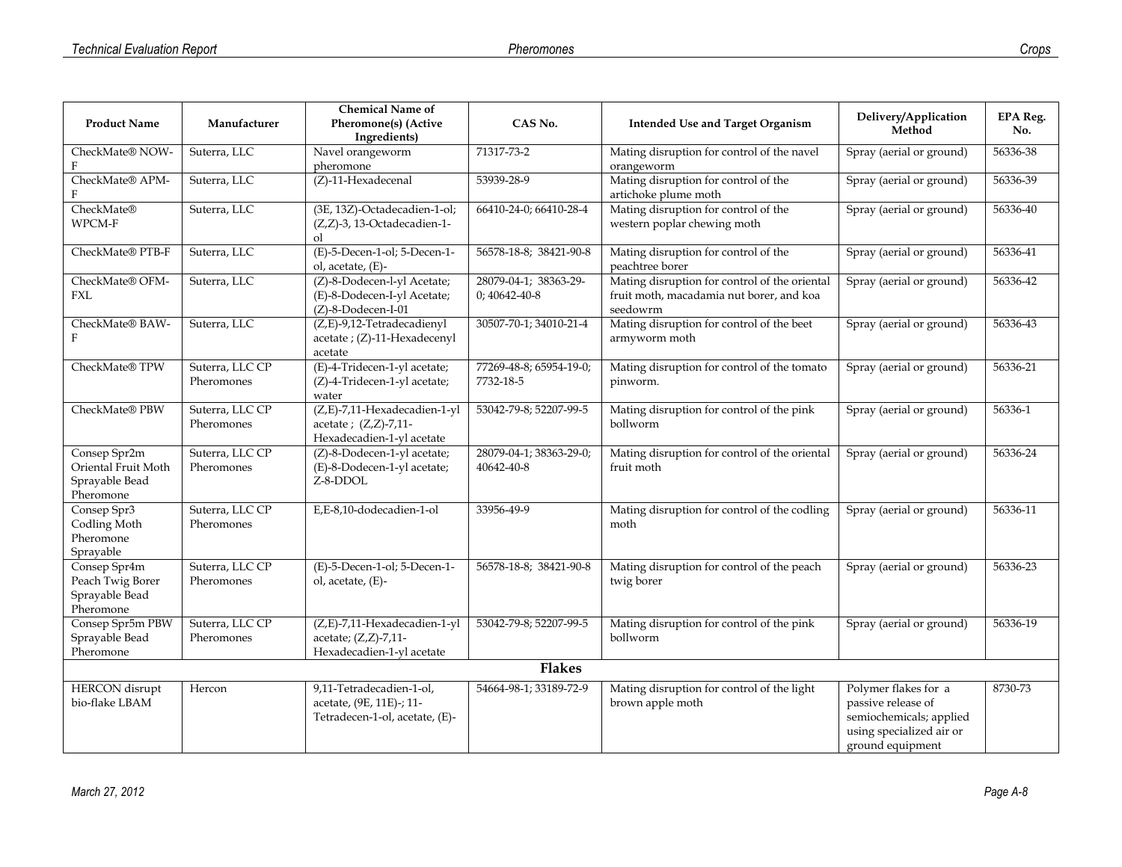|                                                                    |                               | <b>Chemical Name of</b>                                                                |                                         |                                                                                                       | Delivery/Application                                                                                                  | <b>EPA Reg.</b> |
|--------------------------------------------------------------------|-------------------------------|----------------------------------------------------------------------------------------|-----------------------------------------|-------------------------------------------------------------------------------------------------------|-----------------------------------------------------------------------------------------------------------------------|-----------------|
| <b>Product Name</b>                                                | Manufacturer                  | Pheromone(s) (Active<br>Ingredients)                                                   | CAS No.                                 | <b>Intended Use and Target Organism</b>                                                               | Method                                                                                                                | No.             |
| CheckMate® NOW-                                                    | Suterra, LLC                  | Navel orangeworm<br>pheromone                                                          | 71317-73-2                              | Mating disruption for control of the navel<br>orangeworm                                              | Spray (aerial or ground)                                                                                              | 56336-38        |
| CheckMate® APM-                                                    | Suterra, LLC                  | (Z)-11-Hexadecenal                                                                     | 53939-28-9                              | Mating disruption for control of the<br>artichoke plume moth                                          | Spray (aerial or ground)                                                                                              | 56336-39        |
| CheckMate®<br>WPCM-F                                               | Suterra, LLC                  | (3E, 13Z)-Octadecadien-1-ol;<br>(Z,Z)-3, 13-Octadecadien-1-<br>оl                      | 66410-24-0; 66410-28-4                  | Mating disruption for control of the<br>western poplar chewing moth                                   | Spray (aerial or ground)                                                                                              | 56336-40        |
| CheckMate® PTB-F                                                   | Suterra, LLC                  | (E)-5-Decen-1-ol; 5-Decen-1-<br>ol, acetate, (E)-                                      | 56578-18-8; 38421-90-8                  | Mating disruption for control of the<br>peachtree borer                                               | Spray (aerial or ground)                                                                                              | 56336-41        |
| CheckMate® OFM-<br>FXL                                             | Suterra, LLC                  | (Z)-8-Dodecen-l-yl Acetate;<br>(E)-8-Dodecen-I-yl Acetate;<br>(Z)-8-Dodecen-I-01       | 28079-04-1; 38363-29-<br>$0;40642-40-8$ | Mating disruption for control of the oriental<br>fruit moth, macadamia nut borer, and koa<br>seedowrm | Spray (aerial or ground)                                                                                              | 56336-42        |
| CheckMate® BAW-<br>F                                               | Suterra, LLC                  | (Z,E)-9,12-Tetradecadienyl<br>acetate ; (Z)-11-Hexadecenyl<br>acetate                  | 30507-70-1; 34010-21-4                  | Mating disruption for control of the beet<br>armyworm moth                                            | Spray (aerial or ground)                                                                                              | 56336-43        |
| CheckMate® TPW                                                     | Suterra, LLC CP<br>Pheromones | (E)-4-Tridecen-1-yl acetate;<br>(Z)-4-Tridecen-1-yl acetate;<br>water                  | 77269-48-8; 65954-19-0;<br>7732-18-5    | Mating disruption for control of the tomato<br>pinworm.                                               | Spray (aerial or ground)                                                                                              | 56336-21        |
| CheckMate® PBW                                                     | Suterra, LLC CP<br>Pheromones | (Z,E)-7,11-Hexadecadien-1-yl<br>acetate; (Z,Z)-7,11-<br>Hexadecadien-1-yl acetate      | 53042-79-8; 52207-99-5                  | Mating disruption for control of the pink<br>bollworm                                                 | Spray (aerial or ground)                                                                                              | 56336-1         |
| Consep Spr2m<br>Oriental Fruit Moth<br>Sprayable Bead<br>Pheromone | Suterra, LLC CP<br>Pheromones | (Z)-8-Dodecen-1-yl acetate;<br>(E)-8-Dodecen-1-yl acetate;<br>Z-8-DDOL                 | 28079-04-1; 38363-29-0;<br>40642-40-8   | Mating disruption for control of the oriental<br>fruit moth                                           | Spray (aerial or ground)                                                                                              | 56336-24        |
| Consep Spr3<br>Codling Moth<br>Pheromone<br>Sprayable              | Suterra, LLC CP<br>Pheromones | E,E-8,10-dodecadien-1-ol                                                               | 33956-49-9                              | Mating disruption for control of the codling<br>moth                                                  | Spray (aerial or ground)                                                                                              | 56336-11        |
| Consep Spr4m<br>Peach Twig Borer<br>Sprayable Bead<br>Pheromone    | Suterra, LLC CP<br>Pheromones | (E)-5-Decen-1-ol; 5-Decen-1-<br>ol, acetate, (E)-                                      | 56578-18-8; 38421-90-8                  | Mating disruption for control of the peach<br>twig borer                                              | Spray (aerial or ground)                                                                                              | 56336-23        |
| Consep Spr5m PBW<br>Sprayable Bead<br>Pheromone                    | Suterra, LLC CP<br>Pheromones | (Z,E)-7,11-Hexadecadien-1-yl<br>acetate; (Z,Z)-7,11-<br>Hexadecadien-1-yl acetate      | 53042-79-8; 52207-99-5                  | Mating disruption for control of the pink<br>bollworm                                                 | Spray (aerial or ground)                                                                                              | 56336-19        |
|                                                                    |                               |                                                                                        | <b>Flakes</b>                           |                                                                                                       |                                                                                                                       |                 |
| <b>HERCON</b> disrupt<br>bio-flake LBAM                            | Hercon                        | 9,11-Tetradecadien-1-ol,<br>acetate, (9E, 11E)-; 11-<br>Tetradecen-1-ol, acetate, (E)- | 54664-98-1; 33189-72-9                  | Mating disruption for control of the light<br>brown apple moth                                        | Polymer flakes for a<br>passive release of<br>semiochemicals; applied<br>using specialized air or<br>ground equipment | 8730-73         |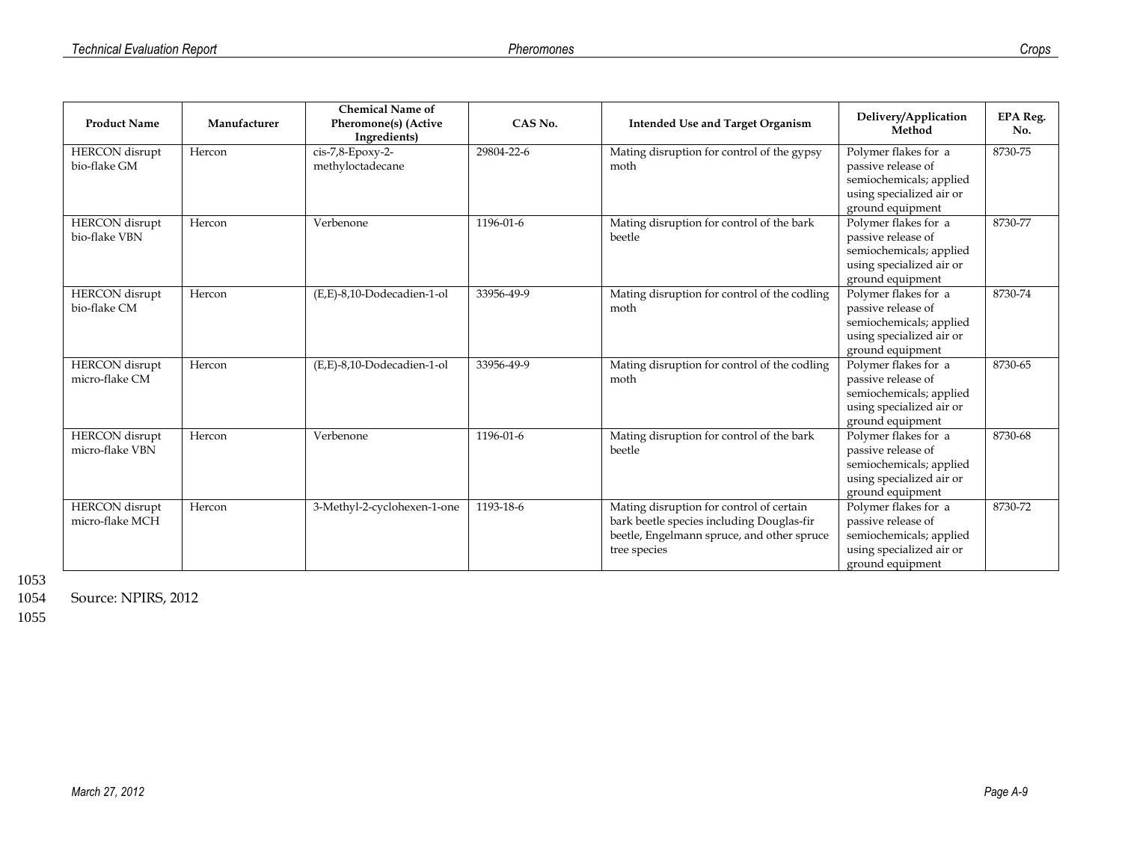| <b>Product Name</b>                      | Manufacturer | <b>Chemical Name of</b><br>Pheromone(s) (Active<br>Ingredients) | CAS No.    | <b>Intended Use and Target Organism</b>                                                                                                             | Delivery/Application<br>Method                                                                                        | <b>EPA Reg.</b><br>No. |
|------------------------------------------|--------------|-----------------------------------------------------------------|------------|-----------------------------------------------------------------------------------------------------------------------------------------------------|-----------------------------------------------------------------------------------------------------------------------|------------------------|
| <b>HERCON</b> disrupt<br>bio-flake GM    | Hercon       | cis-7,8-Epoxy-2-<br>methyloctadecane                            | 29804-22-6 | Mating disruption for control of the gypsy<br>moth                                                                                                  | Polymer flakes for a<br>passive release of<br>semiochemicals; applied<br>using specialized air or<br>ground equipment | 8730-75                |
| <b>HERCON</b> disrupt<br>bio-flake VBN   | Hercon       | Verbenone                                                       | 1196-01-6  | Mating disruption for control of the bark<br>beetle                                                                                                 | Polymer flakes for a<br>passive release of<br>semiochemicals; applied<br>using specialized air or<br>ground equipment | 8730-77                |
| <b>HERCON</b> disrupt<br>bio-flake CM    | Hercon       | (E,E)-8,10-Dodecadien-1-ol                                      | 33956-49-9 | Mating disruption for control of the codling<br>moth                                                                                                | Polymer flakes for a<br>passive release of<br>semiochemicals; applied<br>using specialized air or<br>ground equipment | 8730-74                |
| <b>HERCON</b> disrupt<br>micro-flake CM  | Hercon       | (E,E)-8,10-Dodecadien-1-ol                                      | 33956-49-9 | Mating disruption for control of the codling<br>moth                                                                                                | Polymer flakes for a<br>passive release of<br>semiochemicals; applied<br>using specialized air or<br>ground equipment | 8730-65                |
| <b>HERCON</b> disrupt<br>micro-flake VBN | Hercon       | Verbenone                                                       | 1196-01-6  | Mating disruption for control of the bark<br>beetle                                                                                                 | Polymer flakes for a<br>passive release of<br>semiochemicals; applied<br>using specialized air or<br>ground equipment | 8730-68                |
| <b>HERCON</b> disrupt<br>micro-flake MCH | Hercon       | 3-Methyl-2-cyclohexen-1-one                                     | 1193-18-6  | Mating disruption for control of certain<br>bark beetle species including Douglas-fir<br>beetle, Engelmann spruce, and other spruce<br>tree species | Polymer flakes for a<br>passive release of<br>semiochemicals; applied<br>using specialized air or<br>ground equipment | 8730-72                |

Source: NPIRS, 2012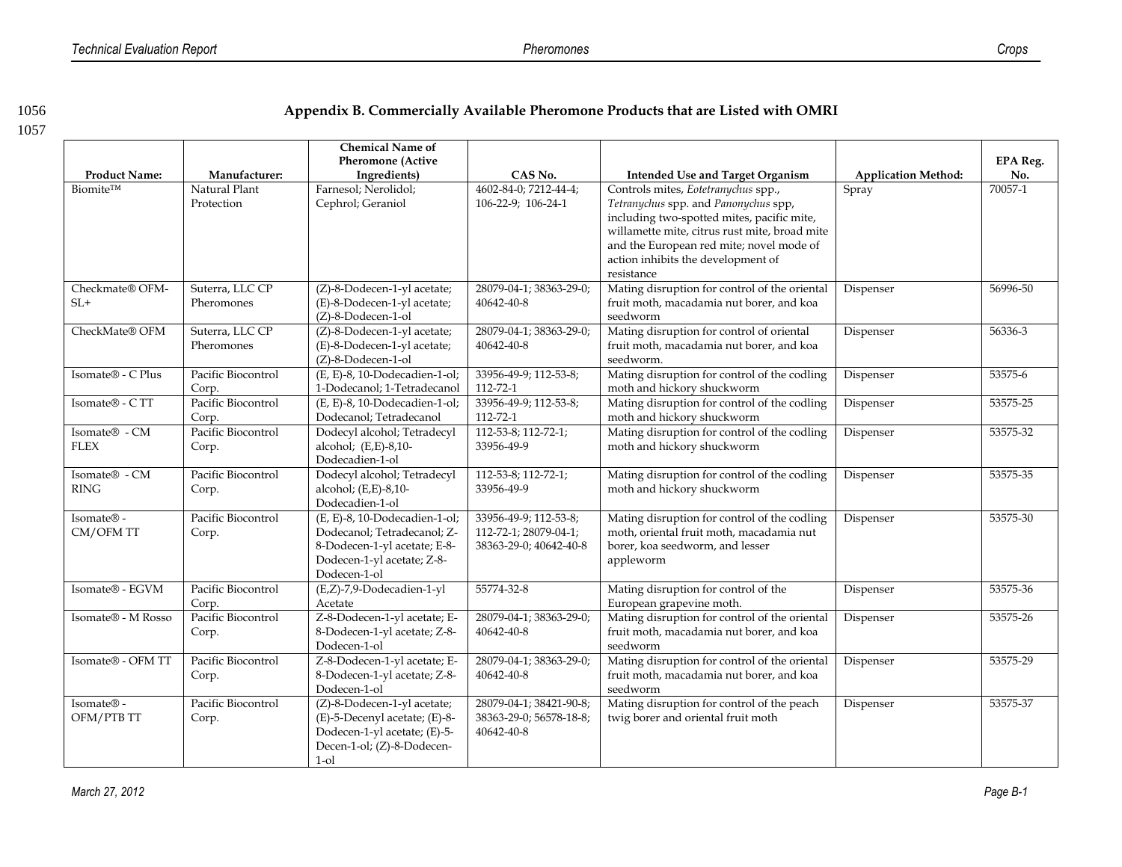#### 1056 **Appendix B. Commercially Available Pheromone Products that are Listed with OMRI**

1057

SL+

#### **Product Name: Manufacturer: Chemical Name of Pheromone (Active Ingredients CAS No. Intended Use and Target Organism Application Method: EPA Reg. No.** Biomite™ Natural Plant Protection Farnesol; Nerolidol; Cephrol; Geraniol 4602-84-0; 7212-44-4; 106-22-9; 106-24-1 Controls mites, *Eotetranychus* spp., *Tetranychus* spp. and *Panonychus* spp, including two-spotted mites, pacific mite, willamette mite, citrus rust mite, broad mite and the European red mite; novel mode of action inhibits the development of resistance Spray 70057-1 Checkmate® OFM-Suterra, LLC CP Pheromones (Z)-8-Dodecen-1-yl acetate; (E)-8-Dodecen-1-yl acetate; (Z)-8-Dodecen-1-ol 28079-04-1; 38363-29-0; 40642-40-8 Mating disruption for control of the oriental fruit moth, macadamia nut borer, and koa seedworm Dispenser 56996-50 CheckMate® OFM Suterra, LLC CP Pheromones (Z)-8-Dodecen-1-yl acetate; (E)-8-Dodecen-1-yl acetate; (Z)-8-Dodecen-1-ol 28079-04-1; 38363-29-0; 40642-40-8 Mating disruption for control of oriental fruit moth, macadamia nut borer, and koa seedworm. Dispenser 56336-3 Isomate® - C Plus Pacific Biocontrol Corp. (E, E)-8, 10-Dodecadien-1-ol; 1-Dodecanol; 1-Tetradecanol 33956-49-9; 112-53-8; 112-72-1 Mating disruption for control of the codling moth and hickory shuckworm Dispenser 53575-6 Isomate® - C TT Pacific Biocontrol Corp. (E, E)-8, 10-Dodecadien-1-ol; Dodecanol; Tetradecanol 33956-49-9; 112-53-8; 112-72-1 Mating disruption for control of the codling moth and hickory shuckworm Dispenser 53575-25 Isomate® - CM FLEX Pacific Biocontrol Corp. Dodecyl alcohol; Tetradecyl alcohol; (E,E)-8,10- Dodecadien-1-ol 112-53-8; 112-72-1; 33956-49-9 Mating disruption for control of the codling moth and hickory shuckworm Dispenser 53575-32 Isomate® - CM RING Pacific Biocontrol Corp. Dodecyl alcohol; Tetradecyl alcohol; (E,E)-8,10- Dodecadien-1-ol 112-53-8; 112-72-1; 33956-49-9 Mating disruption for control of the codling moth and hickory shuckworm Dispenser 53575-35 Isomate® - CM/OFM TT Pacific Biocontrol Corp. (E, E)-8, 10-Dodecadien-1-ol; Dodecanol; Tetradecanol; Z-8-Dodecen-1-yl acetate; E-8- Dodecen-1-yl acetate; Z-8- Dodecen-1-ol 33956-49-9; 112-53-8; 112-72-1; 28079-04-1; 38363-29-0; 40642-40-8 Mating disruption for control of the codling moth, oriental fruit moth, macadamia nut borer, koa seedworm, and lesser appleworm Dispenser 53575-30 Isomate® - EGVM Pacific Biocontrol Corp. (E,Z)-7,9-Dodecadien-1-yl Acetate 55774-32-8 Mating disruption for control of the European grapevine moth. Dispenser 53575-36 Isomate® - M Rosso Pacific Biocontrol Corp. Z-8-Dodecen-1-yl acetate; E-8-Dodecen-1-yl acetate; Z-8- Dodecen-1-ol 28079-04-1; 38363-29-0; 40642-40-8 Mating disruption for control of the oriental fruit moth, macadamia nut borer, and koa seedworm Dispenser 53575-26 Isomate® - OFM TT Pacific Biocontrol Corp. Z-8-Dodecen-1-yl acetate; E-8-Dodecen-1-yl acetate; Z-8- Dodecen-1-ol 28079-04-1; 38363-29-0; 40642-40-8 Mating disruption for control of the oriental fruit moth, macadamia nut borer, and koa seedworm Dispenser 53575-29

28079-04-1; 38421-90-8; 38363-29-0; 56578-18-8; Mating disruption for control of the peach twig borer and oriental fruit moth

40642-40-8

Isomate® - OFM/PTB TT Pacific Biocontrol

(Z)-8-Dodecen-1-yl acetate; (E)-5-Decenyl acetate; (E)-8- Dodecen-1-yl acetate; (E)-5- Decen-1-ol; (Z)-8-Dodecen-

1-ol

Corp.

Dispenser 53575-37